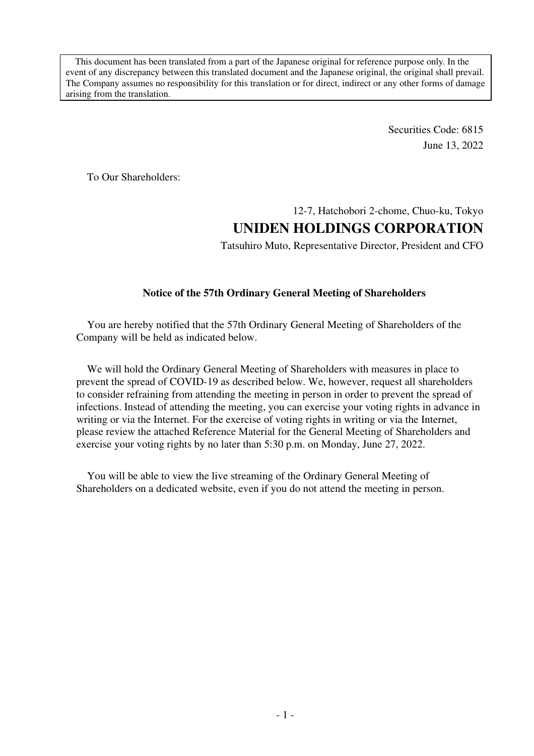This document has been translated from a part of the Japanese original for reference purpose only. In the event of any discrepancy between this translated document and the Japanese original, the original shall prevail. The Company assumes no responsibility for this translation or for direct, indirect or any other forms of damage arising from the translation.

> Securities Code: 6815 June 13, 2022

To Our Shareholders:

# 12-7, Hatchobori 2-chome, Chuo-ku, Tokyo **UNIDEN HOLDINGS CORPORATION**

Tatsuhiro Muto, Representative Director, President and CFO

## **Notice of the 57th Ordinary General Meeting of Shareholders**

You are hereby notified that the 57th Ordinary General Meeting of Shareholders of the Company will be held as indicated below.

We will hold the Ordinary General Meeting of Shareholders with measures in place to prevent the spread of COVID-19 as described below. We, however, request all shareholders to consider refraining from attending the meeting in person in order to prevent the spread of infections. Instead of attending the meeting, you can exercise your voting rights in advance in writing or via the Internet. For the exercise of voting rights in writing or via the Internet, please review the attached Reference Material for the General Meeting of Shareholders and exercise your voting rights by no later than 5:30 p.m. on Monday, June 27, 2022.

You will be able to view the live streaming of the Ordinary General Meeting of Shareholders on a dedicated website, even if you do not attend the meeting in person.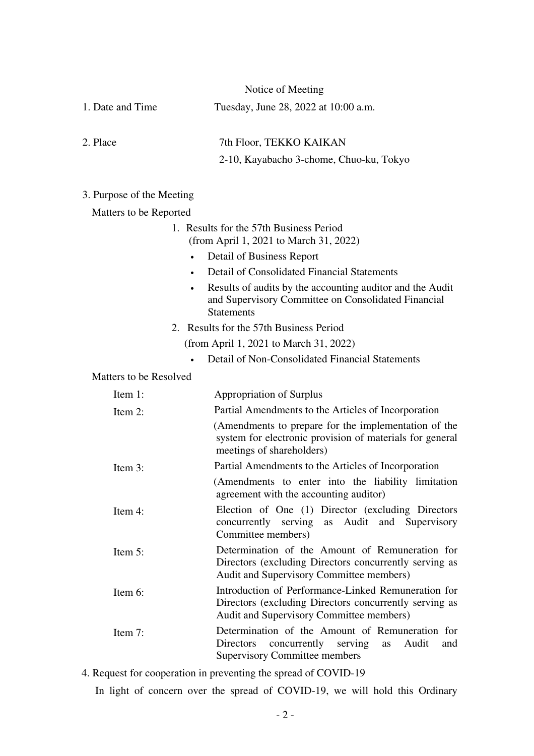| 1. Date and Time          | Tuesday, June 28, 2022 at 10:00 a.m.                                                                                                                      |  |
|---------------------------|-----------------------------------------------------------------------------------------------------------------------------------------------------------|--|
| 2. Place                  | 7th Floor, TEKKO KAIKAN                                                                                                                                   |  |
|                           | 2-10, Kayabacho 3-chome, Chuo-ku, Tokyo                                                                                                                   |  |
| 3. Purpose of the Meeting |                                                                                                                                                           |  |
| Matters to be Reported    |                                                                                                                                                           |  |
|                           | 1. Results for the 57th Business Period<br>(from April 1, 2021 to March 31, 2022)                                                                         |  |
|                           | Detail of Business Report<br>$\bullet$                                                                                                                    |  |
|                           | Detail of Consolidated Financial Statements                                                                                                               |  |
|                           | Results of audits by the accounting auditor and the Audit<br>and Supervisory Committee on Consolidated Financial<br><b>Statements</b>                     |  |
|                           | 2. Results for the 57th Business Period                                                                                                                   |  |
|                           | (from April 1, 2021 to March 31, 2022)                                                                                                                    |  |
|                           | Detail of Non-Consolidated Financial Statements                                                                                                           |  |
| Matters to be Resolved    |                                                                                                                                                           |  |
| Item 1:                   | <b>Appropriation of Surplus</b>                                                                                                                           |  |
| Item 2:                   | Partial Amendments to the Articles of Incorporation                                                                                                       |  |
|                           | (Amendments to prepare for the implementation of the<br>system for electronic provision of materials for general<br>meetings of shareholders)             |  |
| Item 3:                   | Partial Amendments to the Articles of Incorporation                                                                                                       |  |
|                           | (Amendments to enter into the liability limitation<br>agreement with the accounting auditor)                                                              |  |
| Item 4:                   | Election of One (1) Director (excluding Directors<br>concurrently serving as Audit and<br>Supervisory<br>Committee members)                               |  |
| Item 5:                   | Determination of the Amount of Remuneration for<br>Directors (excluding Directors concurrently serving as<br>Audit and Supervisory Committee members)     |  |
| Item 6:                   | Introduction of Performance-Linked Remuneration for<br>Directors (excluding Directors concurrently serving as<br>Audit and Supervisory Committee members) |  |
| Item 7:                   | Determination of the Amount of Remuneration for<br>Audit<br>Directors<br>concurrently serving<br>and<br><b>as</b><br><b>Supervisory Committee members</b> |  |
|                           |                                                                                                                                                           |  |

4. Request for cooperation in preventing the spread of COVID-19

In light of concern over the spread of COVID-19, we will hold this Ordinary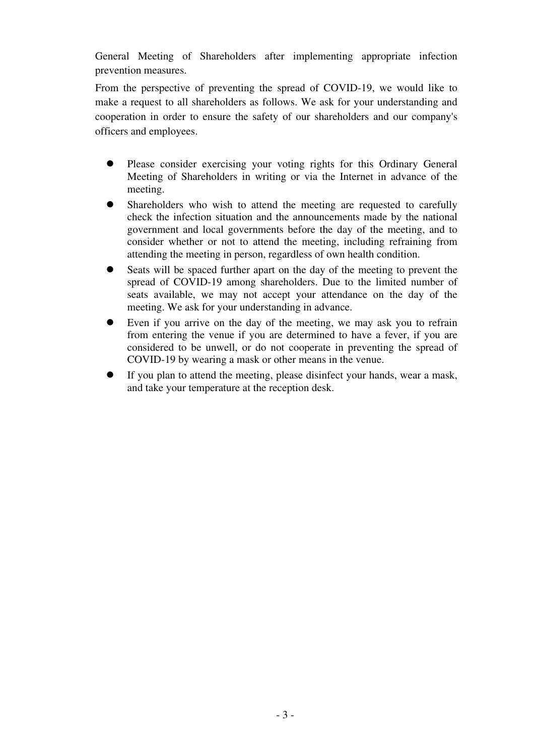General Meeting of Shareholders after implementing appropriate infection prevention measures.

From the perspective of preventing the spread of COVID-19, we would like to make a request to all shareholders as follows. We ask for your understanding and cooperation in order to ensure the safety of our shareholders and our company's officers and employees.

- Please consider exercising your voting rights for this Ordinary General Meeting of Shareholders in writing or via the Internet in advance of the meeting.
- Shareholders who wish to attend the meeting are requested to carefully check the infection situation and the announcements made by the national government and local governments before the day of the meeting, and to consider whether or not to attend the meeting, including refraining from attending the meeting in person, regardless of own health condition.
- Seats will be spaced further apart on the day of the meeting to prevent the spread of COVID-19 among shareholders. Due to the limited number of seats available, we may not accept your attendance on the day of the meeting. We ask for your understanding in advance.
- Even if you arrive on the day of the meeting, we may ask you to refrain from entering the venue if you are determined to have a fever, if you are considered to be unwell, or do not cooperate in preventing the spread of COVID-19 by wearing a mask or other means in the venue.
- If you plan to attend the meeting, please disinfect your hands, wear a mask, and take your temperature at the reception desk.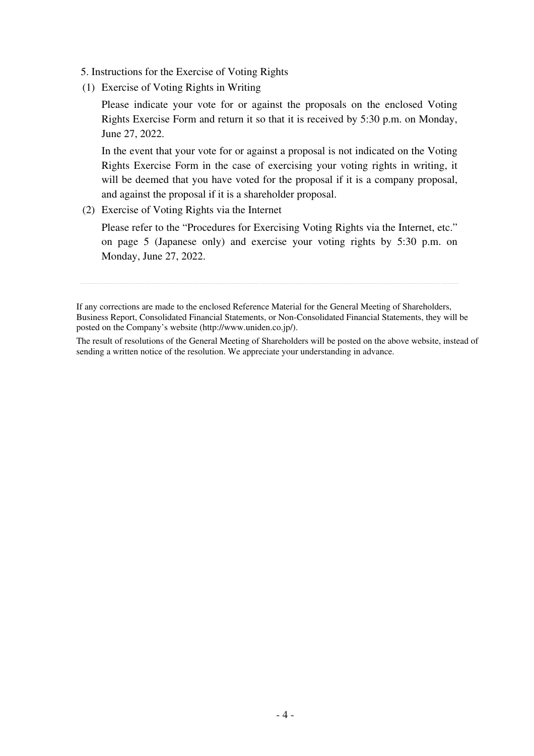- 5. Instructions for the Exercise of Voting Rights
- (1) Exercise of Voting Rights in Writing

Please indicate your vote for or against the proposals on the enclosed Voting Rights Exercise Form and return it so that it is received by 5:30 p.m. on Monday, June 27, 2022.

In the event that your vote for or against a proposal is not indicated on the Voting Rights Exercise Form in the case of exercising your voting rights in writing, it will be deemed that you have voted for the proposal if it is a company proposal, and against the proposal if it is a shareholder proposal.

(2) Exercise of Voting Rights via the Internet

Please refer to the "Procedures for Exercising Voting Rights via the Internet, etc." on page 5 (Japanese only) and exercise your voting rights by 5:30 p.m. on Monday, June 27, 2022.

The result of resolutions of the General Meeting of Shareholders will be posted on the above website, instead of sending a written notice of the resolution. We appreciate your understanding in advance.

If any corrections are made to the enclosed Reference Material for the General Meeting of Shareholders, Business Report, Consolidated Financial Statements, or Non-Consolidated Financial Statements, they will be posted on the Company's website (http://www.uniden.co.jp/).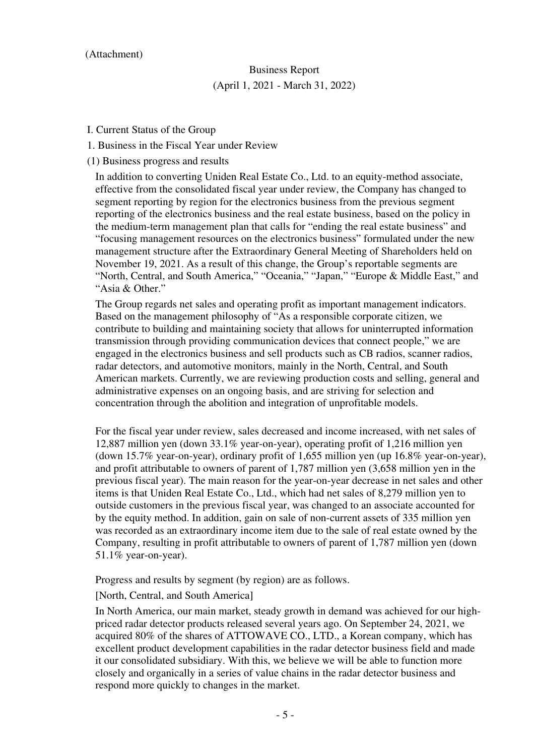#### (Attachment)

# Business Report (April 1, 2021 - March 31, 2022)

- I. Current Status of the Group
- 1. Business in the Fiscal Year under Review
- (1) Business progress and results

In addition to converting Uniden Real Estate Co., Ltd. to an equity-method associate, effective from the consolidated fiscal year under review, the Company has changed to segment reporting by region for the electronics business from the previous segment reporting of the electronics business and the real estate business, based on the policy in the medium-term management plan that calls for "ending the real estate business" and "focusing management resources on the electronics business" formulated under the new management structure after the Extraordinary General Meeting of Shareholders held on November 19, 2021. As a result of this change, the Group's reportable segments are "North, Central, and South America," "Oceania," "Japan," "Europe & Middle East," and "Asia & Other."

The Group regards net sales and operating profit as important management indicators. Based on the management philosophy of "As a responsible corporate citizen, we contribute to building and maintaining society that allows for uninterrupted information transmission through providing communication devices that connect people," we are engaged in the electronics business and sell products such as CB radios, scanner radios, radar detectors, and automotive monitors, mainly in the North, Central, and South American markets. Currently, we are reviewing production costs and selling, general and administrative expenses on an ongoing basis, and are striving for selection and concentration through the abolition and integration of unprofitable models.

For the fiscal year under review, sales decreased and income increased, with net sales of 12,887 million yen (down 33.1% year-on-year), operating profit of 1,216 million yen (down 15.7% year-on-year), ordinary profit of 1,655 million yen (up 16.8% year-on-year), and profit attributable to owners of parent of 1,787 million yen (3,658 million yen in the previous fiscal year). The main reason for the year-on-year decrease in net sales and other items is that Uniden Real Estate Co., Ltd., which had net sales of 8,279 million yen to outside customers in the previous fiscal year, was changed to an associate accounted for by the equity method. In addition, gain on sale of non-current assets of 335 million yen was recorded as an extraordinary income item due to the sale of real estate owned by the Company, resulting in profit attributable to owners of parent of 1,787 million yen (down 51.1% year-on-year).

Progress and results by segment (by region) are as follows.

[North, Central, and South America]

In North America, our main market, steady growth in demand was achieved for our highpriced radar detector products released several years ago. On September 24, 2021, we acquired 80% of the shares of ATTOWAVE CO., LTD., a Korean company, which has excellent product development capabilities in the radar detector business field and made it our consolidated subsidiary. With this, we believe we will be able to function more closely and organically in a series of value chains in the radar detector business and respond more quickly to changes in the market.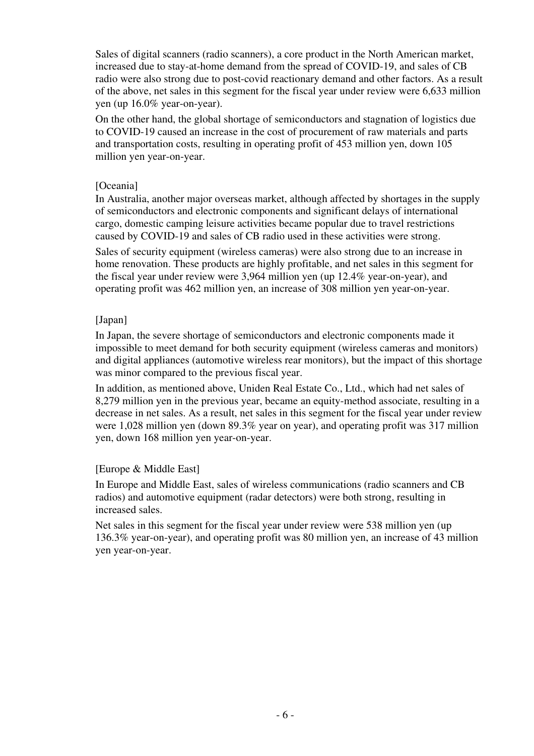Sales of digital scanners (radio scanners), a core product in the North American market, increased due to stay-at-home demand from the spread of COVID-19, and sales of CB radio were also strong due to post-covid reactionary demand and other factors. As a result of the above, net sales in this segment for the fiscal year under review were 6,633 million yen (up 16.0% year-on-year).

On the other hand, the global shortage of semiconductors and stagnation of logistics due to COVID-19 caused an increase in the cost of procurement of raw materials and parts and transportation costs, resulting in operating profit of 453 million yen, down 105 million yen year-on-year.

#### [Oceania]

In Australia, another major overseas market, although affected by shortages in the supply of semiconductors and electronic components and significant delays of international cargo, domestic camping leisure activities became popular due to travel restrictions caused by COVID-19 and sales of CB radio used in these activities were strong.

Sales of security equipment (wireless cameras) were also strong due to an increase in home renovation. These products are highly profitable, and net sales in this segment for the fiscal year under review were 3,964 million yen (up 12.4% year-on-year), and operating profit was 462 million yen, an increase of 308 million yen year-on-year.

## [Japan]

In Japan, the severe shortage of semiconductors and electronic components made it impossible to meet demand for both security equipment (wireless cameras and monitors) and digital appliances (automotive wireless rear monitors), but the impact of this shortage was minor compared to the previous fiscal year.

In addition, as mentioned above, Uniden Real Estate Co., Ltd., which had net sales of 8,279 million yen in the previous year, became an equity-method associate, resulting in a decrease in net sales. As a result, net sales in this segment for the fiscal year under review were 1,028 million yen (down 89.3% year on year), and operating profit was 317 million yen, down 168 million yen year-on-year.

## [Europe & Middle East]

In Europe and Middle East, sales of wireless communications (radio scanners and CB radios) and automotive equipment (radar detectors) were both strong, resulting in increased sales.

Net sales in this segment for the fiscal year under review were 538 million yen (up 136.3% year-on-year), and operating profit was 80 million yen, an increase of 43 million yen year-on-year.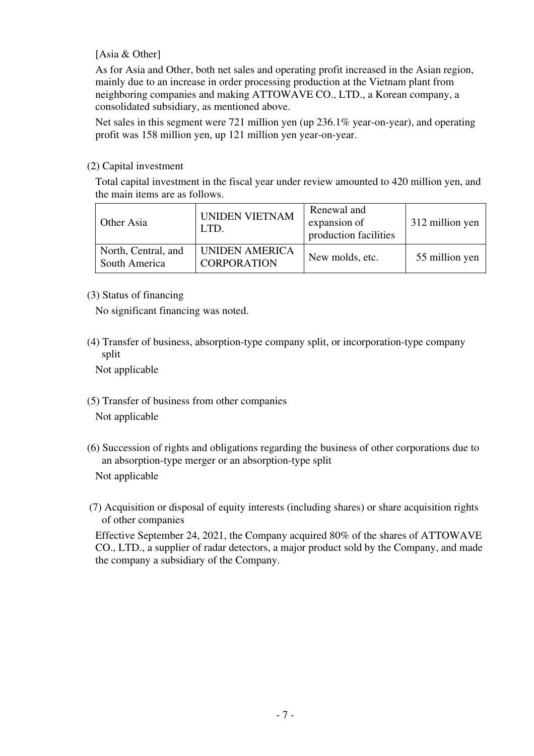## [Asia & Other]

As for Asia and Other, both net sales and operating profit increased in the Asian region, mainly due to an increase in order processing production at the Vietnam plant from neighboring companies and making ATTOWAVE CO., LTD., a Korean company, a consolidated subsidiary, as mentioned above.

Net sales in this segment were 721 million yen (up 236.1% year-on-year), and operating profit was 158 million yen, up 121 million yen year-on-year.

## (2) Capital investment

Total capital investment in the fiscal year under review amounted to 420 million yen, and the main items are as follows.

| Other Asia                           | <b>UNIDEN VIETNAM</b><br>LTD.               | Renewal and<br>expansion of<br>production facilities | 312 million yen |
|--------------------------------------|---------------------------------------------|------------------------------------------------------|-----------------|
| North, Central, and<br>South America | <b>UNIDEN AMERICA</b><br><b>CORPORATION</b> | New molds, etc.                                      | 55 million yen  |

## (3) Status of financing

No significant financing was noted.

(4) Transfer of business, absorption-type company split, or incorporation-type company split

Not applicable

- (5) Transfer of business from other companies Not applicable
- (6) Succession of rights and obligations regarding the business of other corporations due to an absorption-type merger or an absorption-type split Not applicable
- (7) Acquisition or disposal of equity interests (including shares) or share acquisition rights of other companies

Effective September 24, 2021, the Company acquired 80% of the shares of ATTOWAVE CO., LTD., a supplier of radar detectors, a major product sold by the Company, and made the company a subsidiary of the Company.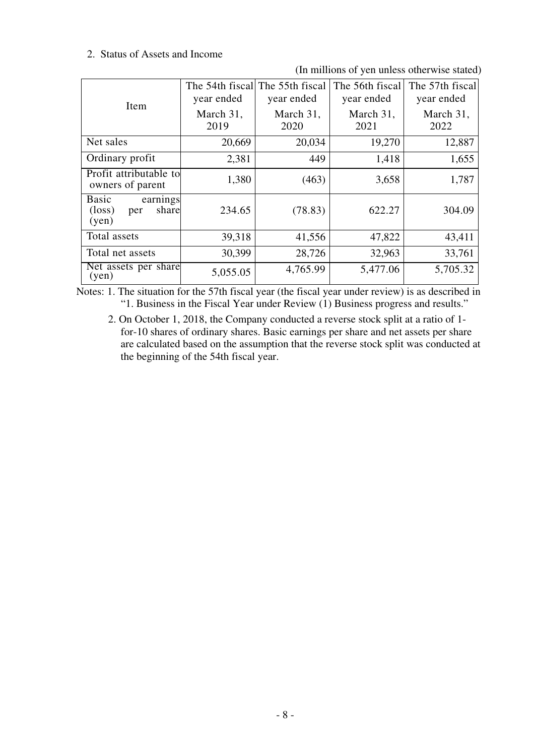#### 2. Status of Assets and Income

(In millions of yen unless otherwise stated)

|                                                               | year ended        | The 54th fiscall The 55th fiscal<br>year ended | The 56th fiscal<br>year ended | The 57th fiscal<br>year ended |
|---------------------------------------------------------------|-------------------|------------------------------------------------|-------------------------------|-------------------------------|
| Item                                                          | March 31,<br>2019 | March 31,<br>2020                              | March 31,<br>2021             | March 31,<br>2022             |
| Net sales                                                     | 20,669            | 20,034                                         | 19,270                        | 12,887                        |
| Ordinary profit                                               | 2,381             | 449                                            | 1,418                         | 1,655                         |
| Profit attributable to<br>owners of parent                    | 1,380             | (463)                                          | 3,658                         | 1,787                         |
| earnings<br>Basic<br>share<br>$(\text{loss})$<br>per<br>(yen) | 234.65            | (78.83)                                        | 622.27                        | 304.09                        |
| Total assets                                                  | 39,318            | 41,556                                         | 47,822                        | 43,411                        |
| Total net assets                                              | 30,399            | 28,726                                         | 32,963                        | 33,761                        |
| Net assets per share<br>(yen)                                 | 5,055.05          | 4,765.99                                       | 5,477.06                      | 5,705.32                      |

Notes: 1. The situation for the 57th fiscal year (the fiscal year under review) is as described in "1. Business in the Fiscal Year under Review (1) Business progress and results."

2. On October 1, 2018, the Company conducted a reverse stock split at a ratio of 1 for-10 shares of ordinary shares. Basic earnings per share and net assets per share are calculated based on the assumption that the reverse stock split was conducted at the beginning of the 54th fiscal year.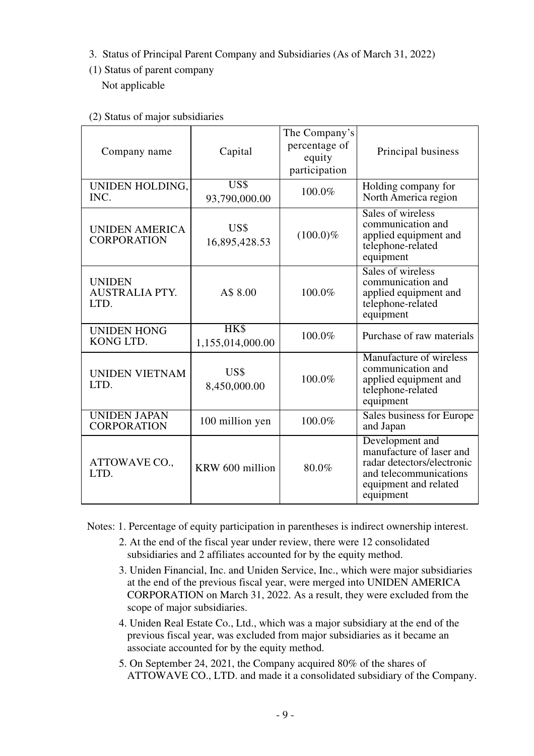- 3. Status of Principal Parent Company and Subsidiaries (As of March 31, 2022)
- (1) Status of parent company Not applicable

| Capital<br>Company name                        |                          | The Company's<br>percentage of<br>equity<br>participation | Principal business                                                                                                                        |
|------------------------------------------------|--------------------------|-----------------------------------------------------------|-------------------------------------------------------------------------------------------------------------------------------------------|
| UNIDEN HOLDING,<br>INC.                        | US\$<br>93,790,000.00    | 100.0%                                                    | Holding company for<br>North America region                                                                                               |
| <b>UNIDEN AMERICA</b><br><b>CORPORATION</b>    | US\$<br>16,895,428.53    | $(100.0)\%$                                               | Sales of wireless<br>communication and<br>applied equipment and<br>telephone-related<br>equipment                                         |
| <b>UNIDEN</b><br><b>AUSTRALIA PTY.</b><br>LTD. | A\$ 8.00                 | 100.0%                                                    | Sales of wireless<br>communication and<br>applied equipment and<br>telephone-related<br>equipment                                         |
| <b>UNIDEN HONG</b><br>KONG LTD.                | HK\$<br>1,155,014,000.00 | 100.0%                                                    | Purchase of raw materials                                                                                                                 |
| <b>UNIDEN VIETNAM</b><br>LTD.                  | US\$<br>8,450,000.00     | 100.0%                                                    | Manufacture of wireless<br>communication and<br>applied equipment and<br>telephone-related<br>equipment                                   |
| <b>UNIDEN JAPAN</b><br><b>CORPORATION</b>      | 100 million yen          | 100.0%                                                    | Sales business for Europe<br>and Japan                                                                                                    |
| ATTOWAVE CO.,<br>LTD.                          | KRW 600 million          | 80.0%                                                     | Development and<br>manufacture of laser and<br>radar detectors/electronic<br>and telecommunications<br>equipment and related<br>equipment |

Notes: 1. Percentage of equity participation in parentheses is indirect ownership interest.

- 2. At the end of the fiscal year under review, there were 12 consolidated subsidiaries and 2 affiliates accounted for by the equity method.
- 3. Uniden Financial, Inc. and Uniden Service, Inc., which were major subsidiaries at the end of the previous fiscal year, were merged into UNIDEN AMERICA CORPORATION on March 31, 2022. As a result, they were excluded from the scope of major subsidiaries.
- 4. Uniden Real Estate Co., Ltd., which was a major subsidiary at the end of the previous fiscal year, was excluded from major subsidiaries as it became an associate accounted for by the equity method.
- 5. On September 24, 2021, the Company acquired 80% of the shares of ATTOWAVE CO., LTD. and made it a consolidated subsidiary of the Company.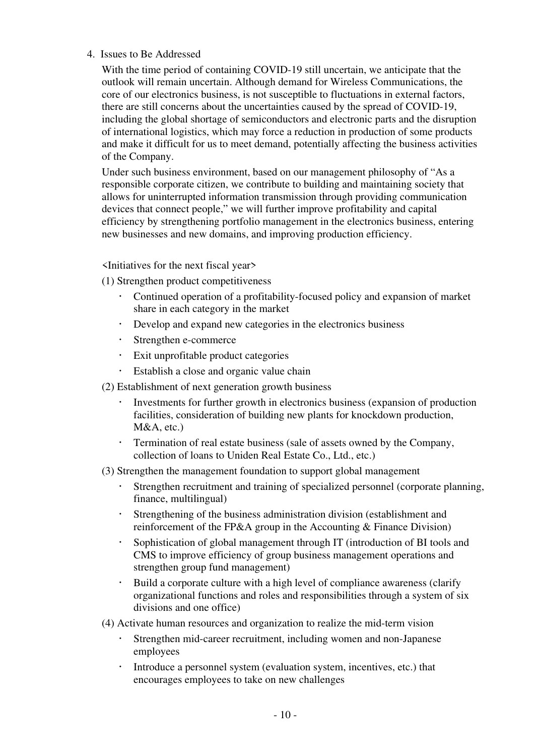#### 4. Issues to Be Addressed

With the time period of containing COVID-19 still uncertain, we anticipate that the outlook will remain uncertain. Although demand for Wireless Communications, the core of our electronics business, is not susceptible to fluctuations in external factors, there are still concerns about the uncertainties caused by the spread of COVID-19, including the global shortage of semiconductors and electronic parts and the disruption of international logistics, which may force a reduction in production of some products and make it difficult for us to meet demand, potentially affecting the business activities of the Company.

Under such business environment, based on our management philosophy of "As a responsible corporate citizen, we contribute to building and maintaining society that allows for uninterrupted information transmission through providing communication devices that connect people," we will further improve profitability and capital efficiency by strengthening portfolio management in the electronics business, entering new businesses and new domains, and improving production efficiency.

<Initiatives for the next fiscal year>

(1) Strengthen product competitiveness

- Continued operation of a profitability-focused policy and expansion of market share in each category in the market
- Develop and expand new categories in the electronics business
- Strengthen e-commerce
- Exit unprofitable product categories
- Establish a close and organic value chain
- (2) Establishment of next generation growth business
	- Investments for further growth in electronics business (expansion of production facilities, consideration of building new plants for knockdown production, M&A, etc.)
	- Termination of real estate business (sale of assets owned by the Company, collection of loans to Uniden Real Estate Co., Ltd., etc.)

(3) Strengthen the management foundation to support global management

- Strengthen recruitment and training of specialized personnel (corporate planning, finance, multilingual)
- Strengthening of the business administration division (establishment and reinforcement of the FP&A group in the Accounting & Finance Division)
- Sophistication of global management through IT (introduction of BI tools and CMS to improve efficiency of group business management operations and strengthen group fund management)
- Build a corporate culture with a high level of compliance awareness (clarify organizational functions and roles and responsibilities through a system of six divisions and one office)
- (4) Activate human resources and organization to realize the mid-term vision
	- Strengthen mid-career recruitment, including women and non-Japanese employees
	- Introduce a personnel system (evaluation system, incentives, etc.) that encourages employees to take on new challenges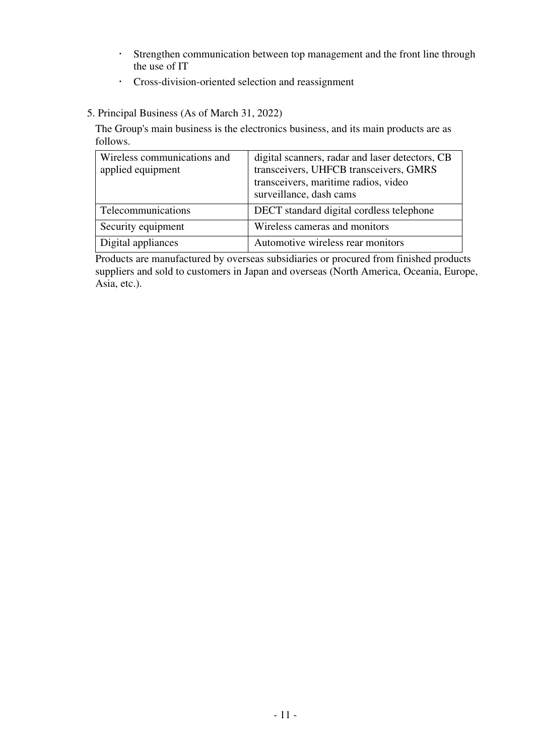- Strengthen communication between top management and the front line through the use of IT
- Cross-division-oriented selection and reassignment
- 5. Principal Business (As of March 31, 2022)

The Group's main business is the electronics business, and its main products are as follows.

| Wireless communications and<br>applied equipment | digital scanners, radar and laser detectors, CB<br>transceivers, UHFCB transceivers, GMRS<br>transceivers, maritime radios, video<br>surveillance, dash cams |  |
|--------------------------------------------------|--------------------------------------------------------------------------------------------------------------------------------------------------------------|--|
| Telecommunications                               | DECT standard digital cordless telephone                                                                                                                     |  |
| Security equipment                               | Wireless cameras and monitors                                                                                                                                |  |
| Digital appliances                               | Automotive wireless rear monitors                                                                                                                            |  |

Products are manufactured by overseas subsidiaries or procured from finished products suppliers and sold to customers in Japan and overseas (North America, Oceania, Europe, Asia, etc.).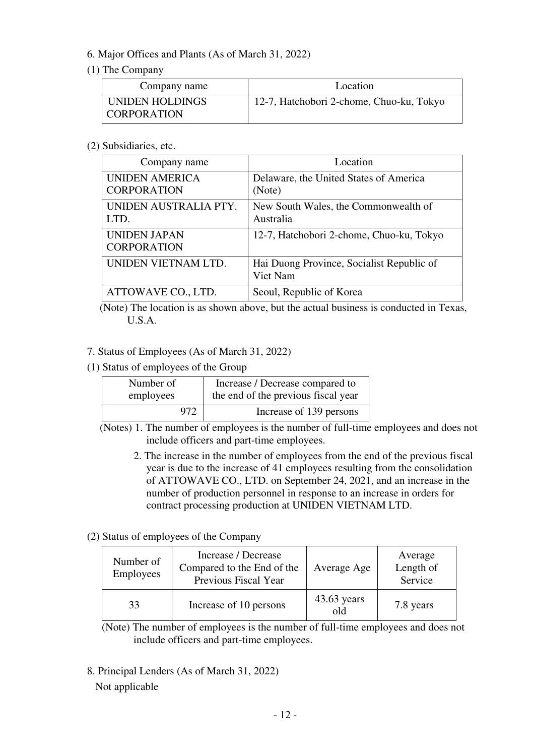## 6. Major Offices and Plants (As of March 31, 2022)

## (1) The Company

| Company name                          | Location                                 |
|---------------------------------------|------------------------------------------|
| UNIDEN HOLDINGS<br><b>CORPORATION</b> | 12-7, Hatchobori 2-chome, Chuo-ku, Tokyo |

#### (2) Subsidiaries, etc.

| Company name                                | Location                                              |  |
|---------------------------------------------|-------------------------------------------------------|--|
| <b>UNIDEN AMERICA</b><br><b>CORPORATION</b> | Delaware, the United States of America<br>(Note)      |  |
| UNIDEN AUSTRALIA PTY.<br>LTD.               | New South Wales, the Commonwealth of<br>Australia     |  |
| <b>UNIDEN JAPAN</b><br><b>CORPORATION</b>   | 12-7, Hatchobori 2-chome, Chuo-ku, Tokyo              |  |
| UNIDEN VIETNAM LTD.                         | Hai Duong Province, Socialist Republic of<br>Viet Nam |  |
| ATTOWAVE CO., LTD.                          | Seoul, Republic of Korea                              |  |

(Note) The location is as shown above, but the actual business is conducted in Texas, U.S.A.

## 7. Status of Employees (As of March 31, 2022)

(1) Status of employees of the Group

| Number of | Increase / Decrease compared to     |
|-----------|-------------------------------------|
| employees | the end of the previous fiscal year |
| 972       | Increase of 139 persons             |

(Notes) 1. The number of employees is the number of full-time employees and does not include officers and part-time employees.

2. The increase in the number of employees from the end of the previous fiscal year is due to the increase of 41 employees resulting from the consolidation of ATTOWAVE CO., LTD. on September 24, 2021, and an increase in the number of production personnel in response to an increase in orders for contract processing production at UNIDEN VIETNAM LTD.

## (2) Status of employees of the Company

| Number of<br>Employees | Increase / Decrease<br>Compared to the End of the<br>Previous Fiscal Year | Average Age          | Average<br>Length of<br>Service |
|------------------------|---------------------------------------------------------------------------|----------------------|---------------------------------|
| 33                     | Increase of 10 persons                                                    | $43.63$ years<br>old | 7.8 years                       |

(Note) The number of employees is the number of full-time employees and does not include officers and part-time employees.

8. Principal Lenders (As of March 31, 2022) Not applicable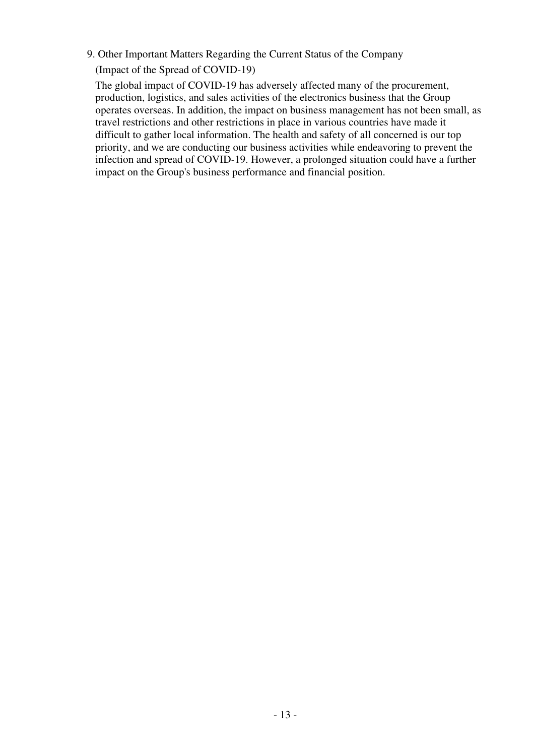#### 9. Other Important Matters Regarding the Current Status of the Company

(Impact of the Spread of COVID-19)

The global impact of COVID-19 has adversely affected many of the procurement, production, logistics, and sales activities of the electronics business that the Group operates overseas. In addition, the impact on business management has not been small, as travel restrictions and other restrictions in place in various countries have made it difficult to gather local information. The health and safety of all concerned is our top priority, and we are conducting our business activities while endeavoring to prevent the infection and spread of COVID-19. However, a prolonged situation could have a further impact on the Group's business performance and financial position.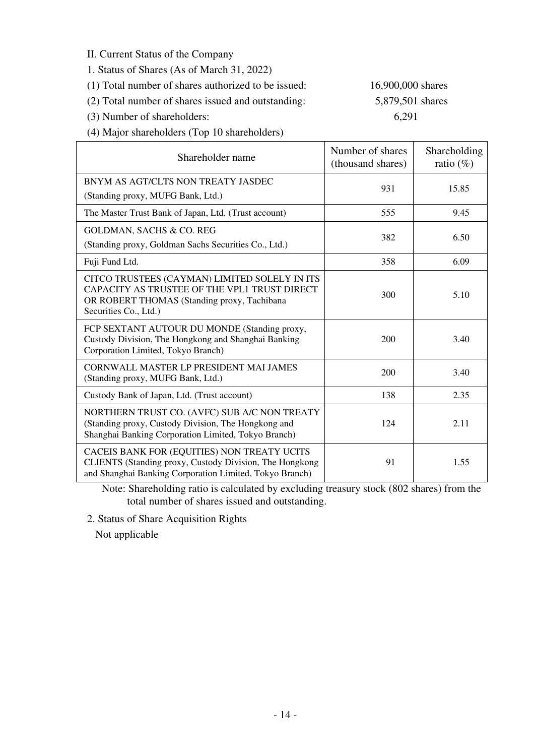II. Current Status of the Company

- 1. Status of Shares (As of March 31, 2022)
- (1) Total number of shares authorized to be issued: 16,900,000 shares

(2) Total number of shares issued and outstanding: 5,879,501 shares

(3) Number of shareholders: 6,291

(4) Major shareholders (Top 10 shareholders)

| Shareholder name                                                                                                                                                      | Number of shares<br>(thousand shares) | Shareholding<br>ratio $(\%)$ |
|-----------------------------------------------------------------------------------------------------------------------------------------------------------------------|---------------------------------------|------------------------------|
| BNYM AS AGT/CLTS NON TREATY JASDEC<br>(Standing proxy, MUFG Bank, Ltd.)                                                                                               | 931                                   | 15.85                        |
| The Master Trust Bank of Japan, Ltd. (Trust account)                                                                                                                  | 555                                   | 9.45                         |
| <b>GOLDMAN, SACHS &amp; CO. REG</b><br>(Standing proxy, Goldman Sachs Securities Co., Ltd.)                                                                           | 382                                   | 6.50                         |
| Fuji Fund Ltd.                                                                                                                                                        | 358                                   | 6.09                         |
| CITCO TRUSTEES (CAYMAN) LIMITED SOLELY IN ITS<br>CAPACITY AS TRUSTEE OF THE VPL1 TRUST DIRECT<br>OR ROBERT THOMAS (Standing proxy, Tachibana<br>Securities Co., Ltd.) | 300                                   | 5.10                         |
| FCP SEXTANT AUTOUR DU MONDE (Standing proxy,<br>Custody Division, The Hongkong and Shanghai Banking<br>Corporation Limited, Tokyo Branch)                             | 200                                   | 3.40                         |
| <b>CORNWALL MASTER LP PRESIDENT MAI JAMES</b><br>(Standing proxy, MUFG Bank, Ltd.)                                                                                    | 200                                   | 3.40                         |
| Custody Bank of Japan, Ltd. (Trust account)                                                                                                                           | 138                                   | 2.35                         |
| NORTHERN TRUST CO. (AVFC) SUB A/C NON TREATY<br>(Standing proxy, Custody Division, The Hongkong and<br>Shanghai Banking Corporation Limited, Tokyo Branch)            | 124                                   | 2.11                         |
| CACEIS BANK FOR (EQUITIES) NON TREATY UCITS<br>CLIENTS (Standing proxy, Custody Division, The Hongkong<br>and Shanghai Banking Corporation Limited, Tokyo Branch)     | 91                                    | 1.55                         |

Note: Shareholding ratio is calculated by excluding treasury stock (802 shares) from the total number of shares issued and outstanding.

2. Status of Share Acquisition Rights

Not applicable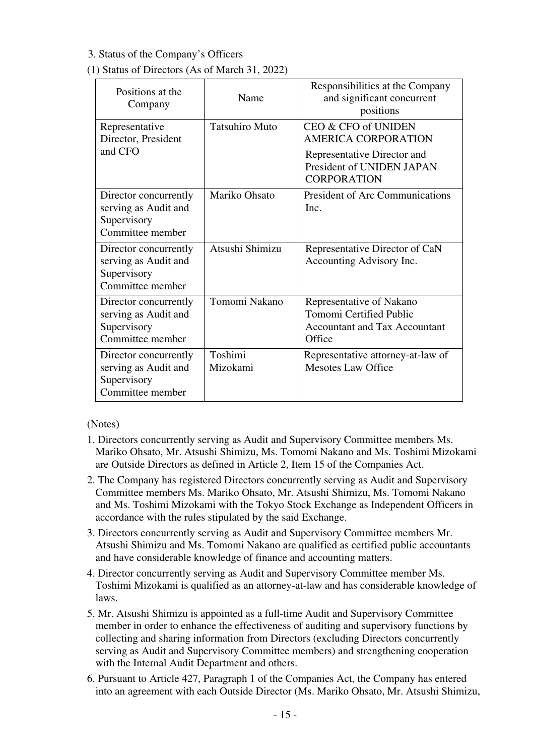## 3. Status of the Company's Officers

## (1) Status of Directors (As of March 31, 2022)

| Positions at the<br>Company                                                      | Name                  | Responsibilities at the Company<br>and significant concurrent<br>positions                                                          |
|----------------------------------------------------------------------------------|-----------------------|-------------------------------------------------------------------------------------------------------------------------------------|
| Representative<br>Director, President<br>and CFO                                 | <b>Tatsuhiro Muto</b> | CEO & CFO of UNIDEN<br><b>AMERICA CORPORATION</b><br>Representative Director and<br>President of UNIDEN JAPAN<br><b>CORPORATION</b> |
| Director concurrently<br>serving as Audit and<br>Supervisory<br>Committee member | Mariko Ohsato         | <b>President of Arc Communications</b><br>Inc.                                                                                      |
| Director concurrently<br>serving as Audit and<br>Supervisory<br>Committee member | Atsushi Shimizu       | Representative Director of CaN<br>Accounting Advisory Inc.                                                                          |
| Director concurrently<br>serving as Audit and<br>Supervisory<br>Committee member | Tomomi Nakano         | Representative of Nakano<br><b>Tomomi Certified Public</b><br><b>Accountant and Tax Accountant</b><br>Office                        |
| Director concurrently<br>serving as Audit and<br>Supervisory<br>Committee member | Toshimi<br>Mizokami   | Representative attorney-at-law of<br><b>Mesotes Law Office</b>                                                                      |

(Notes)

- 1. Directors concurrently serving as Audit and Supervisory Committee members Ms. Mariko Ohsato, Mr. Atsushi Shimizu, Ms. Tomomi Nakano and Ms. Toshimi Mizokami are Outside Directors as defined in Article 2, Item 15 of the Companies Act.
- 2. The Company has registered Directors concurrently serving as Audit and Supervisory Committee members Ms. Mariko Ohsato, Mr. Atsushi Shimizu, Ms. Tomomi Nakano and Ms. Toshimi Mizokami with the Tokyo Stock Exchange as Independent Officers in accordance with the rules stipulated by the said Exchange.
- 3. Directors concurrently serving as Audit and Supervisory Committee members Mr. Atsushi Shimizu and Ms. Tomomi Nakano are qualified as certified public accountants and have considerable knowledge of finance and accounting matters.
- 4. Director concurrently serving as Audit and Supervisory Committee member Ms. Toshimi Mizokami is qualified as an attorney-at-law and has considerable knowledge of laws.
- 5. Mr. Atsushi Shimizu is appointed as a full-time Audit and Supervisory Committee member in order to enhance the effectiveness of auditing and supervisory functions by collecting and sharing information from Directors (excluding Directors concurrently serving as Audit and Supervisory Committee members) and strengthening cooperation with the Internal Audit Department and others.
- 6. Pursuant to Article 427, Paragraph 1 of the Companies Act, the Company has entered into an agreement with each Outside Director (Ms. Mariko Ohsato, Mr. Atsushi Shimizu,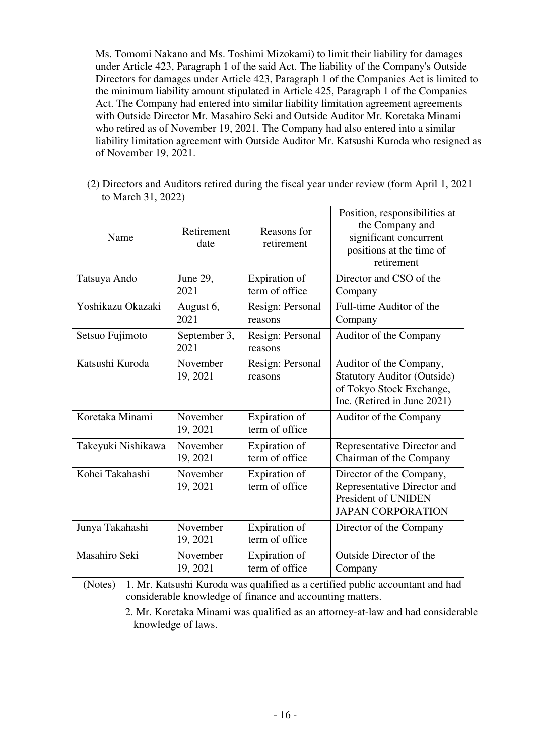Ms. Tomomi Nakano and Ms. Toshimi Mizokami) to limit their liability for damages under Article 423, Paragraph 1 of the said Act. The liability of the Company's Outside Directors for damages under Article 423, Paragraph 1 of the Companies Act is limited to the minimum liability amount stipulated in Article 425, Paragraph 1 of the Companies Act. The Company had entered into similar liability limitation agreement agreements with Outside Director Mr. Masahiro Seki and Outside Auditor Mr. Koretaka Minami who retired as of November 19, 2021. The Company had also entered into a similar liability limitation agreement with Outside Auditor Mr. Katsushi Kuroda who resigned as of November 19, 2021.

(2) Directors and Auditors retired during the fiscal year under review (form April 1, 2021 to March 31, 2022)

| Name               | Retirement<br>date   | Reasons for<br>retirement       | Position, responsibilities at<br>the Company and<br>significant concurrent<br>positions at the time of<br>retirement     |
|--------------------|----------------------|---------------------------------|--------------------------------------------------------------------------------------------------------------------------|
| Tatsuya Ando       | June 29,<br>2021     | Expiration of<br>term of office | Director and CSO of the<br>Company                                                                                       |
| Yoshikazu Okazaki  | August 6,<br>2021    | Resign: Personal<br>reasons     | Full-time Auditor of the<br>Company                                                                                      |
| Setsuo Fujimoto    | September 3,<br>2021 | Resign: Personal<br>reasons     | Auditor of the Company                                                                                                   |
| Katsushi Kuroda    | November<br>19, 2021 | Resign: Personal<br>reasons     | Auditor of the Company,<br><b>Statutory Auditor (Outside)</b><br>of Tokyo Stock Exchange,<br>Inc. (Retired in June 2021) |
| Koretaka Minami    | November<br>19, 2021 | Expiration of<br>term of office | Auditor of the Company                                                                                                   |
| Takeyuki Nishikawa | November<br>19, 2021 | Expiration of<br>term of office | Representative Director and<br>Chairman of the Company                                                                   |
| Kohei Takahashi    | November<br>19, 2021 | Expiration of<br>term of office | Director of the Company,<br>Representative Director and<br>President of UNIDEN<br><b>JAPAN CORPORATION</b>               |
| Junya Takahashi    | November<br>19, 2021 | Expiration of<br>term of office | Director of the Company                                                                                                  |
| Masahiro Seki      | November<br>19, 2021 | Expiration of<br>term of office | Outside Director of the<br>Company                                                                                       |

(Notes) 1. Mr. Katsushi Kuroda was qualified as a certified public accountant and had considerable knowledge of finance and accounting matters.

<sup>2.</sup> Mr. Koretaka Minami was qualified as an attorney-at-law and had considerable knowledge of laws.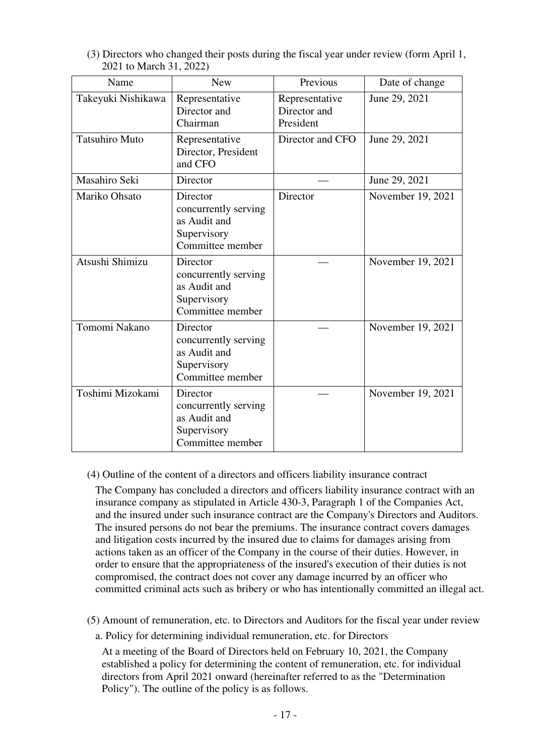| Name                  | <b>New</b>                                                                          | Previous                                    | Date of change    |
|-----------------------|-------------------------------------------------------------------------------------|---------------------------------------------|-------------------|
| Takeyuki Nishikawa    | Representative<br>Director and<br>Chairman                                          | Representative<br>Director and<br>President | June 29, 2021     |
| <b>Tatsuhiro Muto</b> | Representative<br>Director, President<br>and CFO                                    | Director and CFO                            | June 29, 2021     |
| Masahiro Seki         | Director                                                                            |                                             | June 29, 2021     |
| Mariko Ohsato         | Director<br>concurrently serving<br>as Audit and<br>Supervisory<br>Committee member | Director                                    | November 19, 2021 |
| Atsushi Shimizu       | Director<br>concurrently serving<br>as Audit and<br>Supervisory<br>Committee member |                                             | November 19, 2021 |
| Tomomi Nakano         | Director<br>concurrently serving<br>as Audit and<br>Supervisory<br>Committee member |                                             | November 19, 2021 |
| Toshimi Mizokami      | Director<br>concurrently serving<br>as Audit and<br>Supervisory<br>Committee member |                                             | November 19, 2021 |

(3) Directors who changed their posts during the fiscal year under review (form April 1, 2021 to March 31, 2022)

(4) Outline of the content of a directors and officers liability insurance contract

The Company has concluded a directors and officers liability insurance contract with an insurance company as stipulated in Article 430-3, Paragraph 1 of the Companies Act, and the insured under such insurance contract are the Company's Directors and Auditors. The insured persons do not bear the premiums. The insurance contract covers damages and litigation costs incurred by the insured due to claims for damages arising from actions taken as an officer of the Company in the course of their duties. However, in order to ensure that the appropriateness of the insured's execution of their duties is not compromised, the contract does not cover any damage incurred by an officer who committed criminal acts such as bribery or who has intentionally committed an illegal act.

(5) Amount of remuneration, etc. to Directors and Auditors for the fiscal year under review

a. Policy for determining individual remuneration, etc. for Directors

At a meeting of the Board of Directors held on February 10, 2021, the Company established a policy for determining the content of remuneration, etc. for individual directors from April 2021 onward (hereinafter referred to as the "Determination Policy"). The outline of the policy is as follows.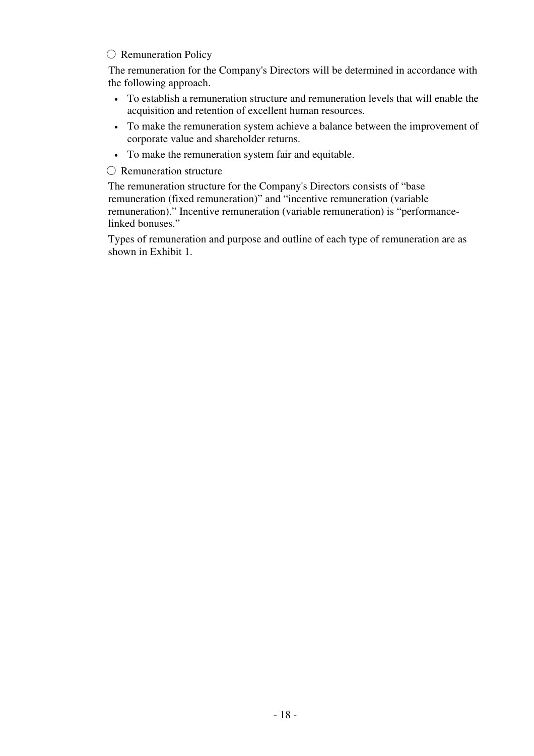#### ○ Remuneration Policy

The remuneration for the Company's Directors will be determined in accordance with the following approach.

- To establish a remuneration structure and remuneration levels that will enable the acquisition and retention of excellent human resources.
- To make the remuneration system achieve a balance between the improvement of corporate value and shareholder returns.
- To make the remuneration system fair and equitable.

○ Remuneration structure

The remuneration structure for the Company's Directors consists of "base remuneration (fixed remuneration)" and "incentive remuneration (variable remuneration)." Incentive remuneration (variable remuneration) is "performancelinked bonuses."

Types of remuneration and purpose and outline of each type of remuneration are as shown in Exhibit 1.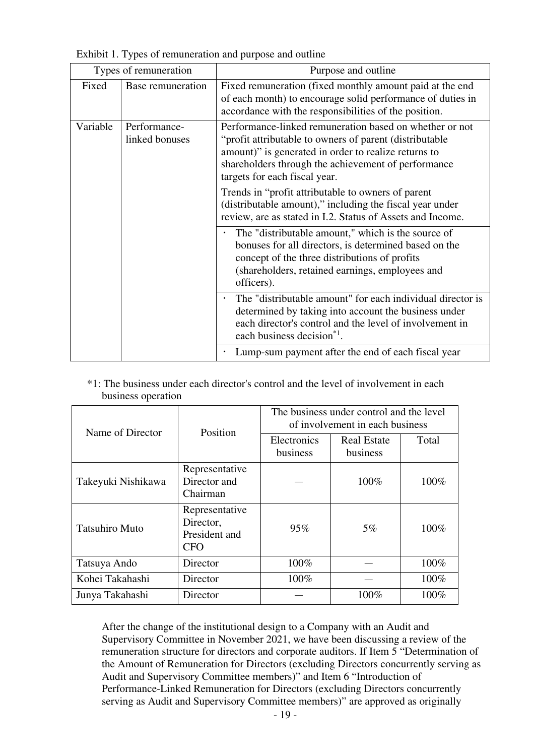|  | Exhibit 1. Types of remuneration and purpose and outline |  |  |
|--|----------------------------------------------------------|--|--|
|  |                                                          |  |  |

| Types of remuneration |                                | Purpose and outline                                                                                                                                                                                                                                                |
|-----------------------|--------------------------------|--------------------------------------------------------------------------------------------------------------------------------------------------------------------------------------------------------------------------------------------------------------------|
| Fixed                 | Base remuneration              | Fixed remuneration (fixed monthly amount paid at the end<br>of each month) to encourage solid performance of duties in<br>accordance with the responsibilities of the position.                                                                                    |
| Variable              | Performance-<br>linked bonuses | Performance-linked remuneration based on whether or not<br>"profit attributable to owners of parent (distributable<br>amount)" is generated in order to realize returns to<br>shareholders through the achievement of performance<br>targets for each fiscal year. |
|                       |                                | Trends in "profit attributable to owners of parent<br>(distributable amount)," including the fiscal year under<br>review, are as stated in I.2. Status of Assets and Income.                                                                                       |
|                       |                                | The "distributable amount," which is the source of<br>bonuses for all directors, is determined based on the<br>concept of the three distributions of profits<br>(shareholders, retained earnings, employees and<br>officers).                                      |
|                       |                                | The "distributable amount" for each individual director is<br>determined by taking into account the business under<br>each director's control and the level of involvement in<br>each business decision <sup>*1</sup> .                                            |
|                       |                                | Lump-sum payment after the end of each fiscal year                                                                                                                                                                                                                 |

| <sup>*</sup> 1: The business under each director's control and the level of involvement in each |  |  |
|-------------------------------------------------------------------------------------------------|--|--|
| business operation                                                                              |  |  |

| Name of Director      | Position                                                   | The business under control and the level<br>of involvement in each business |                                |       |
|-----------------------|------------------------------------------------------------|-----------------------------------------------------------------------------|--------------------------------|-------|
|                       |                                                            | Electronics<br>business                                                     | <b>Real Estate</b><br>business | Total |
| Takeyuki Nishikawa    | Representative<br>Director and<br>Chairman                 |                                                                             | 100%                           | 100%  |
| <b>Tatsuhiro Muto</b> | Representative<br>Director,<br>President and<br><b>CFO</b> | 95%                                                                         | $5\%$                          | 100%  |
| Tatsuya Ando          | Director                                                   | 100%                                                                        |                                | 100%  |
| Kohei Takahashi       | Director                                                   | 100%                                                                        |                                | 100%  |
| Junya Takahashi       | Director                                                   |                                                                             | 100%                           | 100%  |

After the change of the institutional design to a Company with an Audit and Supervisory Committee in November 2021, we have been discussing a review of the remuneration structure for directors and corporate auditors. If Item 5 "Determination of the Amount of Remuneration for Directors (excluding Directors concurrently serving as Audit and Supervisory Committee members)" and Item 6 "Introduction of Performance-Linked Remuneration for Directors (excluding Directors concurrently serving as Audit and Supervisory Committee members)" are approved as originally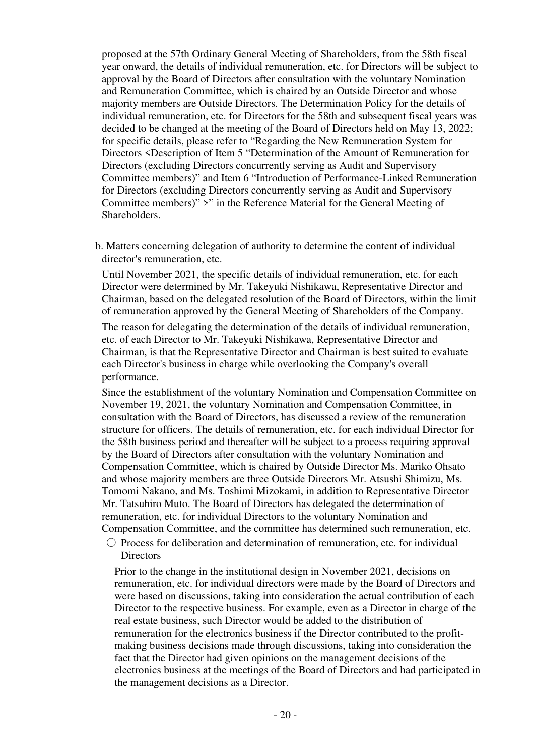proposed at the 57th Ordinary General Meeting of Shareholders, from the 58th fiscal year onward, the details of individual remuneration, etc. for Directors will be subject to approval by the Board of Directors after consultation with the voluntary Nomination and Remuneration Committee, which is chaired by an Outside Director and whose majority members are Outside Directors. The Determination Policy for the details of individual remuneration, etc. for Directors for the 58th and subsequent fiscal years was decided to be changed at the meeting of the Board of Directors held on May 13, 2022; for specific details, please refer to "Regarding the New Remuneration System for Directors <Description of Item 5 "Determination of the Amount of Remuneration for Directors (excluding Directors concurrently serving as Audit and Supervisory Committee members)" and Item 6 "Introduction of Performance-Linked Remuneration for Directors (excluding Directors concurrently serving as Audit and Supervisory Committee members)" >" in the Reference Material for the General Meeting of Shareholders.

b. Matters concerning delegation of authority to determine the content of individual director's remuneration, etc.

Until November 2021, the specific details of individual remuneration, etc. for each Director were determined by Mr. Takeyuki Nishikawa, Representative Director and Chairman, based on the delegated resolution of the Board of Directors, within the limit of remuneration approved by the General Meeting of Shareholders of the Company.

The reason for delegating the determination of the details of individual remuneration, etc. of each Director to Mr. Takeyuki Nishikawa, Representative Director and Chairman, is that the Representative Director and Chairman is best suited to evaluate each Director's business in charge while overlooking the Company's overall performance.

Since the establishment of the voluntary Nomination and Compensation Committee on November 19, 2021, the voluntary Nomination and Compensation Committee, in consultation with the Board of Directors, has discussed a review of the remuneration structure for officers. The details of remuneration, etc. for each individual Director for the 58th business period and thereafter will be subject to a process requiring approval by the Board of Directors after consultation with the voluntary Nomination and Compensation Committee, which is chaired by Outside Director Ms. Mariko Ohsato and whose majority members are three Outside Directors Mr. Atsushi Shimizu, Ms. Tomomi Nakano, and Ms. Toshimi Mizokami, in addition to Representative Director Mr. Tatsuhiro Muto. The Board of Directors has delegated the determination of remuneration, etc. for individual Directors to the voluntary Nomination and Compensation Committee, and the committee has determined such remuneration, etc.

 $\circ$  Process for deliberation and determination of remuneration, etc. for individual **Directors** 

Prior to the change in the institutional design in November 2021, decisions on remuneration, etc. for individual directors were made by the Board of Directors and were based on discussions, taking into consideration the actual contribution of each Director to the respective business. For example, even as a Director in charge of the real estate business, such Director would be added to the distribution of remuneration for the electronics business if the Director contributed to the profitmaking business decisions made through discussions, taking into consideration the fact that the Director had given opinions on the management decisions of the electronics business at the meetings of the Board of Directors and had participated in the management decisions as a Director.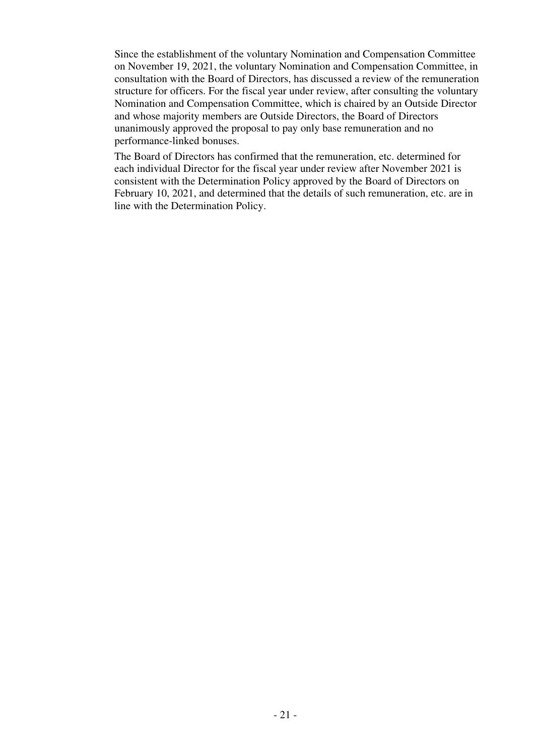Since the establishment of the voluntary Nomination and Compensation Committee on November 19, 2021, the voluntary Nomination and Compensation Committee, in consultation with the Board of Directors, has discussed a review of the remuneration structure for officers. For the fiscal year under review, after consulting the voluntary Nomination and Compensation Committee, which is chaired by an Outside Director and whose majority members are Outside Directors, the Board of Directors unanimously approved the proposal to pay only base remuneration and no performance-linked bonuses.

The Board of Directors has confirmed that the remuneration, etc. determined for each individual Director for the fiscal year under review after November 2021 is consistent with the Determination Policy approved by the Board of Directors on February 10, 2021, and determined that the details of such remuneration, etc. are in line with the Determination Policy.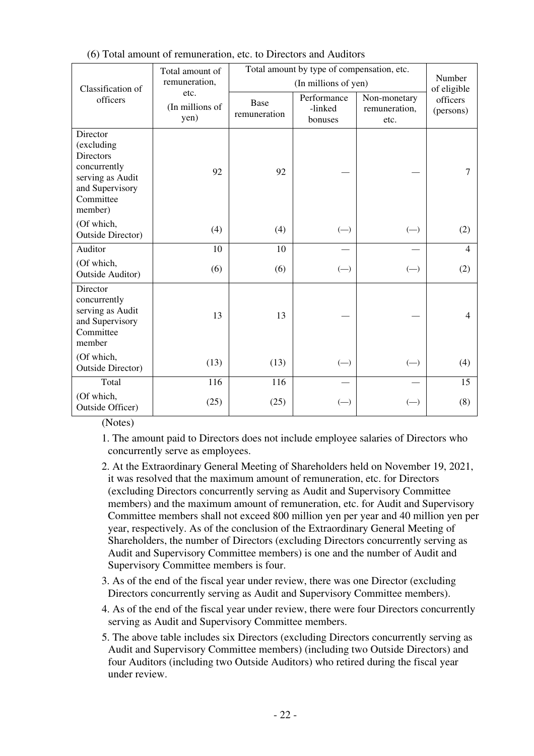|                                                                                                                           | Total amount of<br>remuneration, | Total amount by type of compensation, etc. | Number                                                    |                                                |                                      |
|---------------------------------------------------------------------------------------------------------------------------|----------------------------------|--------------------------------------------|-----------------------------------------------------------|------------------------------------------------|--------------------------------------|
| Classification of<br>officers                                                                                             | etc.<br>(In millions of<br>yen)  | Base<br>remuneration                       | (In millions of yen)<br>Performance<br>-linked<br>bonuses | Non-monetary<br>remuneration,<br>etc.          | of eligible<br>officers<br>(persons) |
| Director<br>(excluding<br><b>Directors</b><br>concurrently<br>serving as Audit<br>and Supervisory<br>Committee<br>member) | 92                               | 92                                         |                                                           |                                                |                                      |
| (Of which,<br><b>Outside Director)</b>                                                                                    | (4)                              | (4)                                        | $(-)$                                                     | $(-)$                                          | (2)                                  |
| Auditor                                                                                                                   | 10                               | 10                                         |                                                           |                                                | $\overline{4}$                       |
| (Of which,<br><b>Outside Auditor)</b>                                                                                     | (6)                              | (6)                                        | $\left( \begin{matrix} - \end{matrix} \right)$            | $(-)$                                          | (2)                                  |
| Director<br>concurrently<br>serving as Audit<br>and Supervisory<br>Committee<br>member                                    | 13                               | 13                                         |                                                           |                                                | $\overline{4}$                       |
| (Of which,<br><b>Outside Director)</b>                                                                                    | (13)                             | (13)                                       | $\left( \begin{matrix} - \end{matrix} \right)$            | $\left( \begin{matrix} - \end{matrix} \right)$ | (4)                                  |
| Total                                                                                                                     | 116                              | 116                                        |                                                           |                                                | 15                                   |
| (Of which,<br>Outside Officer)                                                                                            | (25)                             | (25)                                       | $(-)$                                                     | $(-)$                                          | (8)                                  |

(Notes)

1. The amount paid to Directors does not include employee salaries of Directors who concurrently serve as employees.

- 2. At the Extraordinary General Meeting of Shareholders held on November 19, 2021, it was resolved that the maximum amount of remuneration, etc. for Directors (excluding Directors concurrently serving as Audit and Supervisory Committee members) and the maximum amount of remuneration, etc. for Audit and Supervisory Committee members shall not exceed 800 million yen per year and 40 million yen per year, respectively. As of the conclusion of the Extraordinary General Meeting of Shareholders, the number of Directors (excluding Directors concurrently serving as Audit and Supervisory Committee members) is one and the number of Audit and Supervisory Committee members is four.
- 3. As of the end of the fiscal year under review, there was one Director (excluding Directors concurrently serving as Audit and Supervisory Committee members).
- 4. As of the end of the fiscal year under review, there were four Directors concurrently serving as Audit and Supervisory Committee members.
- 5. The above table includes six Directors (excluding Directors concurrently serving as Audit and Supervisory Committee members) (including two Outside Directors) and four Auditors (including two Outside Auditors) who retired during the fiscal year under review.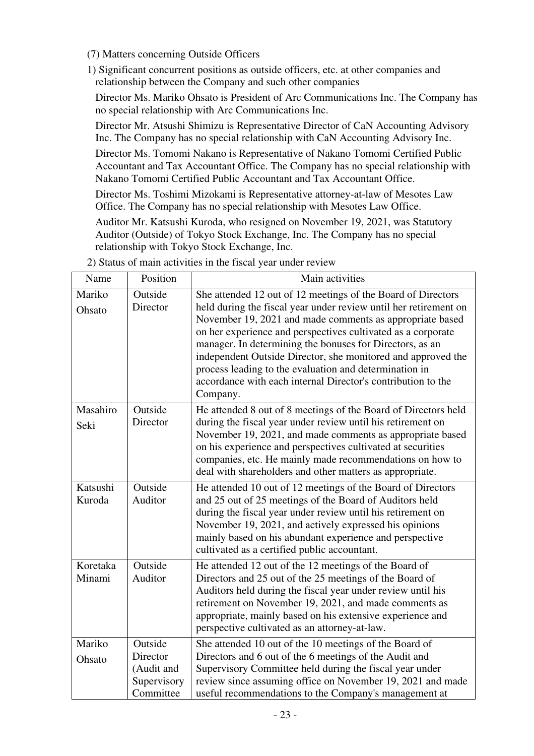(7) Matters concerning Outside Officers

1) Significant concurrent positions as outside officers, etc. at other companies and relationship between the Company and such other companies

Director Ms. Mariko Ohsato is President of Arc Communications Inc. The Company has no special relationship with Arc Communications Inc.

Director Mr. Atsushi Shimizu is Representative Director of CaN Accounting Advisory Inc. The Company has no special relationship with CaN Accounting Advisory Inc.

Director Ms. Tomomi Nakano is Representative of Nakano Tomomi Certified Public Accountant and Tax Accountant Office. The Company has no special relationship with Nakano Tomomi Certified Public Accountant and Tax Accountant Office.

Director Ms. Toshimi Mizokami is Representative attorney-at-law of Mesotes Law Office. The Company has no special relationship with Mesotes Law Office.

Auditor Mr. Katsushi Kuroda, who resigned on November 19, 2021, was Statutory Auditor (Outside) of Tokyo Stock Exchange, Inc. The Company has no special relationship with Tokyo Stock Exchange, Inc.

| Name               | Position                                                      | Main activities                                                                                                                                                                                                                                                                                                                                                                                                                                                                                                                |
|--------------------|---------------------------------------------------------------|--------------------------------------------------------------------------------------------------------------------------------------------------------------------------------------------------------------------------------------------------------------------------------------------------------------------------------------------------------------------------------------------------------------------------------------------------------------------------------------------------------------------------------|
| Mariko<br>Ohsato   | Outside<br>Director                                           | She attended 12 out of 12 meetings of the Board of Directors<br>held during the fiscal year under review until her retirement on<br>November 19, 2021 and made comments as appropriate based<br>on her experience and perspectives cultivated as a corporate<br>manager. In determining the bonuses for Directors, as an<br>independent Outside Director, she monitored and approved the<br>process leading to the evaluation and determination in<br>accordance with each internal Director's contribution to the<br>Company. |
| Masahiro<br>Seki   | Outside<br>Director                                           | He attended 8 out of 8 meetings of the Board of Directors held<br>during the fiscal year under review until his retirement on<br>November 19, 2021, and made comments as appropriate based<br>on his experience and perspectives cultivated at securities<br>companies, etc. He mainly made recommendations on how to<br>deal with shareholders and other matters as appropriate.                                                                                                                                              |
| Katsushi<br>Kuroda | Outside<br>Auditor                                            | He attended 10 out of 12 meetings of the Board of Directors<br>and 25 out of 25 meetings of the Board of Auditors held<br>during the fiscal year under review until his retirement on<br>November 19, 2021, and actively expressed his opinions<br>mainly based on his abundant experience and perspective<br>cultivated as a certified public accountant.                                                                                                                                                                     |
| Koretaka<br>Minami | Outside<br>Auditor                                            | He attended 12 out of the 12 meetings of the Board of<br>Directors and 25 out of the 25 meetings of the Board of<br>Auditors held during the fiscal year under review until his<br>retirement on November 19, 2021, and made comments as<br>appropriate, mainly based on his extensive experience and<br>perspective cultivated as an attorney-at-law.                                                                                                                                                                         |
| Mariko<br>Ohsato   | Outside<br>Director<br>(Audit and<br>Supervisory<br>Committee | She attended 10 out of the 10 meetings of the Board of<br>Directors and 6 out of the 6 meetings of the Audit and<br>Supervisory Committee held during the fiscal year under<br>review since assuming office on November 19, 2021 and made<br>useful recommendations to the Company's management at                                                                                                                                                                                                                             |

2) Status of main activities in the fiscal year under review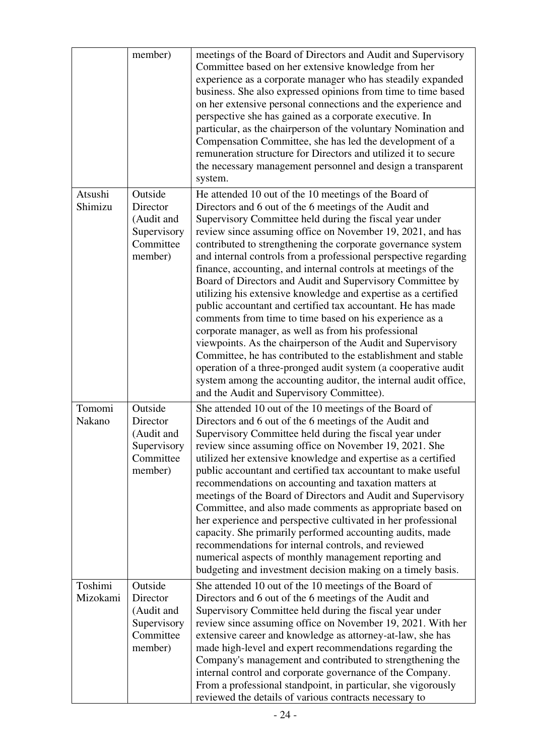|                     | member)                                                                  | meetings of the Board of Directors and Audit and Supervisory<br>Committee based on her extensive knowledge from her<br>experience as a corporate manager who has steadily expanded<br>business. She also expressed opinions from time to time based<br>on her extensive personal connections and the experience and<br>perspective she has gained as a corporate executive. In<br>particular, as the chairperson of the voluntary Nomination and<br>Compensation Committee, she has led the development of a<br>remuneration structure for Directors and utilized it to secure<br>the necessary management personnel and design a transparent<br>system.                                                                                                                                                                                                                                                                                                                                                                                                                       |
|---------------------|--------------------------------------------------------------------------|--------------------------------------------------------------------------------------------------------------------------------------------------------------------------------------------------------------------------------------------------------------------------------------------------------------------------------------------------------------------------------------------------------------------------------------------------------------------------------------------------------------------------------------------------------------------------------------------------------------------------------------------------------------------------------------------------------------------------------------------------------------------------------------------------------------------------------------------------------------------------------------------------------------------------------------------------------------------------------------------------------------------------------------------------------------------------------|
| Atsushi<br>Shimizu  | Outside<br>Director<br>(Audit and<br>Supervisory<br>Committee<br>member) | He attended 10 out of the 10 meetings of the Board of<br>Directors and 6 out of the 6 meetings of the Audit and<br>Supervisory Committee held during the fiscal year under<br>review since assuming office on November 19, 2021, and has<br>contributed to strengthening the corporate governance system<br>and internal controls from a professional perspective regarding<br>finance, accounting, and internal controls at meetings of the<br>Board of Directors and Audit and Supervisory Committee by<br>utilizing his extensive knowledge and expertise as a certified<br>public accountant and certified tax accountant. He has made<br>comments from time to time based on his experience as a<br>corporate manager, as well as from his professional<br>viewpoints. As the chairperson of the Audit and Supervisory<br>Committee, he has contributed to the establishment and stable<br>operation of a three-pronged audit system (a cooperative audit<br>system among the accounting auditor, the internal audit office,<br>and the Audit and Supervisory Committee). |
| Tomomi<br>Nakano    | Outside<br>Director<br>(Audit and<br>Supervisory<br>Committee<br>member) | She attended 10 out of the 10 meetings of the Board of<br>Directors and 6 out of the 6 meetings of the Audit and<br>Supervisory Committee held during the fiscal year under<br>review since assuming office on November 19, 2021. She<br>utilized her extensive knowledge and expertise as a certified<br>public accountant and certified tax accountant to make useful<br>recommendations on accounting and taxation matters at<br>meetings of the Board of Directors and Audit and Supervisory<br>Committee, and also made comments as appropriate based on<br>her experience and perspective cultivated in her professional<br>capacity. She primarily performed accounting audits, made<br>recommendations for internal controls, and reviewed<br>numerical aspects of monthly management reporting and<br>budgeting and investment decision making on a timely basis.                                                                                                                                                                                                     |
| Toshimi<br>Mizokami | Outside<br>Director<br>(Audit and<br>Supervisory<br>Committee<br>member) | She attended 10 out of the 10 meetings of the Board of<br>Directors and 6 out of the 6 meetings of the Audit and<br>Supervisory Committee held during the fiscal year under<br>review since assuming office on November 19, 2021. With her<br>extensive career and knowledge as attorney-at-law, she has<br>made high-level and expert recommendations regarding the<br>Company's management and contributed to strengthening the<br>internal control and corporate governance of the Company.<br>From a professional standpoint, in particular, she vigorously<br>reviewed the details of various contracts necessary to                                                                                                                                                                                                                                                                                                                                                                                                                                                      |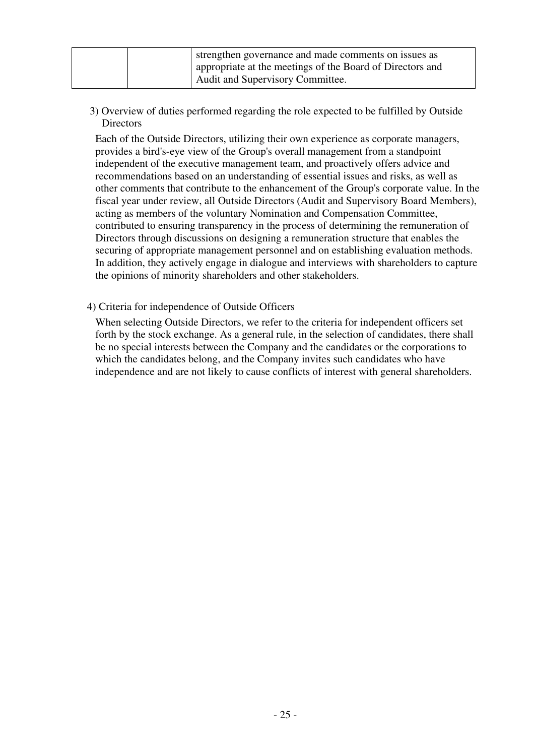| strengthen governance and made comments on issues as<br>appropriate at the meetings of the Board of Directors and |
|-------------------------------------------------------------------------------------------------------------------|
| Audit and Supervisory Committee.                                                                                  |

 3) Overview of duties performed regarding the role expected to be fulfilled by Outside **Directors** 

Each of the Outside Directors, utilizing their own experience as corporate managers, provides a bird's-eye view of the Group's overall management from a standpoint independent of the executive management team, and proactively offers advice and recommendations based on an understanding of essential issues and risks, as well as other comments that contribute to the enhancement of the Group's corporate value. In the fiscal year under review, all Outside Directors (Audit and Supervisory Board Members), acting as members of the voluntary Nomination and Compensation Committee, contributed to ensuring transparency in the process of determining the remuneration of Directors through discussions on designing a remuneration structure that enables the securing of appropriate management personnel and on establishing evaluation methods. In addition, they actively engage in dialogue and interviews with shareholders to capture the opinions of minority shareholders and other stakeholders.

4) Criteria for independence of Outside Officers

When selecting Outside Directors, we refer to the criteria for independent officers set forth by the stock exchange. As a general rule, in the selection of candidates, there shall be no special interests between the Company and the candidates or the corporations to which the candidates belong, and the Company invites such candidates who have independence and are not likely to cause conflicts of interest with general shareholders.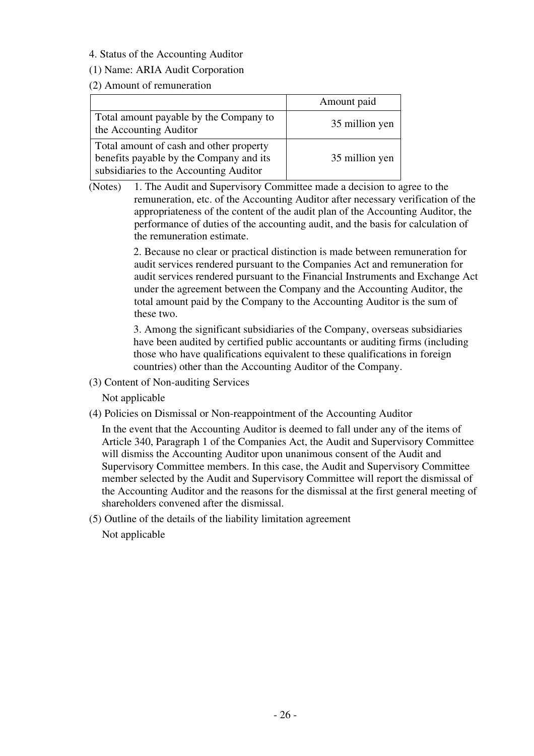4. Status of the Accounting Auditor

#### (1) Name: ARIA Audit Corporation

(2) Amount of remuneration

|                                                                                                                              | Amount paid    |
|------------------------------------------------------------------------------------------------------------------------------|----------------|
| Total amount payable by the Company to<br>the Accounting Auditor                                                             | 35 million yen |
| Total amount of cash and other property<br>benefits payable by the Company and its<br>subsidiaries to the Accounting Auditor | 35 million yen |

(Notes) 1. The Audit and Supervisory Committee made a decision to agree to the remuneration, etc. of the Accounting Auditor after necessary verification of the appropriateness of the content of the audit plan of the Accounting Auditor, the performance of duties of the accounting audit, and the basis for calculation of the remuneration estimate.

> 2. Because no clear or practical distinction is made between remuneration for audit services rendered pursuant to the Companies Act and remuneration for audit services rendered pursuant to the Financial Instruments and Exchange Act under the agreement between the Company and the Accounting Auditor, the total amount paid by the Company to the Accounting Auditor is the sum of these two.

3. Among the significant subsidiaries of the Company, overseas subsidiaries have been audited by certified public accountants or auditing firms (including those who have qualifications equivalent to these qualifications in foreign countries) other than the Accounting Auditor of the Company.

(3) Content of Non-auditing Services

Not applicable

(4) Policies on Dismissal or Non-reappointment of the Accounting Auditor

In the event that the Accounting Auditor is deemed to fall under any of the items of Article 340, Paragraph 1 of the Companies Act, the Audit and Supervisory Committee will dismiss the Accounting Auditor upon unanimous consent of the Audit and Supervisory Committee members. In this case, the Audit and Supervisory Committee member selected by the Audit and Supervisory Committee will report the dismissal of the Accounting Auditor and the reasons for the dismissal at the first general meeting of shareholders convened after the dismissal.

(5) Outline of the details of the liability limitation agreement Not applicable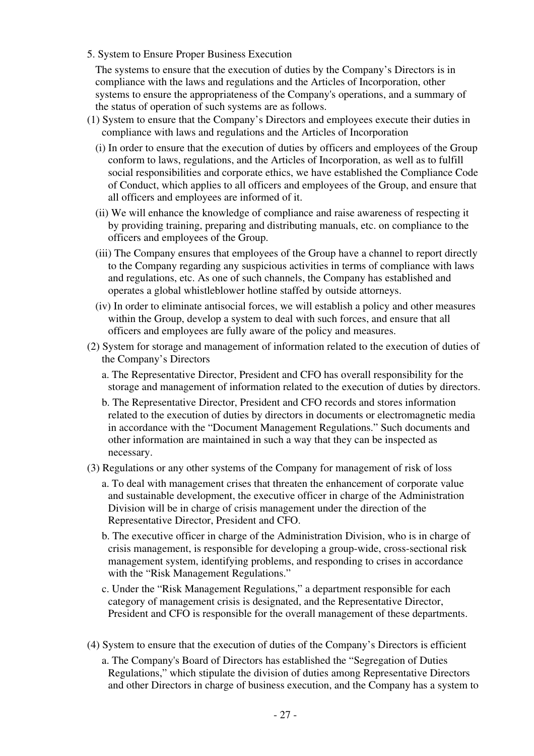5. System to Ensure Proper Business Execution

The systems to ensure that the execution of duties by the Company's Directors is in compliance with the laws and regulations and the Articles of Incorporation, other systems to ensure the appropriateness of the Company's operations, and a summary of the status of operation of such systems are as follows.

- (1) System to ensure that the Company's Directors and employees execute their duties in compliance with laws and regulations and the Articles of Incorporation
	- (i) In order to ensure that the execution of duties by officers and employees of the Group conform to laws, regulations, and the Articles of Incorporation, as well as to fulfill social responsibilities and corporate ethics, we have established the Compliance Code of Conduct, which applies to all officers and employees of the Group, and ensure that all officers and employees are informed of it.
	- (ii) We will enhance the knowledge of compliance and raise awareness of respecting it by providing training, preparing and distributing manuals, etc. on compliance to the officers and employees of the Group.
	- (iii) The Company ensures that employees of the Group have a channel to report directly to the Company regarding any suspicious activities in terms of compliance with laws and regulations, etc. As one of such channels, the Company has established and operates a global whistleblower hotline staffed by outside attorneys.
	- (iv) In order to eliminate antisocial forces, we will establish a policy and other measures within the Group, develop a system to deal with such forces, and ensure that all officers and employees are fully aware of the policy and measures.
- (2) System for storage and management of information related to the execution of duties of the Company's Directors
	- a. The Representative Director, President and CFO has overall responsibility for the storage and management of information related to the execution of duties by directors.
	- b. The Representative Director, President and CFO records and stores information related to the execution of duties by directors in documents or electromagnetic media in accordance with the "Document Management Regulations." Such documents and other information are maintained in such a way that they can be inspected as necessary.
- (3) Regulations or any other systems of the Company for management of risk of loss
	- a. To deal with management crises that threaten the enhancement of corporate value and sustainable development, the executive officer in charge of the Administration Division will be in charge of crisis management under the direction of the Representative Director, President and CFO.
	- b. The executive officer in charge of the Administration Division, who is in charge of crisis management, is responsible for developing a group-wide, cross-sectional risk management system, identifying problems, and responding to crises in accordance with the "Risk Management Regulations."
	- c. Under the "Risk Management Regulations," a department responsible for each category of management crisis is designated, and the Representative Director, President and CFO is responsible for the overall management of these departments.
- (4) System to ensure that the execution of duties of the Company's Directors is efficient
	- a. The Company's Board of Directors has established the "Segregation of Duties Regulations," which stipulate the division of duties among Representative Directors and other Directors in charge of business execution, and the Company has a system to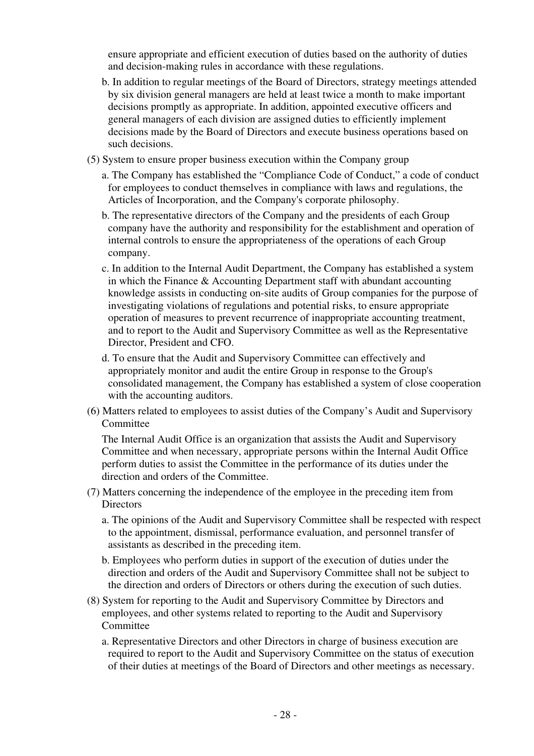ensure appropriate and efficient execution of duties based on the authority of duties and decision-making rules in accordance with these regulations.

- b. In addition to regular meetings of the Board of Directors, strategy meetings attended by six division general managers are held at least twice a month to make important decisions promptly as appropriate. In addition, appointed executive officers and general managers of each division are assigned duties to efficiently implement decisions made by the Board of Directors and execute business operations based on such decisions.
- (5) System to ensure proper business execution within the Company group
	- a. The Company has established the "Compliance Code of Conduct," a code of conduct for employees to conduct themselves in compliance with laws and regulations, the Articles of Incorporation, and the Company's corporate philosophy.
	- b. The representative directors of the Company and the presidents of each Group company have the authority and responsibility for the establishment and operation of internal controls to ensure the appropriateness of the operations of each Group company.
	- c. In addition to the Internal Audit Department, the Company has established a system in which the Finance & Accounting Department staff with abundant accounting knowledge assists in conducting on-site audits of Group companies for the purpose of investigating violations of regulations and potential risks, to ensure appropriate operation of measures to prevent recurrence of inappropriate accounting treatment, and to report to the Audit and Supervisory Committee as well as the Representative Director, President and CFO.
	- d. To ensure that the Audit and Supervisory Committee can effectively and appropriately monitor and audit the entire Group in response to the Group's consolidated management, the Company has established a system of close cooperation with the accounting auditors.
- (6) Matters related to employees to assist duties of the Company's Audit and Supervisory **Committee**

The Internal Audit Office is an organization that assists the Audit and Supervisory Committee and when necessary, appropriate persons within the Internal Audit Office perform duties to assist the Committee in the performance of its duties under the direction and orders of the Committee.

- (7) Matters concerning the independence of the employee in the preceding item from **Directors** 
	- a. The opinions of the Audit and Supervisory Committee shall be respected with respect to the appointment, dismissal, performance evaluation, and personnel transfer of assistants as described in the preceding item.
	- b. Employees who perform duties in support of the execution of duties under the direction and orders of the Audit and Supervisory Committee shall not be subject to the direction and orders of Directors or others during the execution of such duties.
- (8) System for reporting to the Audit and Supervisory Committee by Directors and employees, and other systems related to reporting to the Audit and Supervisory **Committee** 
	- a. Representative Directors and other Directors in charge of business execution are required to report to the Audit and Supervisory Committee on the status of execution of their duties at meetings of the Board of Directors and other meetings as necessary.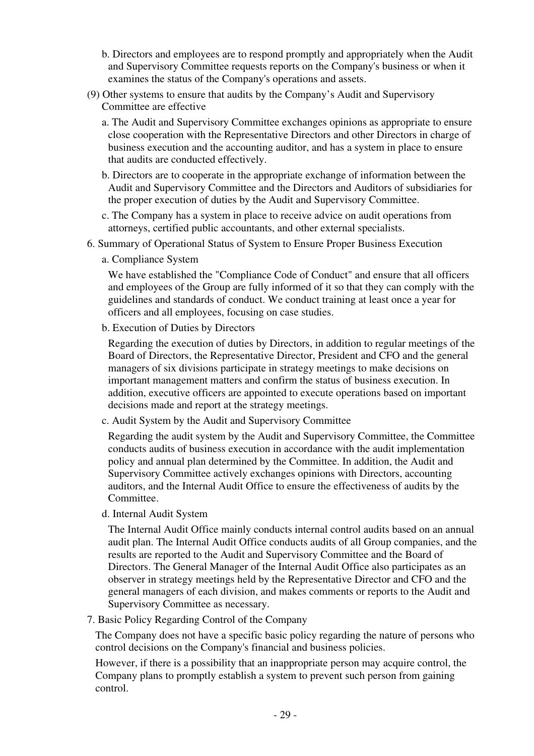- b. Directors and employees are to respond promptly and appropriately when the Audit and Supervisory Committee requests reports on the Company's business or when it examines the status of the Company's operations and assets.
- (9) Other systems to ensure that audits by the Company's Audit and Supervisory Committee are effective
	- a. The Audit and Supervisory Committee exchanges opinions as appropriate to ensure close cooperation with the Representative Directors and other Directors in charge of business execution and the accounting auditor, and has a system in place to ensure that audits are conducted effectively.
	- b. Directors are to cooperate in the appropriate exchange of information between the Audit and Supervisory Committee and the Directors and Auditors of subsidiaries for the proper execution of duties by the Audit and Supervisory Committee.
	- c. The Company has a system in place to receive advice on audit operations from attorneys, certified public accountants, and other external specialists.
- 6. Summary of Operational Status of System to Ensure Proper Business Execution
	- a. Compliance System

We have established the "Compliance Code of Conduct" and ensure that all officers and employees of the Group are fully informed of it so that they can comply with the guidelines and standards of conduct. We conduct training at least once a year for officers and all employees, focusing on case studies.

b. Execution of Duties by Directors

Regarding the execution of duties by Directors, in addition to regular meetings of the Board of Directors, the Representative Director, President and CFO and the general managers of six divisions participate in strategy meetings to make decisions on important management matters and confirm the status of business execution. In addition, executive officers are appointed to execute operations based on important decisions made and report at the strategy meetings.

c. Audit System by the Audit and Supervisory Committee

Regarding the audit system by the Audit and Supervisory Committee, the Committee conducts audits of business execution in accordance with the audit implementation policy and annual plan determined by the Committee. In addition, the Audit and Supervisory Committee actively exchanges opinions with Directors, accounting auditors, and the Internal Audit Office to ensure the effectiveness of audits by the Committee.

d. Internal Audit System

The Internal Audit Office mainly conducts internal control audits based on an annual audit plan. The Internal Audit Office conducts audits of all Group companies, and the results are reported to the Audit and Supervisory Committee and the Board of Directors. The General Manager of the Internal Audit Office also participates as an observer in strategy meetings held by the Representative Director and CFO and the general managers of each division, and makes comments or reports to the Audit and Supervisory Committee as necessary.

7. Basic Policy Regarding Control of the Company

The Company does not have a specific basic policy regarding the nature of persons who control decisions on the Company's financial and business policies.

However, if there is a possibility that an inappropriate person may acquire control, the Company plans to promptly establish a system to prevent such person from gaining control.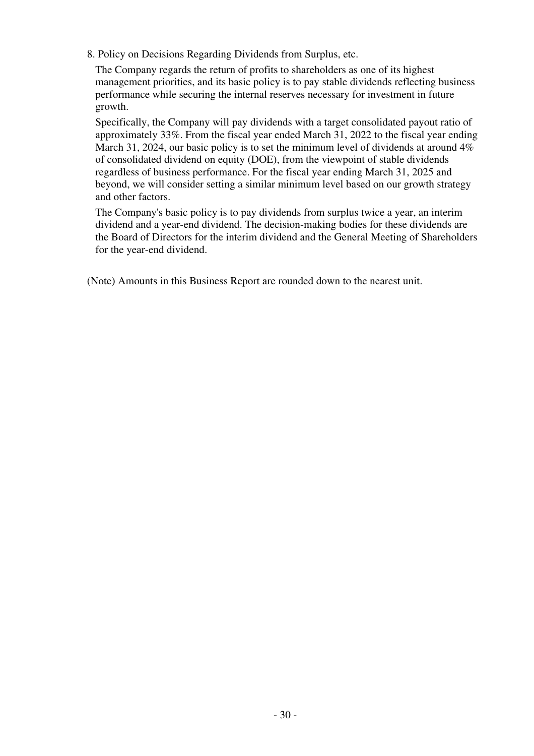8. Policy on Decisions Regarding Dividends from Surplus, etc.

The Company regards the return of profits to shareholders as one of its highest management priorities, and its basic policy is to pay stable dividends reflecting business performance while securing the internal reserves necessary for investment in future growth.

Specifically, the Company will pay dividends with a target consolidated payout ratio of approximately 33%. From the fiscal year ended March 31, 2022 to the fiscal year ending March 31, 2024, our basic policy is to set the minimum level of dividends at around 4% of consolidated dividend on equity (DOE), from the viewpoint of stable dividends regardless of business performance. For the fiscal year ending March 31, 2025 and beyond, we will consider setting a similar minimum level based on our growth strategy and other factors.

The Company's basic policy is to pay dividends from surplus twice a year, an interim dividend and a year-end dividend. The decision-making bodies for these dividends are the Board of Directors for the interim dividend and the General Meeting of Shareholders for the year-end dividend.

(Note) Amounts in this Business Report are rounded down to the nearest unit.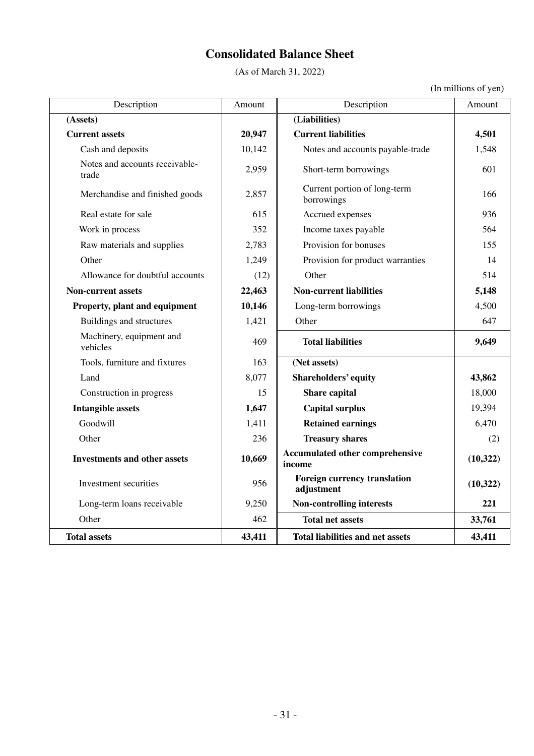# **Consolidated Balance Sheet**

(As of March 31, 2022)

|  | (In millions of yen) |  |
|--|----------------------|--|
|  |                      |  |

| Description                             | Amount | Description                                | Amount    |
|-----------------------------------------|--------|--------------------------------------------|-----------|
| (Assets)                                |        | (Liabilities)                              |           |
| <b>Current assets</b>                   | 20,947 | <b>Current liabilities</b>                 | 4,501     |
| Cash and deposits                       | 10,142 | Notes and accounts payable-trade           | 1,548     |
| Notes and accounts receivable-<br>trade | 2,959  | Short-term borrowings                      | 601       |
| Merchandise and finished goods          | 2,857  | Current portion of long-term<br>borrowings | 166       |
| Real estate for sale                    | 615    | Accrued expenses                           | 936       |
| Work in process                         | 352    | Income taxes payable                       | 564       |
| Raw materials and supplies              | 2,783  | Provision for bonuses                      | 155       |
| Other                                   | 1,249  | Provision for product warranties           | 14        |
| Allowance for doubtful accounts         | (12)   | Other                                      | 514       |
| <b>Non-current assets</b>               | 22,463 | <b>Non-current liabilities</b>             | 5,148     |
| Property, plant and equipment           | 10,146 | Long-term borrowings                       | 4,500     |
| <b>Buildings and structures</b>         | 1,421  | Other                                      | 647       |
| Machinery, equipment and<br>vehicles    | 469    | <b>Total liabilities</b>                   | 9,649     |
| Tools, furniture and fixtures           | 163    | (Net assets)                               |           |
| Land                                    | 8,077  | <b>Shareholders' equity</b>                | 43,862    |
| Construction in progress                | 15     | Share capital                              | 18,000    |
| <b>Intangible assets</b>                | 1,647  | <b>Capital surplus</b>                     | 19,394    |
| Goodwill                                | 1,411  | <b>Retained earnings</b>                   | 6,470     |
| Other                                   | 236    | <b>Treasury shares</b>                     | (2)       |
| <b>Investments and other assets</b>     | 10,669 | Accumulated other comprehensive<br>income  | (10, 322) |
| Investment securities                   | 956    | Foreign currency translation<br>adjustment | (10, 322) |
| Long-term loans receivable              | 9,250  | <b>Non-controlling interests</b>           | 221       |
| Other                                   | 462    | <b>Total net assets</b>                    | 33,761    |
| <b>Total assets</b>                     | 43,411 | <b>Total liabilities and net assets</b>    | 43,411    |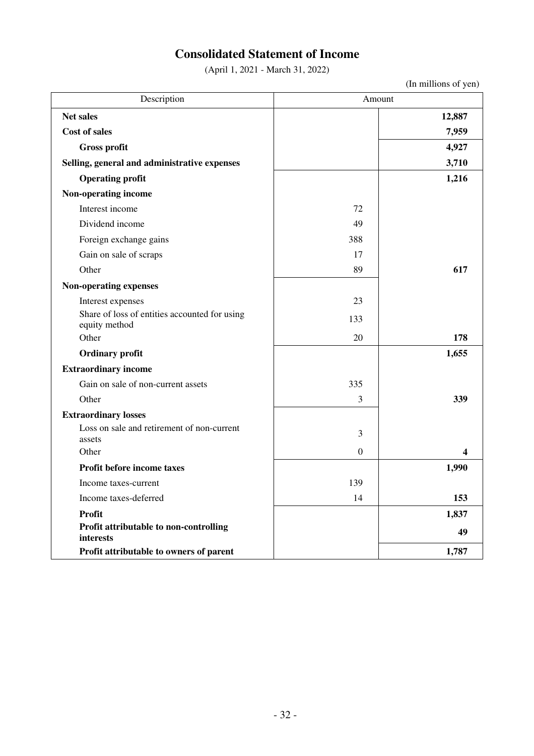# **Consolidated Statement of Income**

(April 1, 2021 - March 31, 2022)

(In millions of yen)

| Description                                                    | Amount           |                         |
|----------------------------------------------------------------|------------------|-------------------------|
| <b>Net sales</b>                                               |                  | 12,887                  |
| <b>Cost of sales</b>                                           |                  | 7,959                   |
| <b>Gross profit</b>                                            |                  | 4,927                   |
| Selling, general and administrative expenses                   |                  | 3,710                   |
| <b>Operating profit</b>                                        |                  | 1,216                   |
| Non-operating income                                           |                  |                         |
| Interest income                                                | 72               |                         |
| Dividend income                                                | 49               |                         |
| Foreign exchange gains                                         | 388              |                         |
| Gain on sale of scraps                                         | 17               |                         |
| Other                                                          | 89               | 617                     |
| Non-operating expenses                                         |                  |                         |
| Interest expenses                                              | 23               |                         |
| Share of loss of entities accounted for using<br>equity method | 133              |                         |
| Other                                                          | 20               | 178                     |
| <b>Ordinary profit</b>                                         |                  | 1,655                   |
| <b>Extraordinary income</b>                                    |                  |                         |
| Gain on sale of non-current assets                             | 335              |                         |
| Other                                                          | 3                | 339                     |
| <b>Extraordinary losses</b>                                    |                  |                         |
| Loss on sale and retirement of non-current<br>assets           | 3                |                         |
| Other                                                          | $\boldsymbol{0}$ | $\overline{\mathbf{4}}$ |
| Profit before income taxes                                     |                  | 1,990                   |
| Income taxes-current                                           | 139              |                         |
| Income taxes-deferred                                          | 14               | 153                     |
| <b>Profit</b>                                                  |                  | 1,837                   |
| Profit attributable to non-controlling<br>interests            |                  | 49                      |
| Profit attributable to owners of parent                        |                  | 1,787                   |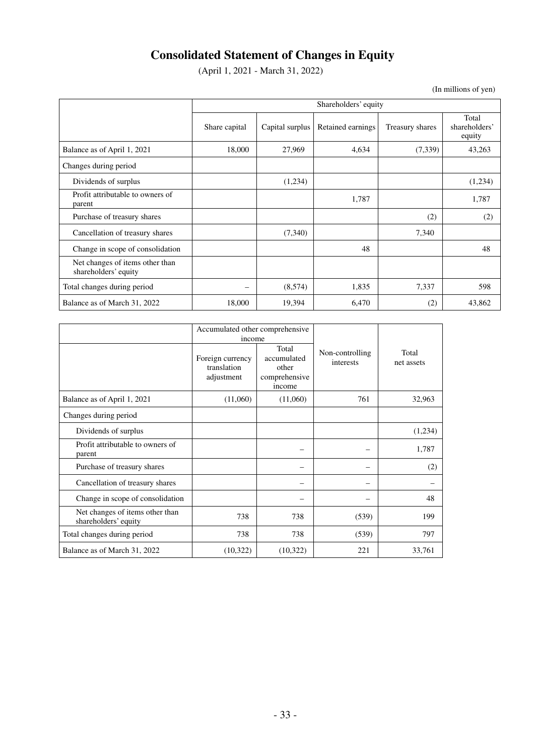# **Consolidated Statement of Changes in Equity**

(April 1, 2021 - March 31, 2022)

(In millions of yen)

|                                                         | Shareholders' equity |                 |                   |                 |                                  |
|---------------------------------------------------------|----------------------|-----------------|-------------------|-----------------|----------------------------------|
|                                                         | Share capital        | Capital surplus | Retained earnings | Treasury shares | Total<br>shareholders'<br>equity |
| Balance as of April 1, 2021                             | 18,000               | 27,969          | 4,634             | (7,339)         | 43,263                           |
| Changes during period                                   |                      |                 |                   |                 |                                  |
| Dividends of surplus                                    |                      | (1,234)         |                   |                 | (1,234)                          |
| Profit attributable to owners of<br>parent              |                      |                 | 1,787             |                 | 1,787                            |
| Purchase of treasury shares                             |                      |                 |                   | (2)             | (2)                              |
| Cancellation of treasury shares                         |                      | (7,340)         |                   | 7,340           |                                  |
| Change in scope of consolidation                        |                      |                 | 48                |                 | 48                               |
| Net changes of items other than<br>shareholders' equity |                      |                 |                   |                 |                                  |
| Total changes during period                             |                      | (8,574)         | 1,835             | 7,337           | 598                              |
| Balance as of March 31, 2022                            | 18,000               | 19,394          | 6,470             | (2)             | 43,862                           |

|                                                         | Accumulated other comprehensive<br>income     |                                                          |                              |                     |
|---------------------------------------------------------|-----------------------------------------------|----------------------------------------------------------|------------------------------|---------------------|
|                                                         | Foreign currency<br>translation<br>adjustment | Total<br>accumulated<br>other<br>comprehensive<br>income | Non-controlling<br>interests | Total<br>net assets |
| Balance as of April 1, 2021                             | (11,060)                                      | (11,060)                                                 | 761                          | 32,963              |
| Changes during period                                   |                                               |                                                          |                              |                     |
| Dividends of surplus                                    |                                               |                                                          |                              | (1,234)             |
| Profit attributable to owners of<br>parent              |                                               |                                                          |                              | 1,787               |
| Purchase of treasury shares                             |                                               |                                                          |                              | (2)                 |
| Cancellation of treasury shares                         |                                               |                                                          |                              |                     |
| Change in scope of consolidation                        |                                               |                                                          |                              | 48                  |
| Net changes of items other than<br>shareholders' equity | 738                                           | 738                                                      | (539)                        | 199                 |
| Total changes during period                             | 738                                           | 738                                                      | (539)                        | 797                 |
| Balance as of March 31, 2022                            | (10,322)                                      | (10, 322)                                                | 221                          | 33,761              |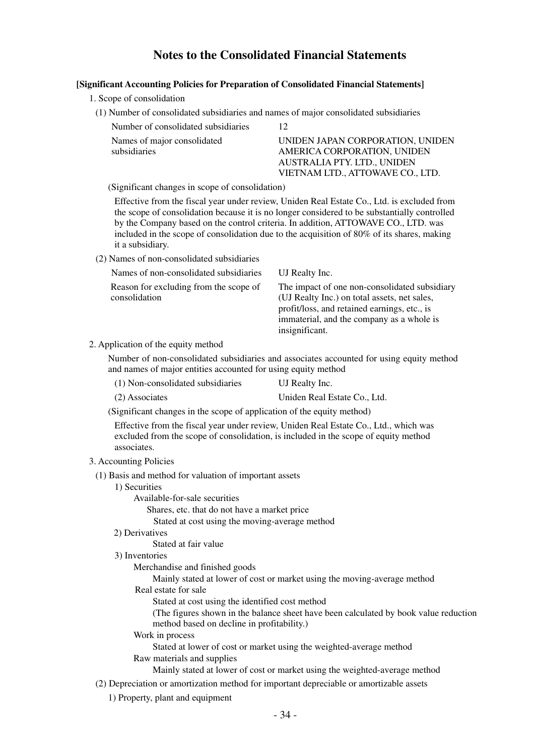# **Notes to the Consolidated Financial Statements**

#### **[Significant Accounting Policies for Preparation of Consolidated Financial Statements]**

- 1. Scope of consolidation
	- (1) Number of consolidated subsidiaries and names of major consolidated subsidiaries

| Number of consolidated subsidiaries         |                                                                                                                                    |
|---------------------------------------------|------------------------------------------------------------------------------------------------------------------------------------|
| Names of major consolidated<br>subsidiaries | UNIDEN JAPAN CORPORATION, UNIDEN<br>AMERICA CORPORATION, UNIDEN<br>AUSTRALIA PTY. LTD., UNIDEN<br>VIETNAM LTD., ATTOWAVE CO., LTD. |
|                                             |                                                                                                                                    |

(Significant changes in scope of consolidation)

Effective from the fiscal year under review, Uniden Real Estate Co., Ltd. is excluded from the scope of consolidation because it is no longer considered to be substantially controlled by the Company based on the control criteria. In addition, ATTOWAVE CO., LTD. was included in the scope of consolidation due to the acquisition of 80% of its shares, making it a subsidiary.

(2) Names of non-consolidated subsidiaries

| Names of non-consolidated subsidiaries<br>UJ Realty Inc. |                                                                                                                                                                                                              |
|----------------------------------------------------------|--------------------------------------------------------------------------------------------------------------------------------------------------------------------------------------------------------------|
| Reason for excluding from the scope of<br>consolidation  | The impact of one non-consolidated subsidiary<br>(UJ Realty Inc.) on total assets, net sales,<br>profit/loss, and retained earnings, etc., is<br>immaterial, and the company as a whole is<br>insignificant. |

2. Application of the equity method

Number of non-consolidated subsidiaries and associates accounted for using equity method and names of major entities accounted for using equity method

| (1) Non-consolidated subsidiaries | UJ Realty Inc.               |
|-----------------------------------|------------------------------|
| (2) Associates                    | Uniden Real Estate Co., Ltd. |

(Significant changes in the scope of application of the equity method)

Effective from the fiscal year under review, Uniden Real Estate Co., Ltd., which was excluded from the scope of consolidation, is included in the scope of equity method associates.

#### 3. Accounting Policies

(1) Basis and method for valuation of important assets

- 1) Securities
	- Available-for-sale securities
		- Shares, etc. that do not have a market price
		- Stated at cost using the moving-average method
- 2) Derivatives

Stated at fair value

3) Inventories

#### Merchandise and finished goods

Mainly stated at lower of cost or market using the moving-average method

Real estate for sale

Stated at cost using the identified cost method

(The figures shown in the balance sheet have been calculated by book value reduction method based on decline in profitability.)

#### Work in process

Stated at lower of cost or market using the weighted-average method Raw materials and supplies

Mainly stated at lower of cost or market using the weighted-average method

(2) Depreciation or amortization method for important depreciable or amortizable assets

1) Property, plant and equipment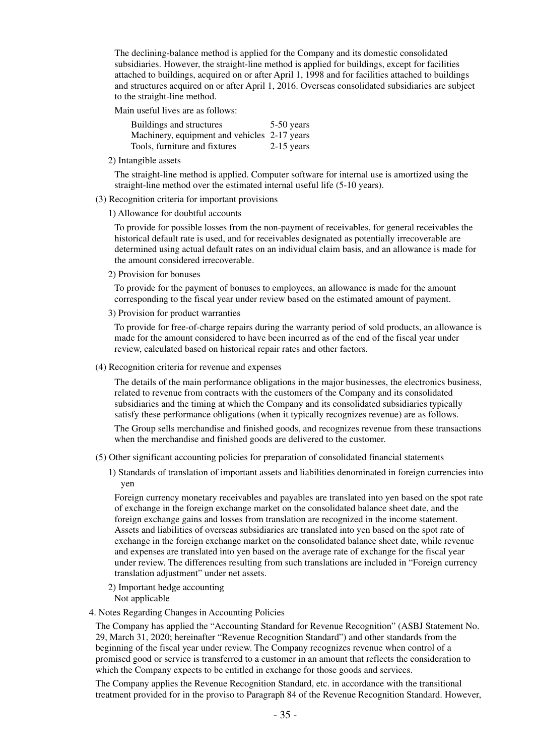The declining-balance method is applied for the Company and its domestic consolidated subsidiaries. However, the straight-line method is applied for buildings, except for facilities attached to buildings, acquired on or after April 1, 1998 and for facilities attached to buildings and structures acquired on or after April 1, 2016. Overseas consolidated subsidiaries are subject to the straight-line method.

Main useful lives are as follows:

| Buildings and structures                     | 5-50 years   |
|----------------------------------------------|--------------|
| Machinery, equipment and vehicles 2-17 years |              |
| Tools, furniture and fixtures                | $2-15$ years |

2) Intangible assets

The straight-line method is applied. Computer software for internal use is amortized using the straight-line method over the estimated internal useful life (5-10 years).

#### (3) Recognition criteria for important provisions

1) Allowance for doubtful accounts

To provide for possible losses from the non-payment of receivables, for general receivables the historical default rate is used, and for receivables designated as potentially irrecoverable are determined using actual default rates on an individual claim basis, and an allowance is made for the amount considered irrecoverable.

2) Provision for bonuses

To provide for the payment of bonuses to employees, an allowance is made for the amount corresponding to the fiscal year under review based on the estimated amount of payment.

3) Provision for product warranties

To provide for free-of-charge repairs during the warranty period of sold products, an allowance is made for the amount considered to have been incurred as of the end of the fiscal year under review, calculated based on historical repair rates and other factors.

(4) Recognition criteria for revenue and expenses

The details of the main performance obligations in the major businesses, the electronics business, related to revenue from contracts with the customers of the Company and its consolidated subsidiaries and the timing at which the Company and its consolidated subsidiaries typically satisfy these performance obligations (when it typically recognizes revenue) are as follows.

The Group sells merchandise and finished goods, and recognizes revenue from these transactions when the merchandise and finished goods are delivered to the customer.

- (5) Other significant accounting policies for preparation of consolidated financial statements
	- 1) Standards of translation of important assets and liabilities denominated in foreign currencies into yen

Foreign currency monetary receivables and payables are translated into yen based on the spot rate of exchange in the foreign exchange market on the consolidated balance sheet date, and the foreign exchange gains and losses from translation are recognized in the income statement. Assets and liabilities of overseas subsidiaries are translated into yen based on the spot rate of exchange in the foreign exchange market on the consolidated balance sheet date, while revenue and expenses are translated into yen based on the average rate of exchange for the fiscal year under review. The differences resulting from such translations are included in "Foreign currency translation adjustment" under net assets.

- 2) Important hedge accounting
	- Not applicable
- 4. Notes Regarding Changes in Accounting Policies

The Company has applied the "Accounting Standard for Revenue Recognition" (ASBJ Statement No. 29, March 31, 2020; hereinafter "Revenue Recognition Standard") and other standards from the beginning of the fiscal year under review. The Company recognizes revenue when control of a promised good or service is transferred to a customer in an amount that reflects the consideration to which the Company expects to be entitled in exchange for those goods and services.

The Company applies the Revenue Recognition Standard, etc. in accordance with the transitional treatment provided for in the proviso to Paragraph 84 of the Revenue Recognition Standard. However,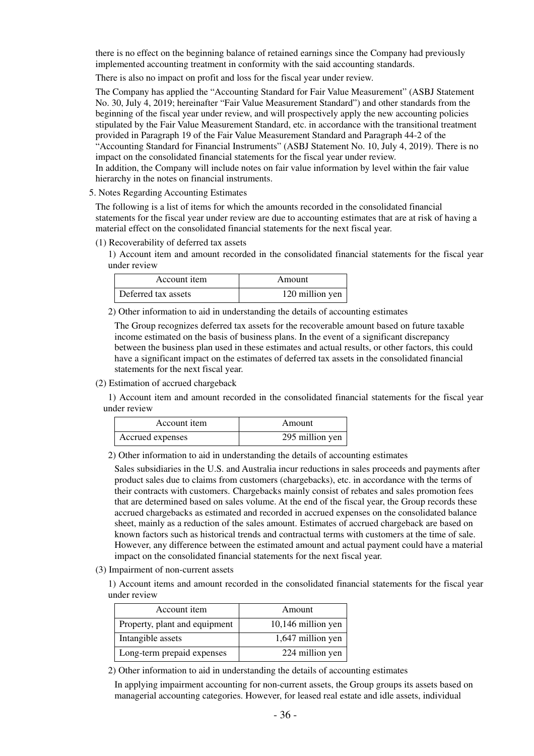there is no effect on the beginning balance of retained earnings since the Company had previously implemented accounting treatment in conformity with the said accounting standards.

There is also no impact on profit and loss for the fiscal year under review.

The Company has applied the "Accounting Standard for Fair Value Measurement" (ASBJ Statement No. 30, July 4, 2019; hereinafter "Fair Value Measurement Standard") and other standards from the beginning of the fiscal year under review, and will prospectively apply the new accounting policies stipulated by the Fair Value Measurement Standard, etc. in accordance with the transitional treatment provided in Paragraph 19 of the Fair Value Measurement Standard and Paragraph 44-2 of the "Accounting Standard for Financial Instruments" (ASBJ Statement No. 10, July 4, 2019). There is no impact on the consolidated financial statements for the fiscal year under review. In addition, the Company will include notes on fair value information by level within the fair value hierarchy in the notes on financial instruments.

#### 5. Notes Regarding Accounting Estimates

The following is a list of items for which the amounts recorded in the consolidated financial statements for the fiscal year under review are due to accounting estimates that are at risk of having a material effect on the consolidated financial statements for the next fiscal year.

#### (1) Recoverability of deferred tax assets

1) Account item and amount recorded in the consolidated financial statements for the fiscal year under review

| Account item        | Amount          |
|---------------------|-----------------|
| Deferred tax assets | 120 million yen |

2) Other information to aid in understanding the details of accounting estimates

The Group recognizes deferred tax assets for the recoverable amount based on future taxable income estimated on the basis of business plans. In the event of a significant discrepancy between the business plan used in these estimates and actual results, or other factors, this could have a significant impact on the estimates of deferred tax assets in the consolidated financial statements for the next fiscal year.

(2) Estimation of accrued chargeback

1) Account item and amount recorded in the consolidated financial statements for the fiscal year under review

| Account item     | Amount          |
|------------------|-----------------|
| Accrued expenses | 295 million yen |

2) Other information to aid in understanding the details of accounting estimates

Sales subsidiaries in the U.S. and Australia incur reductions in sales proceeds and payments after product sales due to claims from customers (chargebacks), etc. in accordance with the terms of their contracts with customers. Chargebacks mainly consist of rebates and sales promotion fees that are determined based on sales volume. At the end of the fiscal year, the Group records these accrued chargebacks as estimated and recorded in accrued expenses on the consolidated balance sheet, mainly as a reduction of the sales amount. Estimates of accrued chargeback are based on known factors such as historical trends and contractual terms with customers at the time of sale. However, any difference between the estimated amount and actual payment could have a material impact on the consolidated financial statements for the next fiscal year.

(3) Impairment of non-current assets

1) Account items and amount recorded in the consolidated financial statements for the fiscal year under review

| Account item                  | Amount             |
|-------------------------------|--------------------|
| Property, plant and equipment | 10,146 million yen |
| Intangible assets             | 1,647 million yen  |
| Long-term prepaid expenses    | 224 million yen    |

2) Other information to aid in understanding the details of accounting estimates

In applying impairment accounting for non-current assets, the Group groups its assets based on managerial accounting categories. However, for leased real estate and idle assets, individual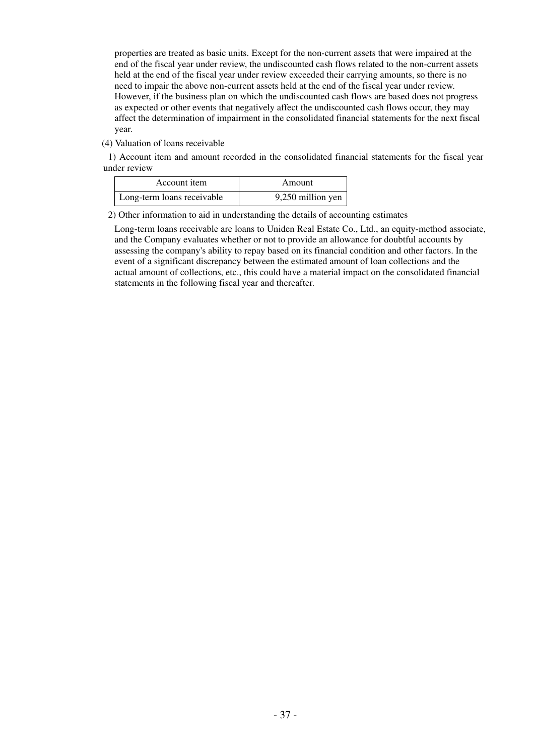properties are treated as basic units. Except for the non-current assets that were impaired at the end of the fiscal year under review, the undiscounted cash flows related to the non-current assets held at the end of the fiscal year under review exceeded their carrying amounts, so there is no need to impair the above non-current assets held at the end of the fiscal year under review. However, if the business plan on which the undiscounted cash flows are based does not progress as expected or other events that negatively affect the undiscounted cash flows occur, they may affect the determination of impairment in the consolidated financial statements for the next fiscal year.

(4) Valuation of loans receivable

1) Account item and amount recorded in the consolidated financial statements for the fiscal year under review

| Account item               | Amount            |
|----------------------------|-------------------|
| Long-term loans receivable | 9,250 million yen |

2) Other information to aid in understanding the details of accounting estimates

Long-term loans receivable are loans to Uniden Real Estate Co., Ltd., an equity-method associate, and the Company evaluates whether or not to provide an allowance for doubtful accounts by assessing the company's ability to repay based on its financial condition and other factors. In the event of a significant discrepancy between the estimated amount of loan collections and the actual amount of collections, etc., this could have a material impact on the consolidated financial statements in the following fiscal year and thereafter.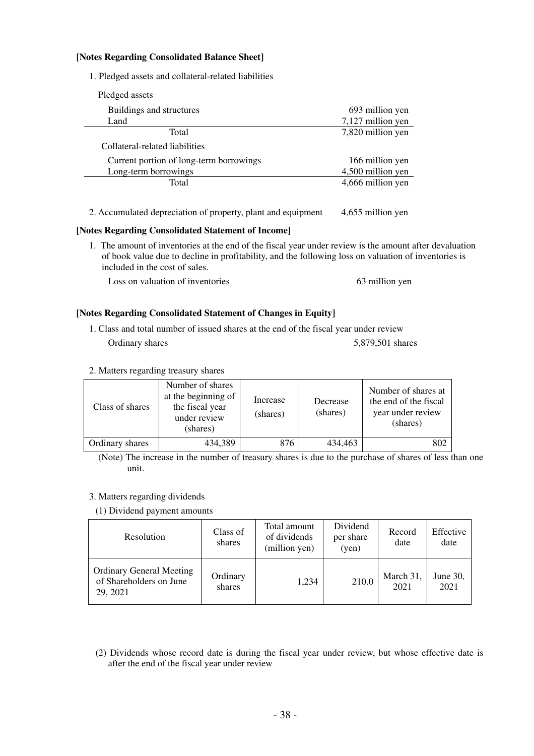### **[Notes Regarding Consolidated Balance Sheet]**

1. Pledged assets and collateral-related liabilities

| Pledged assets                          |                   |
|-----------------------------------------|-------------------|
| Buildings and structures                | 693 million yen   |
| Land                                    | 7,127 million yen |
| Total                                   | 7,820 million yen |
| Collateral-related liabilities          |                   |
| Current portion of long-term borrowings | 166 million yen   |
| Long-term borrowings                    | 4,500 million yen |
| Total                                   | 4,666 million yen |
|                                         |                   |

2. Accumulated depreciation of property, plant and equipment 4,655 million yen

### **[Notes Regarding Consolidated Statement of Income]**

1. The amount of inventories at the end of the fiscal year under review is the amount after devaluation of book value due to decline in profitability, and the following loss on valuation of inventories is included in the cost of sales.

Loss on valuation of inventories 63 million yen

### **[Notes Regarding Consolidated Statement of Changes in Equity]**

- 1. Class and total number of issued shares at the end of the fiscal year under review Ordinary shares 5,879,501 shares 5,879,501 shares
- 2. Matters regarding treasury shares

| Class of shares | Number of shares<br>at the beginning of<br>the fiscal year<br>under review<br>(shares) | Increase<br>(shares) | Decrease<br>(shares) | Number of shares at<br>the end of the fiscal<br>year under review<br>(shares) |
|-----------------|----------------------------------------------------------------------------------------|----------------------|----------------------|-------------------------------------------------------------------------------|
| Ordinary shares | 434,389                                                                                | 876                  | 434,463              | 802                                                                           |

(Note) The increase in the number of treasury shares is due to the purchase of shares of less than one unit.

### 3. Matters regarding dividends

(1) Dividend payment amounts

| Resolution                                                             | Class of<br>shares | Total amount<br>of dividends<br>(million yen) | Dividend<br>per share<br>(yen) | Record<br>date    | Effective<br>date |
|------------------------------------------------------------------------|--------------------|-----------------------------------------------|--------------------------------|-------------------|-------------------|
| <b>Ordinary General Meeting</b><br>of Shareholders on June<br>29, 2021 | Ordinary<br>shares | 1,234                                         | 210.0                          | March 31,<br>2021 | June 30,<br>2021  |

(2) Dividends whose record date is during the fiscal year under review, but whose effective date is after the end of the fiscal year under review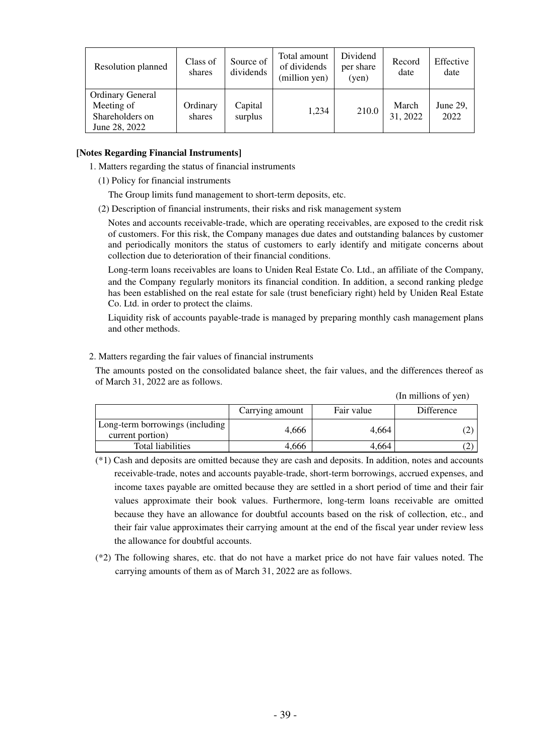| Resolution planned                                                        | Class of<br>shares | Source of<br>dividends | Total amount<br>of dividends<br>(million yen) | Dividend<br>per share<br>(yen) | Record<br>date    | Effective<br>date |
|---------------------------------------------------------------------------|--------------------|------------------------|-----------------------------------------------|--------------------------------|-------------------|-------------------|
| <b>Ordinary General</b><br>Meeting of<br>Shareholders on<br>June 28, 2022 | Ordinary<br>shares | Capital<br>surplus     | 1.234                                         | 210.0                          | March<br>31, 2022 | June 29,<br>2022  |

### **[Notes Regarding Financial Instruments]**

- 1. Matters regarding the status of financial instruments
	- (1) Policy for financial instruments

The Group limits fund management to short-term deposits, etc.

(2) Description of financial instruments, their risks and risk management system

Notes and accounts receivable-trade, which are operating receivables, are exposed to the credit risk of customers. For this risk, the Company manages due dates and outstanding balances by customer and periodically monitors the status of customers to early identify and mitigate concerns about collection due to deterioration of their financial conditions.

Long-term loans receivables are loans to Uniden Real Estate Co. Ltd., an affiliate of the Company, and the Company regularly monitors its financial condition. In addition, a second ranking pledge has been established on the real estate for sale (trust beneficiary right) held by Uniden Real Estate Co. Ltd. in order to protect the claims.

Liquidity risk of accounts payable-trade is managed by preparing monthly cash management plans and other methods.

### 2. Matters regarding the fair values of financial instruments

The amounts posted on the consolidated balance sheet, the fair values, and the differences thereof as of March 31, 2022 are as follows.

(In millions of yen)

|                                                     |                 |            | $\mu$ n miniviis ol $\mu$ ui |
|-----------------------------------------------------|-----------------|------------|------------------------------|
|                                                     | Carrying amount | Fair value | Difference                   |
| Long-term borrowings (including<br>current portion) | 4.666           | 4.664      |                              |
| Total liabilities                                   | 4,666           | 4,664      |                              |

Total liabilities  $4,666$   $4,664$   $(2)$ (\*1) Cash and deposits are omitted because they are cash and deposits. In addition, notes and accounts receivable-trade, notes and accounts payable-trade, short-term borrowings, accrued expenses, and income taxes payable are omitted because they are settled in a short period of time and their fair values approximate their book values. Furthermore, long-term loans receivable are omitted

because they have an allowance for doubtful accounts based on the risk of collection, etc., and their fair value approximates their carrying amount at the end of the fiscal year under review less the allowance for doubtful accounts.

(\*2) The following shares, etc. that do not have a market price do not have fair values noted. The carrying amounts of them as of March 31, 2022 are as follows.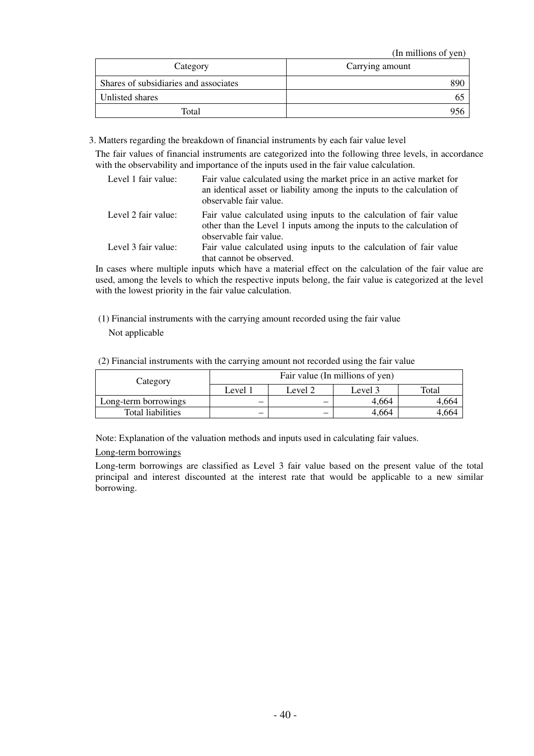(In millions of yen)

| Category                              | Carrying amount |
|---------------------------------------|-----------------|
| Shares of subsidiaries and associates | 890             |
| Unlisted shares                       |                 |
| Total                                 | 956             |

3. Matters regarding the breakdown of financial instruments by each fair value level

The fair values of financial instruments are categorized into the following three levels, in accordance with the observability and importance of the inputs used in the fair value calculation.

| Level 1 fair value: | Fair value calculated using the market price in an active market for<br>an identical asset or liability among the inputs to the calculation of<br>observable fair value. |
|---------------------|--------------------------------------------------------------------------------------------------------------------------------------------------------------------------|
| Level 2 fair value: | Fair value calculated using inputs to the calculation of fair value<br>other than the Level 1 inputs among the inputs to the calculation of<br>observable fair value.    |
| Level 3 fair value: | Fair value calculated using inputs to the calculation of fair value<br>that cannot be observed.                                                                          |

In cases where multiple inputs which have a material effect on the calculation of the fair value are used, among the levels to which the respective inputs belong, the fair value is categorized at the level with the lowest priority in the fair value calculation.

(1) Financial instruments with the carrying amount recorded using the fair value Not applicable

| Category             | Fair value (In millions of yen) |         |         |       |
|----------------------|---------------------------------|---------|---------|-------|
|                      | Level 1                         | Level 2 | Level 3 | Total |
| Long-term borrowings | $\overline{\phantom{0}}$        |         | 4.664   | 4.664 |
| Total liabilities    | -                               | -       | 4.664   | 4.664 |

Note: Explanation of the valuation methods and inputs used in calculating fair values.

### Long-term borrowings

Long-term borrowings are classified as Level 3 fair value based on the present value of the total principal and interest discounted at the interest rate that would be applicable to a new similar borrowing.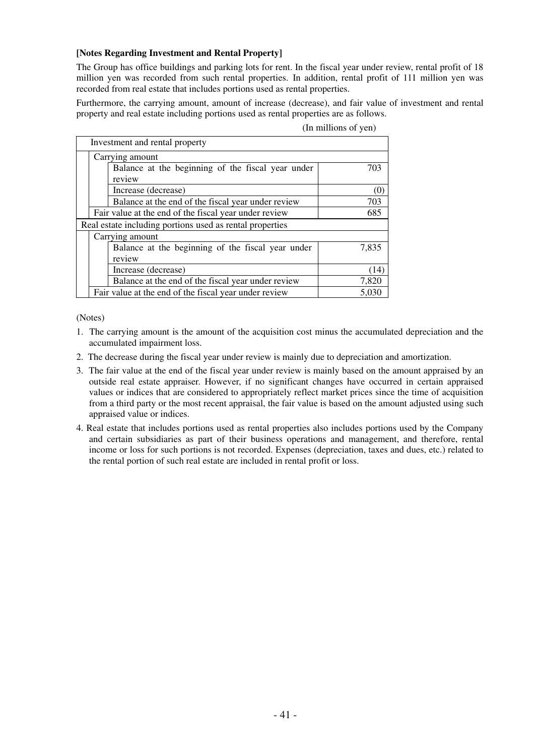### **[Notes Regarding Investment and Rental Property]**

The Group has office buildings and parking lots for rent. In the fiscal year under review, rental profit of 18 million yen was recorded from such rental properties. In addition, rental profit of 111 million yen was recorded from real estate that includes portions used as rental properties.

Furthermore, the carrying amount, amount of increase (decrease), and fair value of investment and rental property and real estate including portions used as rental properties are as follows.

|  | (In millions of yen) |  |
|--|----------------------|--|
|  |                      |  |

|                                                              | Investment and rental property                              |       |
|--------------------------------------------------------------|-------------------------------------------------------------|-------|
|                                                              | Carrying amount                                             |       |
|                                                              | Balance at the beginning of the fiscal year under<br>review | 703   |
|                                                              | Increase (decrease)                                         |       |
|                                                              | Balance at the end of the fiscal year under review          | 703   |
| Fair value at the end of the fiscal year under review<br>685 |                                                             |       |
|                                                              | Real estate including portions used as rental properties    |       |
|                                                              | Carrying amount                                             |       |
|                                                              | Balance at the beginning of the fiscal year under           | 7,835 |
|                                                              | review                                                      |       |
|                                                              | Increase (decrease)                                         | (14)  |
|                                                              | Balance at the end of the fiscal year under review          | 7,820 |
|                                                              | Fair value at the end of the fiscal year under review       | 5.030 |

(Notes)

- 1. The carrying amount is the amount of the acquisition cost minus the accumulated depreciation and the accumulated impairment loss.
- 2. The decrease during the fiscal year under review is mainly due to depreciation and amortization.
- 3. The fair value at the end of the fiscal year under review is mainly based on the amount appraised by an outside real estate appraiser. However, if no significant changes have occurred in certain appraised values or indices that are considered to appropriately reflect market prices since the time of acquisition from a third party or the most recent appraisal, the fair value is based on the amount adjusted using such appraised value or indices.
- 4. Real estate that includes portions used as rental properties also includes portions used by the Company and certain subsidiaries as part of their business operations and management, and therefore, rental income or loss for such portions is not recorded. Expenses (depreciation, taxes and dues, etc.) related to the rental portion of such real estate are included in rental profit or loss.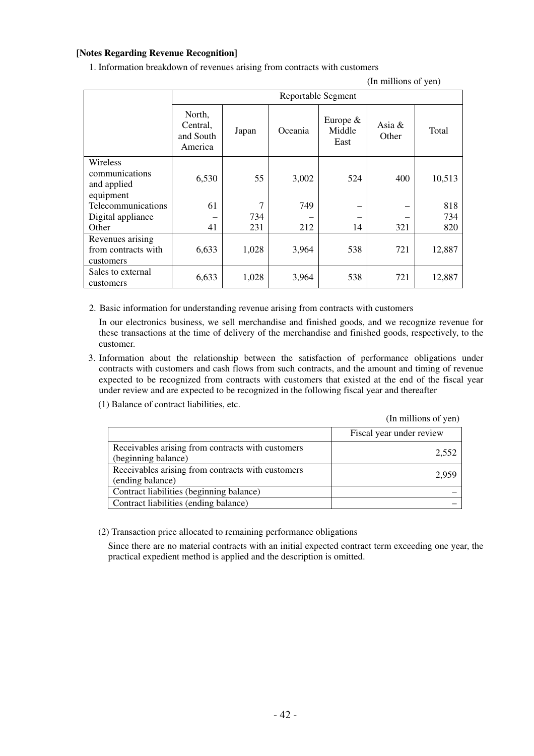# **[Notes Regarding Revenue Recognition]**

1. Information breakdown of revenues arising from contracts with customers

(In millions of yen)

|                                                        | Reportable Segment                         |       |         |                              |                 |        |
|--------------------------------------------------------|--------------------------------------------|-------|---------|------------------------------|-----------------|--------|
|                                                        | North,<br>Central,<br>and South<br>America | Japan | Oceania | Europe $&$<br>Middle<br>East | Asia &<br>Other | Total  |
| Wireless<br>communications<br>and applied<br>equipment | 6,530                                      | 55    | 3,002   | 524                          | 400             | 10,513 |
| Telecommunications                                     | 61                                         | 7     | 749     |                              |                 | 818    |
| Digital appliance                                      |                                            | 734   |         |                              |                 | 734    |
| Other                                                  | 41                                         | 231   | 212     | 14                           | 321             | 820    |
| Revenues arising<br>from contracts with<br>customers   | 6,633                                      | 1,028 | 3,964   | 538                          | 721             | 12,887 |
| Sales to external<br>customers                         | 6,633                                      | 1,028 | 3,964   | 538                          | 721             | 12,887 |

2. Basic information for understanding revenue arising from contracts with customers

In our electronics business, we sell merchandise and finished goods, and we recognize revenue for these transactions at the time of delivery of the merchandise and finished goods, respectively, to the customer.

- 3. Information about the relationship between the satisfaction of performance obligations under contracts with customers and cash flows from such contracts, and the amount and timing of revenue expected to be recognized from contracts with customers that existed at the end of the fiscal year under review and are expected to be recognized in the following fiscal year and thereafter
	- (1) Balance of contract liabilities, etc.

(In millions of yen)

|                                                                          | Fiscal year under review |
|--------------------------------------------------------------------------|--------------------------|
| Receivables arising from contracts with customers<br>(beginning balance) | 2,552                    |
| Receivables arising from contracts with customers<br>(ending balance)    | 2.959                    |
| Contract liabilities (beginning balance)                                 |                          |
| Contract liabilities (ending balance)                                    |                          |

(2) Transaction price allocated to remaining performance obligations

Since there are no material contracts with an initial expected contract term exceeding one year, the practical expedient method is applied and the description is omitted.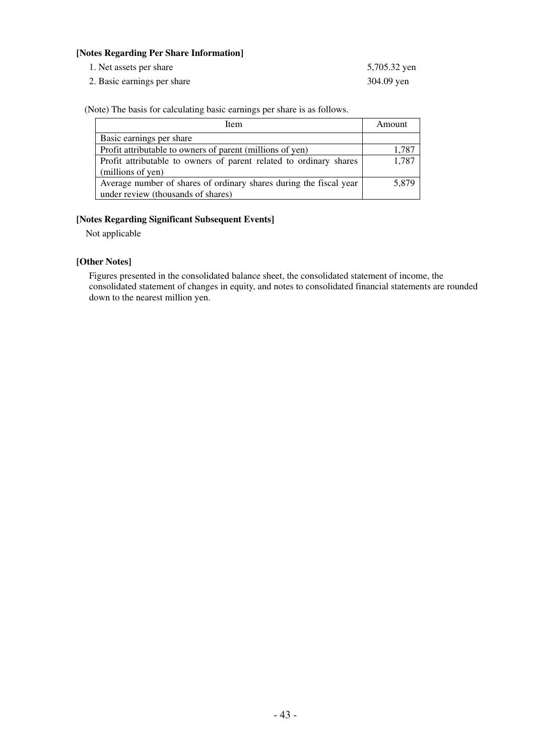### **[Notes Regarding Per Share Information]**

1. Net assets per share 5,705.32 yen

2. Basic earnings per share 304.09 yen

(Note) The basis for calculating basic earnings per share is as follows.

| Item                                                               | Amount |
|--------------------------------------------------------------------|--------|
| Basic earnings per share                                           |        |
| Profit attributable to owners of parent (millions of yen)          | 1,787  |
| Profit attributable to owners of parent related to ordinary shares | 1,787  |
| (millions of yen)                                                  |        |
| Average number of shares of ordinary shares during the fiscal year | 5,879  |
| under review (thousands of shares)                                 |        |

### **[Notes Regarding Significant Subsequent Events]**

Not applicable

## **[Other Notes]**

Figures presented in the consolidated balance sheet, the consolidated statement of income, the consolidated statement of changes in equity, and notes to consolidated financial statements are rounded down to the nearest million yen.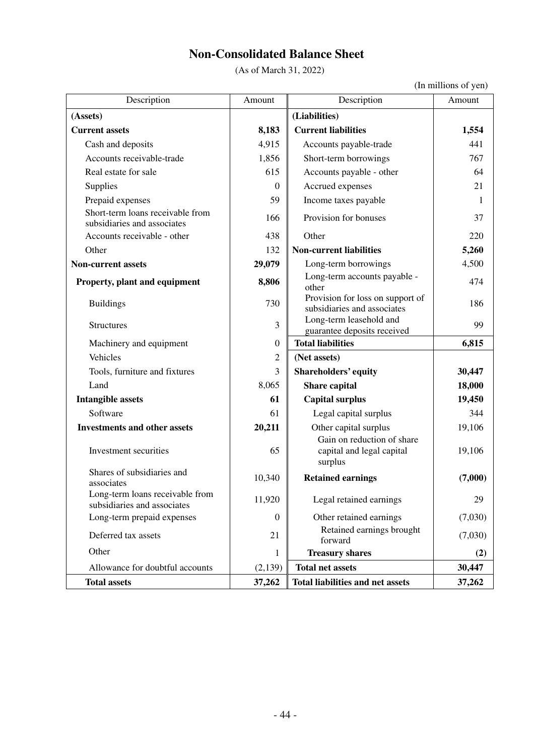# **Non-Consolidated Balance Sheet**

(As of March 31, 2022)

(In millions of yen)

| Description                                                     | Amount           | Description                                                        | Amount  |
|-----------------------------------------------------------------|------------------|--------------------------------------------------------------------|---------|
| (Assets)                                                        |                  | (Liabilities)                                                      |         |
| <b>Current assets</b>                                           | 8,183            | <b>Current liabilities</b>                                         | 1,554   |
| Cash and deposits                                               | 4,915            | Accounts payable-trade                                             | 441     |
| Accounts receivable-trade                                       | 1,856            | Short-term borrowings                                              | 767     |
| Real estate for sale                                            | 615              | Accounts payable - other                                           | 64      |
| Supplies                                                        | $\mathbf{0}$     | Accrued expenses                                                   | 21      |
| Prepaid expenses                                                | 59               | Income taxes payable                                               | -1      |
| Short-term loans receivable from<br>subsidiaries and associates | 166              | Provision for bonuses                                              | 37      |
| Accounts receivable - other                                     | 438              | Other                                                              | 220     |
| Other                                                           | 132              | <b>Non-current liabilities</b>                                     | 5,260   |
| <b>Non-current assets</b>                                       | 29,079           | Long-term borrowings                                               | 4,500   |
| Property, plant and equipment                                   | 8,806            | Long-term accounts payable -<br>other                              | 474     |
| <b>Buildings</b>                                                | 730              | Provision for loss on support of<br>subsidiaries and associates    | 186     |
| <b>Structures</b>                                               | 3                | Long-term leasehold and<br>guarantee deposits received             | 99      |
| Machinery and equipment                                         | $\boldsymbol{0}$ | <b>Total liabilities</b>                                           | 6,815   |
| Vehicles                                                        | $\overline{2}$   | (Net assets)                                                       |         |
| Tools, furniture and fixtures                                   | 3                | Shareholders' equity                                               | 30,447  |
| Land                                                            | 8,065            | Share capital                                                      | 18,000  |
| <b>Intangible assets</b>                                        | 61               | <b>Capital surplus</b>                                             | 19,450  |
| Software                                                        | 61               | Legal capital surplus                                              | 344     |
| <b>Investments and other assets</b>                             | 20,211           | Other capital surplus                                              | 19,106  |
| Investment securities                                           | 65               | Gain on reduction of share<br>capital and legal capital<br>surplus | 19,106  |
| Shares of subsidiaries and<br>associates                        | 10,340           | <b>Retained earnings</b>                                           | (7,000) |
| Long-term loans receivable from<br>subsidiaries and associates  | 11,920           | Legal retained earnings                                            | 29      |
| Long-term prepaid expenses                                      | $\boldsymbol{0}$ | Other retained earnings                                            | (7,030) |
| Deferred tax assets                                             | 21               | Retained earnings brought<br>forward                               | (7,030) |
| Other                                                           | 1                | <b>Treasury shares</b>                                             | (2)     |
| Allowance for doubtful accounts                                 | (2,139)          | <b>Total net assets</b>                                            | 30,447  |
| <b>Total assets</b>                                             | 37,262           | <b>Total liabilities and net assets</b>                            | 37,262  |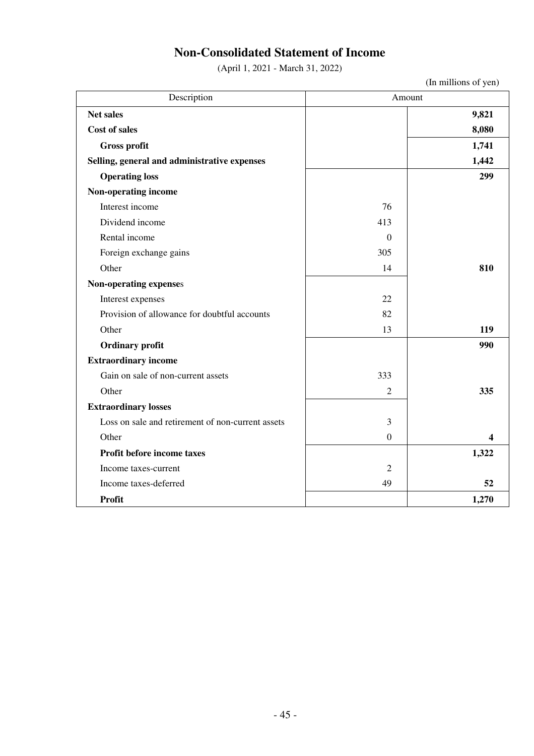# **Non-Consolidated Statement of Income**

(April 1, 2021 - March 31, 2022)

| Description                                       | Amount           |       |  |
|---------------------------------------------------|------------------|-------|--|
| Net sales                                         |                  | 9,821 |  |
| <b>Cost of sales</b>                              |                  | 8,080 |  |
| Gross profit                                      |                  | 1,741 |  |
| Selling, general and administrative expenses      |                  | 1,442 |  |
| <b>Operating loss</b>                             |                  | 299   |  |
| Non-operating income                              |                  |       |  |
| Interest income                                   | 76               |       |  |
| Dividend income                                   | 413              |       |  |
| Rental income                                     | $\theta$         |       |  |
| Foreign exchange gains                            | 305              |       |  |
| Other                                             | 14               | 810   |  |
| Non-operating expenses                            |                  |       |  |
| Interest expenses                                 | 22               |       |  |
| Provision of allowance for doubtful accounts      | 82               |       |  |
| Other                                             | 13               | 119   |  |
| <b>Ordinary profit</b>                            |                  | 990   |  |
| <b>Extraordinary income</b>                       |                  |       |  |
| Gain on sale of non-current assets                | 333              |       |  |
| Other                                             | $\overline{2}$   | 335   |  |
| <b>Extraordinary losses</b>                       |                  |       |  |
| Loss on sale and retirement of non-current assets | 3                |       |  |
| Other                                             | $\boldsymbol{0}$ | 4     |  |
| Profit before income taxes                        |                  | 1,322 |  |
| Income taxes-current                              | $\overline{2}$   |       |  |
| Income taxes-deferred                             | 49               | 52    |  |
| <b>Profit</b>                                     |                  | 1,270 |  |

(In millions of yen)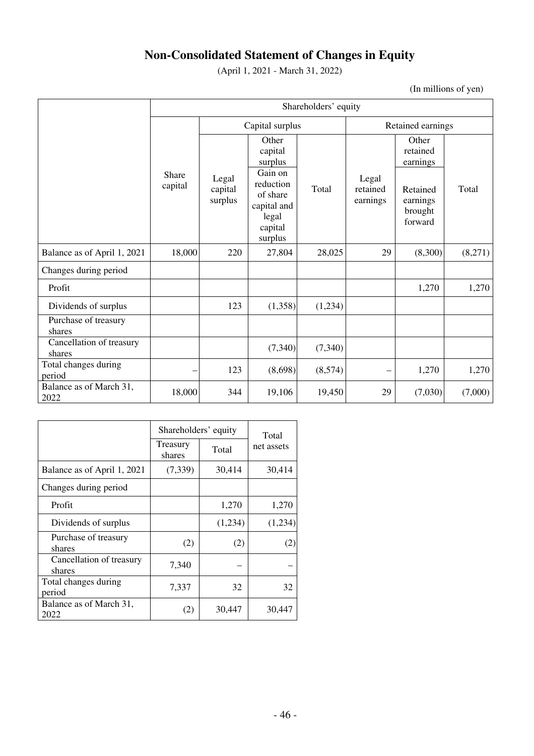# **Non-Consolidated Statement of Changes in Equity**

(April 1, 2021 - March 31, 2022)

(In millions of yen)

|                                    | Shareholders' equity |                             |                                                                                                               |         |                               |                                                                             |         |
|------------------------------------|----------------------|-----------------------------|---------------------------------------------------------------------------------------------------------------|---------|-------------------------------|-----------------------------------------------------------------------------|---------|
|                                    |                      | Capital surplus             |                                                                                                               |         | Retained earnings             |                                                                             |         |
|                                    | Share<br>capital     | Legal<br>capital<br>surplus | Other<br>capital<br>surplus<br>Gain on<br>reduction<br>of share<br>capital and<br>legal<br>capital<br>surplus | Total   | Legal<br>retained<br>earnings | Other<br>retained<br>earnings<br>Retained<br>earnings<br>brought<br>forward | Total   |
| Balance as of April 1, 2021        | 18,000               | 220                         | 27,804                                                                                                        | 28,025  | 29                            | (8,300)                                                                     | (8,271) |
| Changes during period              |                      |                             |                                                                                                               |         |                               |                                                                             |         |
| Profit                             |                      |                             |                                                                                                               |         |                               | 1,270                                                                       | 1,270   |
| Dividends of surplus               |                      | 123                         | (1,358)                                                                                                       | (1,234) |                               |                                                                             |         |
| Purchase of treasury<br>shares     |                      |                             |                                                                                                               |         |                               |                                                                             |         |
| Cancellation of treasury<br>shares |                      |                             | (7, 340)                                                                                                      | (7,340) |                               |                                                                             |         |
| Total changes during<br>period     |                      | 123                         | (8,698)                                                                                                       | (8,574) |                               | 1,270                                                                       | 1,270   |
| Balance as of March 31,<br>2022    | 18,000               | 344                         | 19,106                                                                                                        | 19,450  | 29                            | (7,030)                                                                     | (7,000) |

|                                    | Shareholders' equity | Total   |            |
|------------------------------------|----------------------|---------|------------|
|                                    | Treasury<br>shares   | Total   | net assets |
| Balance as of April 1, 2021        | (7, 339)             | 30,414  | 30,414     |
| Changes during period              |                      |         |            |
| Profit                             |                      | 1,270   | 1,270      |
| Dividends of surplus               |                      | (1,234) | (1,234)    |
| Purchase of treasury<br>shares     | (2)                  | (2)     | (2)        |
| Cancellation of treasury<br>shares | 7,340                |         |            |
| Total changes during<br>period     | 7,337                | 32      | 32         |
| Balance as of March 31,<br>2022    | (2)                  | 30,447  | 30,447     |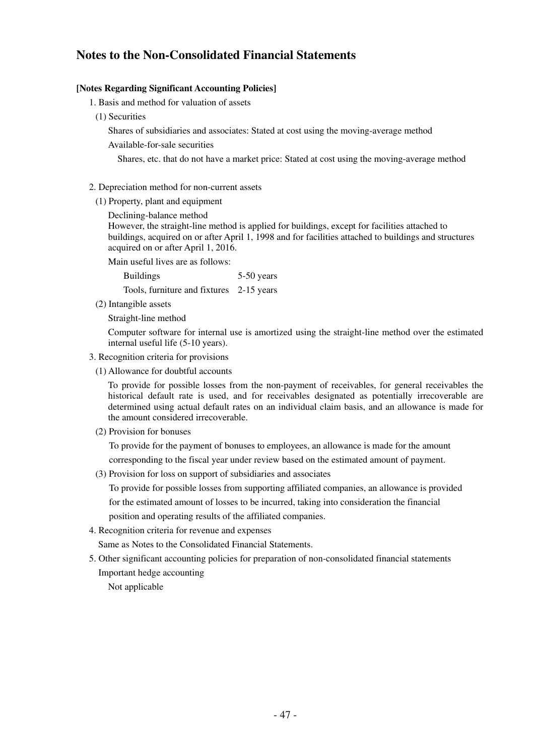# **Notes to the Non-Consolidated Financial Statements**

### **[Notes Regarding Significant Accounting Policies]**

- 1. Basis and method for valuation of assets
- (1) Securities

Shares of subsidiaries and associates: Stated at cost using the moving-average method

Available-for-sale securities

Shares, etc. that do not have a market price: Stated at cost using the moving-average method

- 2. Depreciation method for non-current assets
	- (1) Property, plant and equipment
		- Declining-balance method

However, the straight-line method is applied for buildings, except for facilities attached to buildings, acquired on or after April 1, 1998 and for facilities attached to buildings and structures acquired on or after April 1, 2016.

Main useful lives are as follows:

Buildings 5-50 years

Tools, furniture and fixtures 2-15 years

(2) Intangible assets

Straight-line method

Computer software for internal use is amortized using the straight-line method over the estimated internal useful life (5-10 years).

- 3. Recognition criteria for provisions
	- (1) Allowance for doubtful accounts

To provide for possible losses from the non-payment of receivables, for general receivables the historical default rate is used, and for receivables designated as potentially irrecoverable are determined using actual default rates on an individual claim basis, and an allowance is made for the amount considered irrecoverable.

(2) Provision for bonuses

To provide for the payment of bonuses to employees, an allowance is made for the amount

corresponding to the fiscal year under review based on the estimated amount of payment.

(3) Provision for loss on support of subsidiaries and associates

To provide for possible losses from supporting affiliated companies, an allowance is provided for the estimated amount of losses to be incurred, taking into consideration the financial position and operating results of the affiliated companies.

4. Recognition criteria for revenue and expenses

Same as Notes to the Consolidated Financial Statements.

- 5. Other significant accounting policies for preparation of non-consolidated financial statements Important hedge accounting
	- Not applicable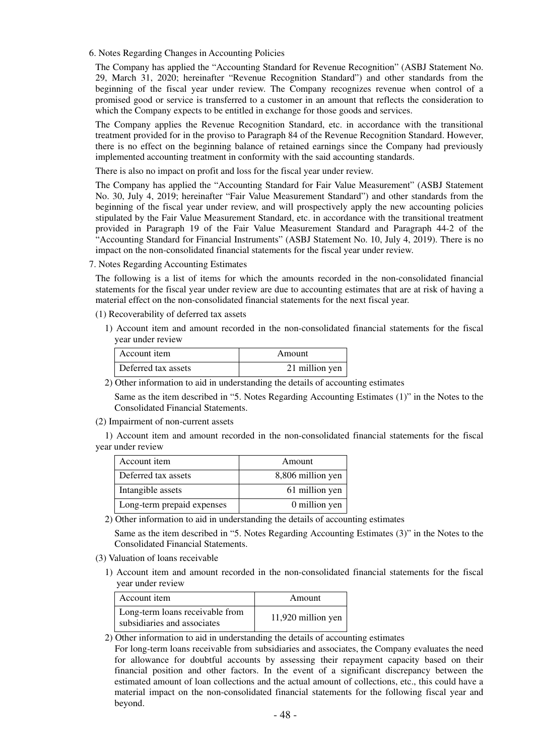6. Notes Regarding Changes in Accounting Policies

The Company has applied the "Accounting Standard for Revenue Recognition" (ASBJ Statement No. 29, March 31, 2020; hereinafter "Revenue Recognition Standard") and other standards from the beginning of the fiscal year under review. The Company recognizes revenue when control of a promised good or service is transferred to a customer in an amount that reflects the consideration to which the Company expects to be entitled in exchange for those goods and services.

The Company applies the Revenue Recognition Standard, etc. in accordance with the transitional treatment provided for in the proviso to Paragraph 84 of the Revenue Recognition Standard. However, there is no effect on the beginning balance of retained earnings since the Company had previously implemented accounting treatment in conformity with the said accounting standards.

There is also no impact on profit and loss for the fiscal year under review.

The Company has applied the "Accounting Standard for Fair Value Measurement" (ASBJ Statement No. 30, July 4, 2019; hereinafter "Fair Value Measurement Standard") and other standards from the beginning of the fiscal year under review, and will prospectively apply the new accounting policies stipulated by the Fair Value Measurement Standard, etc. in accordance with the transitional treatment provided in Paragraph 19 of the Fair Value Measurement Standard and Paragraph 44-2 of the "Accounting Standard for Financial Instruments" (ASBJ Statement No. 10, July 4, 2019). There is no impact on the non-consolidated financial statements for the fiscal year under review.

7. Notes Regarding Accounting Estimates

The following is a list of items for which the amounts recorded in the non-consolidated financial statements for the fiscal year under review are due to accounting estimates that are at risk of having a material effect on the non-consolidated financial statements for the next fiscal year.

### (1) Recoverability of deferred tax assets

1) Account item and amount recorded in the non-consolidated financial statements for the fiscal year under review

| Account item        | Amount         |
|---------------------|----------------|
| Deferred tax assets | 21 million yen |

2) Other information to aid in understanding the details of accounting estimates

Same as the item described in "5. Notes Regarding Accounting Estimates (1)" in the Notes to the Consolidated Financial Statements.

(2) Impairment of non-current assets

1) Account item and amount recorded in the non-consolidated financial statements for the fiscal year under review

| Account item               | Amount            |
|----------------------------|-------------------|
| Deferred tax assets        | 8,806 million yen |
| Intangible assets          | 61 million yen    |
| Long-term prepaid expenses | 0 million yen     |

2) Other information to aid in understanding the details of accounting estimates

Same as the item described in "5. Notes Regarding Accounting Estimates (3)" in the Notes to the Consolidated Financial Statements.

- (3) Valuation of loans receivable
	- 1) Account item and amount recorded in the non-consolidated financial statements for the fiscal year under review

| Account item                                                   | Amount             |
|----------------------------------------------------------------|--------------------|
| Long-term loans receivable from<br>subsidiaries and associates | 11,920 million yen |

### 2) Other information to aid in understanding the details of accounting estimates

For long-term loans receivable from subsidiaries and associates, the Company evaluates the need for allowance for doubtful accounts by assessing their repayment capacity based on their financial position and other factors. In the event of a significant discrepancy between the estimated amount of loan collections and the actual amount of collections, etc., this could have a material impact on the non-consolidated financial statements for the following fiscal year and beyond.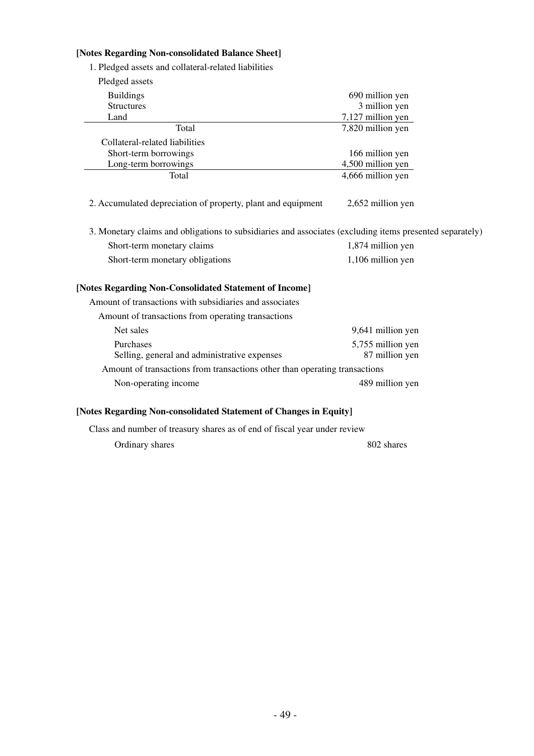# **[Notes Regarding Non-consolidated Balance Sheet]**

1. Pledged assets and collateral-related liabilities

| Pledged assets                                                                                           |                   |
|----------------------------------------------------------------------------------------------------------|-------------------|
| <b>Buildings</b>                                                                                         | 690 million yen   |
| <b>Structures</b>                                                                                        | 3 million yen     |
| Land                                                                                                     | 7,127 million yen |
| Total                                                                                                    | 7,820 million yen |
| Collateral-related liabilities                                                                           |                   |
| Short-term borrowings                                                                                    | 166 million yen   |
| Long-term borrowings                                                                                     | 4,500 million yen |
| Total                                                                                                    | 4,666 million yen |
| 2. Accumulated depreciation of property, plant and equipment                                             | 2,652 million yen |
| 3. Monetary claims and obligations to subsidiaries and associates (excluding items presented separately) |                   |
| Short-term monetary claims                                                                               | 1,874 million yen |
| Short-term monetary obligations                                                                          | 1,106 million yen |
| [Notes Regarding Non-Consolidated Statement of Income]                                                   |                   |
| Amount of transactions with subsidiaries and associates                                                  |                   |
| Amount of transactions from operating transactions                                                       |                   |
| Net sales                                                                                                | 9,641 million yen |
| Purchases                                                                                                | 5,755 million yen |
| Selling, general and administrative expenses                                                             | 87 million yen    |
| Amount of transactions from transactions other than operating transactions                               |                   |
| Non-operating income                                                                                     | 489 million yen   |
|                                                                                                          |                   |

## **[Notes Regarding Non-consolidated Statement of Changes in Equity]**

Class and number of treasury shares as of end of fiscal year under review

Ordinary shares 802 shares 802 shares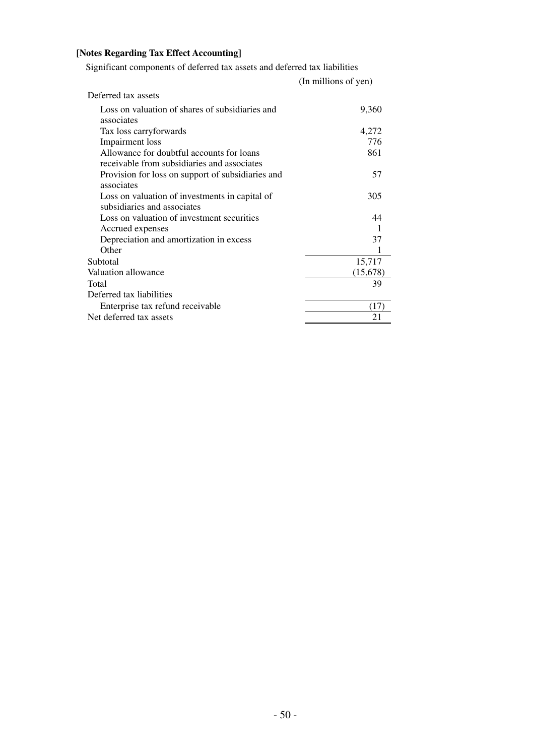# **[Notes Regarding Tax Effect Accounting]**

Significant components of deferred tax assets and deferred tax liabilities

|                                                   | (In millions of yen) |
|---------------------------------------------------|----------------------|
| Deferred tax assets                               |                      |
| Loss on valuation of shares of subsidiaries and   | 9,360                |
| associates                                        |                      |
| Tax loss carryforwards                            | 4,272                |
| Impairment loss                                   | 776                  |
| Allowance for doubtful accounts for loans         | 861                  |
| receivable from subsidiaries and associates       |                      |
| Provision for loss on support of subsidiaries and | 57                   |
| associates                                        |                      |
| Loss on valuation of investments in capital of    | 305                  |
| subsidiaries and associates                       |                      |
| Loss on valuation of investment securities        | 44                   |
| Accrued expenses                                  | 1                    |
| Depreciation and amortization in excess           | 37                   |
| Other                                             |                      |
| Subtotal                                          | 15,717               |
| Valuation allowance                               | (15,678)             |
| Total                                             | 39                   |
| Deferred tax liabilities                          |                      |
| Enterprise tax refund receivable                  | (17)                 |
| Net deferred tax assets                           | 21                   |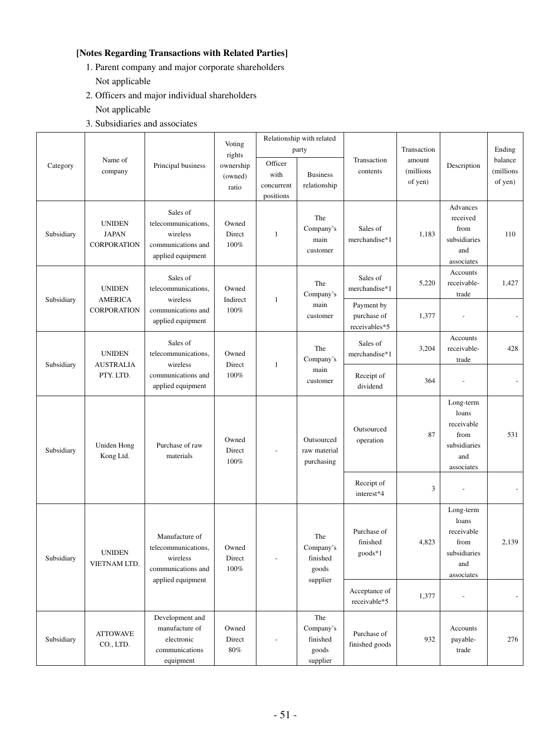# **[Notes Regarding Transactions with Related Parties]**

- 1. Parent company and major corporate shareholders Not applicable
- 2. Officers and major individual shareholders
	- Not applicable
- 3. Subsidiaries and associates

|            |                                                                                                                                                                        |                                                                                              | Voting<br>rights           | Relationship with related<br>party |                                                   |                                            | Transaction    |                                                                               | Ending |
|------------|------------------------------------------------------------------------------------------------------------------------------------------------------------------------|----------------------------------------------------------------------------------------------|----------------------------|------------------------------------|---------------------------------------------------|--------------------------------------------|----------------|-------------------------------------------------------------------------------|--------|
| Category   | Name of<br>Officer<br>Principal business<br>ownership<br>company<br>contents<br>with<br><b>Business</b><br>(owned)<br>relationship<br>concurrent<br>ratio<br>positions |                                                                                              | Transaction                | amount<br>(millions<br>of yen)     | Description                                       | balance<br>(millions<br>of yen)            |                |                                                                               |        |
| Subsidiary | <b>UNIDEN</b><br><b>JAPAN</b><br><b>CORPORATION</b>                                                                                                                    | Sales of<br>telecommunications,<br>wireless<br>communications and<br>applied equipment       | Owned<br>Direct<br>100%    | 1                                  | The<br>Company's<br>main<br>customer              | Sales of<br>merchandise*1                  | 1,183          | Advances<br>received<br>from<br>subsidiaries<br>and<br>associates             | 110    |
| Subsidiary | <b>UNIDEN</b><br><b>AMERICA</b>                                                                                                                                        | Sales of<br>telecommunications,<br>wireless                                                  | Owned<br>Indirect          | $\mathbf{1}$                       | The<br>Company's                                  | Sales of<br>merchandise*1                  | 5,220          | Accounts<br>receivable-<br>trade                                              | 1,427  |
|            | <b>CORPORATION</b>                                                                                                                                                     | communications and<br>applied equipment                                                      | 100%                       |                                    | main<br>customer                                  | Payment by<br>purchase of<br>receivables*5 | 1,377          |                                                                               |        |
| Subsidiary | <b>UNIDEN</b><br><b>AUSTRALIA</b>                                                                                                                                      | Sales of<br>telecommunications,<br>wireless                                                  | Owned<br>Direct            | $\mathbf{1}$                       | The<br>Company's                                  | Sales of<br>merchandise*1                  | 3,204          | Accounts<br>receivable-<br>trade                                              | 428    |
|            | PTY. LTD.                                                                                                                                                              | communications and<br>applied equipment                                                      | 100%                       |                                    | main<br>customer                                  | Receipt of<br>dividend                     | 364            |                                                                               |        |
| Subsidiary | Uniden Hong<br>Kong Ltd.                                                                                                                                               | Purchase of raw<br>materials                                                                 | Owned<br>Direct<br>100%    |                                    | Outsourced<br>raw material<br>purchasing          | Outsourced<br>operation                    | 87             | Long-term<br>loans<br>receivable<br>from<br>subsidiaries<br>and<br>associates | 531    |
|            |                                                                                                                                                                        |                                                                                              |                            |                                    |                                                   | Receipt of<br>interest*4                   | $\mathfrak{Z}$ |                                                                               |        |
| Subsidiary | <b>UNIDEN</b><br>VIETNAM LTD.                                                                                                                                          | Manufacture of<br>telecommunications,<br>wireless<br>communications and<br>applied equipment | Owned<br>Direct<br>$100\%$ |                                    | The<br>Company's<br>finished<br>goods<br>supplier | Purchase of<br>finished<br>goods*1         | 4,823          | Long-term<br>loans<br>receivable<br>from<br>subsidiaries<br>and<br>associates | 2,139  |
|            |                                                                                                                                                                        |                                                                                              |                            |                                    |                                                   | Acceptance of<br>receivable*5              | 1,377          | $\overline{a}$                                                                |        |
| Subsidiary | <b>ATTOWAVE</b><br>CO., LTD.                                                                                                                                           | Development and<br>manufacture of<br>electronic<br>communications<br>equipment               | Owned<br>Direct<br>$80\%$  |                                    | The<br>Company's<br>finished<br>goods<br>supplier | Purchase of<br>finished goods              | 932            | Accounts<br>payable-<br>trade                                                 | 276    |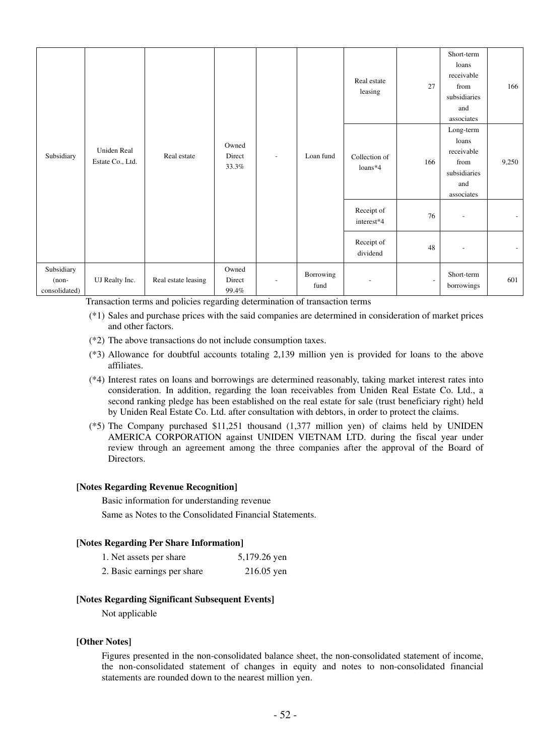| Subsidiary                             | Uniden Real<br>Estate Co., Ltd. | Real estate         | Owned<br>Direct<br>33.3% | ٠ | Real estate<br>leasing<br>Loan fund<br>Collection of<br>$loans*4$ |                          | 27                       | Short-term<br>loans<br>receivable<br>from<br>subsidiaries<br>and<br>associates | 166                      |
|----------------------------------------|---------------------------------|---------------------|--------------------------|---|-------------------------------------------------------------------|--------------------------|--------------------------|--------------------------------------------------------------------------------|--------------------------|
|                                        |                                 |                     |                          |   |                                                                   |                          | 166                      | Long-term<br>loans<br>receivable<br>from<br>subsidiaries<br>and<br>associates  | 9,250                    |
|                                        |                                 |                     |                          |   |                                                                   | Receipt of<br>interest*4 | 76                       | ٠                                                                              |                          |
|                                        |                                 |                     |                          |   |                                                                   | Receipt of<br>dividend   | 48                       | ٠                                                                              | $\overline{\phantom{a}}$ |
| Subsidiary<br>$(non-$<br>consolidated) | UJ Realty Inc.                  | Real estate leasing | Owned<br>Direct<br>99.4% |   | Borrowing<br>fund                                                 | ٠                        | $\overline{\phantom{a}}$ | Short-term<br>borrowings                                                       | 601                      |

Transaction terms and policies regarding determination of transaction terms

- (\*1) Sales and purchase prices with the said companies are determined in consideration of market prices and other factors.
- (\*2) The above transactions do not include consumption taxes.
- (\*3) Allowance for doubtful accounts totaling 2,139 million yen is provided for loans to the above affiliates.
- (\*4) Interest rates on loans and borrowings are determined reasonably, taking market interest rates into consideration. In addition, regarding the loan receivables from Uniden Real Estate Co. Ltd., a second ranking pledge has been established on the real estate for sale (trust beneficiary right) held by Uniden Real Estate Co. Ltd. after consultation with debtors, in order to protect the claims.
- (\*5) The Company purchased \$11,251 thousand (1,377 million yen) of claims held by UNIDEN AMERICA CORPORATION against UNIDEN VIETNAM LTD. during the fiscal year under review through an agreement among the three companies after the approval of the Board of Directors.

## **[Notes Regarding Revenue Recognition]**

Basic information for understanding revenue Same as Notes to the Consolidated Financial Statements.

### **[Notes Regarding Per Share Information]**

| 1. Net assets per share     | 5,179.26 yen |
|-----------------------------|--------------|
| 2. Basic earnings per share | $216.05$ yen |

### **[Notes Regarding Significant Subsequent Events]**

Not applicable

### **[Other Notes]**

Figures presented in the non-consolidated balance sheet, the non-consolidated statement of income, the non-consolidated statement of changes in equity and notes to non-consolidated financial statements are rounded down to the nearest million yen.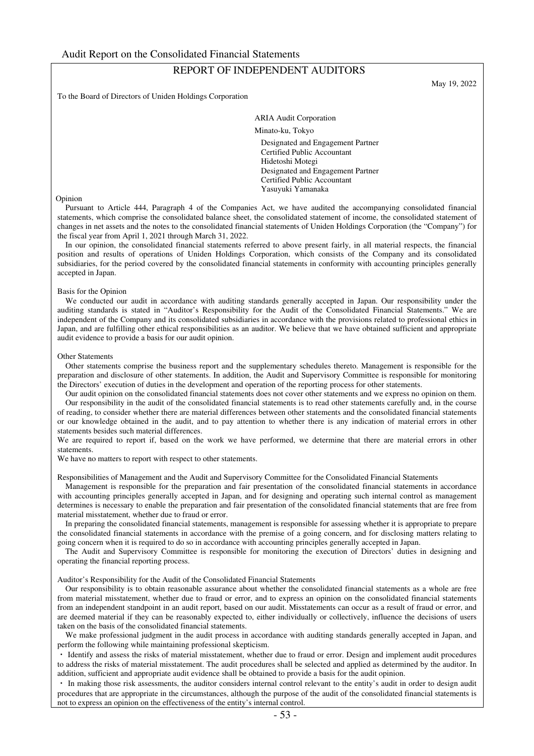# REPORT OF INDEPENDENT AUDITORS

To the Board of Directors of Uniden Holdings Corporation

May 19, 2022

ARIA Audit Corporation

Minato-ku, Tokyo

Designated and Engagement Partner Certified Public Accountant Hidetoshi Motegi Designated and Engagement Partner Certified Public Accountant Yasuyuki Yamanaka

#### Opinion

Pursuant to Article 444, Paragraph 4 of the Companies Act, we have audited the accompanying consolidated financial statements, which comprise the consolidated balance sheet, the consolidated statement of income, the consolidated statement of changes in net assets and the notes to the consolidated financial statements of Uniden Holdings Corporation (the "Company") for the fiscal year from April 1, 2021 through March 31, 2022.

In our opinion, the consolidated financial statements referred to above present fairly, in all material respects, the financial position and results of operations of Uniden Holdings Corporation, which consists of the Company and its consolidated subsidiaries, for the period covered by the consolidated financial statements in conformity with accounting principles generally accepted in Japan.

#### Basis for the Opinion

We conducted our audit in accordance with auditing standards generally accepted in Japan. Our responsibility under the auditing standards is stated in "Auditor's Responsibility for the Audit of the Consolidated Financial Statements." We are independent of the Company and its consolidated subsidiaries in accordance with the provisions related to professional ethics in Japan, and are fulfilling other ethical responsibilities as an auditor. We believe that we have obtained sufficient and appropriate audit evidence to provide a basis for our audit opinion.

#### Other Statements

Other statements comprise the business report and the supplementary schedules thereto. Management is responsible for the preparation and disclosure of other statements. In addition, the Audit and Supervisory Committee is responsible for monitoring the Directors' execution of duties in the development and operation of the reporting process for other statements.

Our audit opinion on the consolidated financial statements does not cover other statements and we express no opinion on them. Our responsibility in the audit of the consolidated financial statements is to read other statements carefully and, in the course of reading, to consider whether there are material differences between other statements and the consolidated financial statements or our knowledge obtained in the audit, and to pay attention to whether there is any indication of material errors in other

statements besides such material differences. We are required to report if, based on the work we have performed, we determine that there are material errors in other statements.

We have no matters to report with respect to other statements.

Responsibilities of Management and the Audit and Supervisory Committee for the Consolidated Financial Statements

Management is responsible for the preparation and fair presentation of the consolidated financial statements in accordance with accounting principles generally accepted in Japan, and for designing and operating such internal control as management determines is necessary to enable the preparation and fair presentation of the consolidated financial statements that are free from material misstatement, whether due to fraud or error.

In preparing the consolidated financial statements, management is responsible for assessing whether it is appropriate to prepare the consolidated financial statements in accordance with the premise of a going concern, and for disclosing matters relating to going concern when it is required to do so in accordance with accounting principles generally accepted in Japan.

The Audit and Supervisory Committee is responsible for monitoring the execution of Directors' duties in designing and operating the financial reporting process.

Auditor's Responsibility for the Audit of the Consolidated Financial Statements

Our responsibility is to obtain reasonable assurance about whether the consolidated financial statements as a whole are free from material misstatement, whether due to fraud or error, and to express an opinion on the consolidated financial statements from an independent standpoint in an audit report, based on our audit. Misstatements can occur as a result of fraud or error, and are deemed material if they can be reasonably expected to, either individually or collectively, influence the decisions of users taken on the basis of the consolidated financial statements.

We make professional judgment in the audit process in accordance with auditing standards generally accepted in Japan, and perform the following while maintaining professional skepticism.

・ Identify and assess the risks of material misstatement, whether due to fraud or error. Design and implement audit procedures to address the risks of material misstatement. The audit procedures shall be selected and applied as determined by the auditor. In addition, sufficient and appropriate audit evidence shall be obtained to provide a basis for the audit opinion.

・ In making those risk assessments, the auditor considers internal control relevant to the entity's audit in order to design audit procedures that are appropriate in the circumstances, although the purpose of the audit of the consolidated financial statements is not to express an opinion on the effectiveness of the entity's internal control.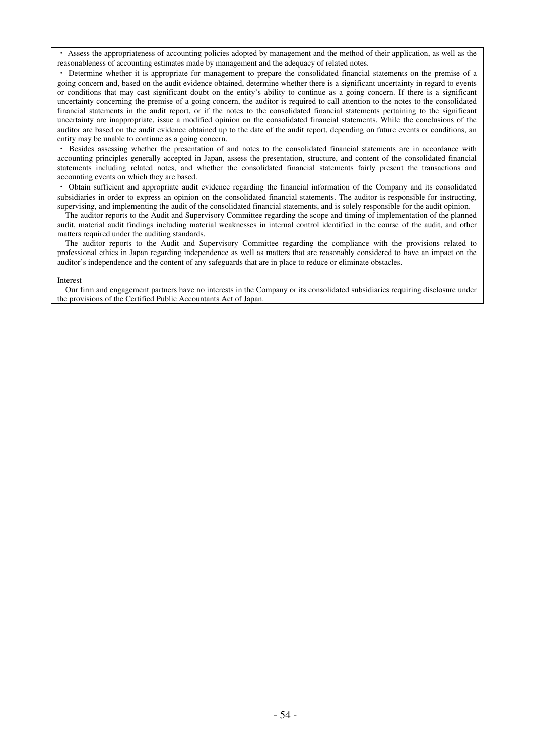・ Assess the appropriateness of accounting policies adopted by management and the method of their application, as well as the reasonableness of accounting estimates made by management and the adequacy of related notes.

・ Determine whether it is appropriate for management to prepare the consolidated financial statements on the premise of a going concern and, based on the audit evidence obtained, determine whether there is a significant uncertainty in regard to events or conditions that may cast significant doubt on the entity's ability to continue as a going concern. If there is a significant uncertainty concerning the premise of a going concern, the auditor is required to call attention to the notes to the consolidated financial statements in the audit report, or if the notes to the consolidated financial statements pertaining to the significant uncertainty are inappropriate, issue a modified opinion on the consolidated financial statements. While the conclusions of the auditor are based on the audit evidence obtained up to the date of the audit report, depending on future events or conditions, an entity may be unable to continue as a going concern.

・ Besides assessing whether the presentation of and notes to the consolidated financial statements are in accordance with accounting principles generally accepted in Japan, assess the presentation, structure, and content of the consolidated financial statements including related notes, and whether the consolidated financial statements fairly present the transactions and accounting events on which they are based.

・ Obtain sufficient and appropriate audit evidence regarding the financial information of the Company and its consolidated subsidiaries in order to express an opinion on the consolidated financial statements. The auditor is responsible for instructing, supervising, and implementing the audit of the consolidated financial statements, and is solely responsible for the audit opinion.

The auditor reports to the Audit and Supervisory Committee regarding the scope and timing of implementation of the planned audit, material audit findings including material weaknesses in internal control identified in the course of the audit, and other matters required under the auditing standards.

The auditor reports to the Audit and Supervisory Committee regarding the compliance with the provisions related to professional ethics in Japan regarding independence as well as matters that are reasonably considered to have an impact on the auditor's independence and the content of any safeguards that are in place to reduce or eliminate obstacles.

#### Interest

Our firm and engagement partners have no interests in the Company or its consolidated subsidiaries requiring disclosure under the provisions of the Certified Public Accountants Act of Japan.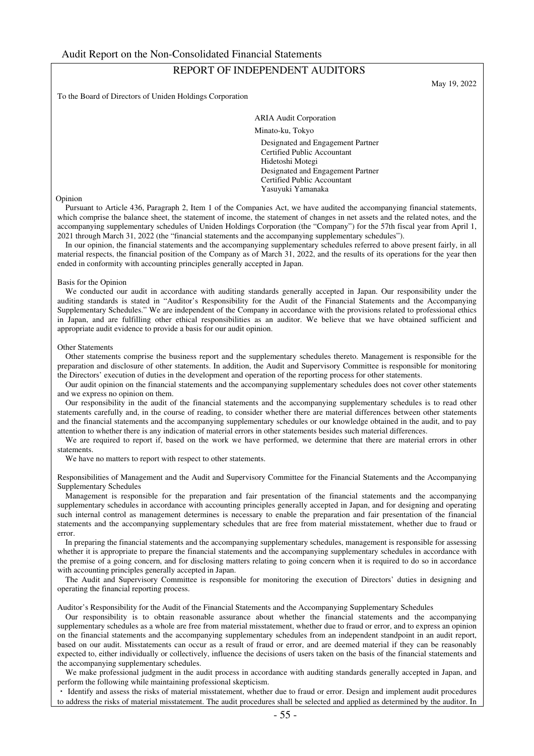# REPORT OF INDEPENDENT AUDITORS

To the Board of Directors of Uniden Holdings Corporation

May 19, 2022

ARIA Audit Corporation

Minato-ku, Tokyo

Designated and Engagement Partner Certified Public Accountant Hidetoshi Motegi Designated and Engagement Partner Certified Public Accountant Yasuyuki Yamanaka

#### Opinion

Pursuant to Article 436, Paragraph 2, Item 1 of the Companies Act, we have audited the accompanying financial statements, which comprise the balance sheet, the statement of income, the statement of changes in net assets and the related notes, and the accompanying supplementary schedules of Uniden Holdings Corporation (the "Company") for the 57th fiscal year from April 1, 2021 through March 31, 2022 (the "financial statements and the accompanying supplementary schedules").

In our opinion, the financial statements and the accompanying supplementary schedules referred to above present fairly, in all material respects, the financial position of the Company as of March 31, 2022, and the results of its operations for the year then ended in conformity with accounting principles generally accepted in Japan.

#### Basis for the Opinion

We conducted our audit in accordance with auditing standards generally accepted in Japan. Our responsibility under the auditing standards is stated in "Auditor's Responsibility for the Audit of the Financial Statements and the Accompanying Supplementary Schedules." We are independent of the Company in accordance with the provisions related to professional ethics in Japan, and are fulfilling other ethical responsibilities as an auditor. We believe that we have obtained sufficient and appropriate audit evidence to provide a basis for our audit opinion.

#### Other Statements

Other statements comprise the business report and the supplementary schedules thereto. Management is responsible for the preparation and disclosure of other statements. In addition, the Audit and Supervisory Committee is responsible for monitoring the Directors' execution of duties in the development and operation of the reporting process for other statements.

Our audit opinion on the financial statements and the accompanying supplementary schedules does not cover other statements and we express no opinion on them.

Our responsibility in the audit of the financial statements and the accompanying supplementary schedules is to read other statements carefully and, in the course of reading, to consider whether there are material differences between other statements and the financial statements and the accompanying supplementary schedules or our knowledge obtained in the audit, and to pay attention to whether there is any indication of material errors in other statements besides such material differences.

We are required to report if, based on the work we have performed, we determine that there are material errors in other statements.

We have no matters to report with respect to other statements.

Responsibilities of Management and the Audit and Supervisory Committee for the Financial Statements and the Accompanying Supplementary Schedules

Management is responsible for the preparation and fair presentation of the financial statements and the accompanying supplementary schedules in accordance with accounting principles generally accepted in Japan, and for designing and operating such internal control as management determines is necessary to enable the preparation and fair presentation of the financial statements and the accompanying supplementary schedules that are free from material misstatement, whether due to fraud or error.

In preparing the financial statements and the accompanying supplementary schedules, management is responsible for assessing whether it is appropriate to prepare the financial statements and the accompanying supplementary schedules in accordance with the premise of a going concern, and for disclosing matters relating to going concern when it is required to do so in accordance with accounting principles generally accepted in Japan.

The Audit and Supervisory Committee is responsible for monitoring the execution of Directors' duties in designing and operating the financial reporting process.

Auditor's Responsibility for the Audit of the Financial Statements and the Accompanying Supplementary Schedules

Our responsibility is to obtain reasonable assurance about whether the financial statements and the accompanying supplementary schedules as a whole are free from material misstatement, whether due to fraud or error, and to express an opinion on the financial statements and the accompanying supplementary schedules from an independent standpoint in an audit report, based on our audit. Misstatements can occur as a result of fraud or error, and are deemed material if they can be reasonably expected to, either individually or collectively, influence the decisions of users taken on the basis of the financial statements and the accompanying supplementary schedules.

We make professional judgment in the audit process in accordance with auditing standards generally accepted in Japan, and perform the following while maintaining professional skepticism.

・ Identify and assess the risks of material misstatement, whether due to fraud or error. Design and implement audit procedures to address the risks of material misstatement. The audit procedures shall be selected and applied as determined by the auditor. In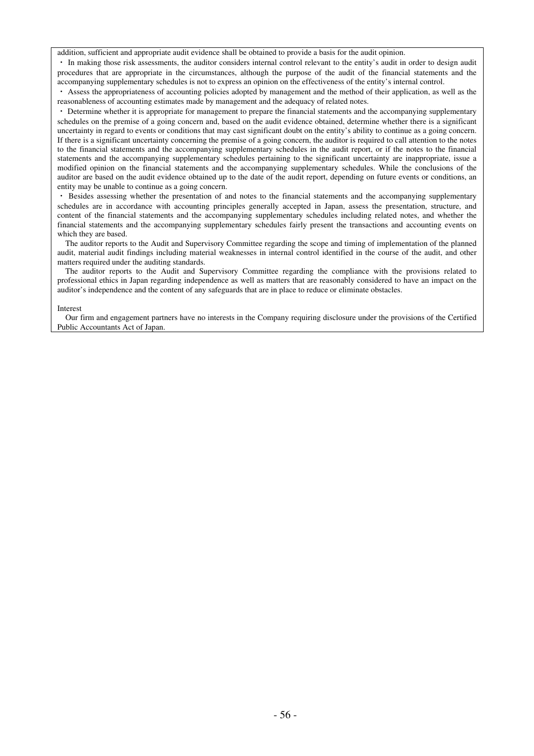addition, sufficient and appropriate audit evidence shall be obtained to provide a basis for the audit opinion.

・ In making those risk assessments, the auditor considers internal control relevant to the entity's audit in order to design audit procedures that are appropriate in the circumstances, although the purpose of the audit of the financial statements and the accompanying supplementary schedules is not to express an opinion on the effectiveness of the entity's internal control.

・ Assess the appropriateness of accounting policies adopted by management and the method of their application, as well as the reasonableness of accounting estimates made by management and the adequacy of related notes.

Determine whether it is appropriate for management to prepare the financial statements and the accompanying supplementary schedules on the premise of a going concern and, based on the audit evidence obtained, determine whether there is a significant uncertainty in regard to events or conditions that may cast significant doubt on the entity's ability to continue as a going concern. If there is a significant uncertainty concerning the premise of a going concern, the auditor is required to call attention to the notes to the financial statements and the accompanying supplementary schedules in the audit report, or if the notes to the financial statements and the accompanying supplementary schedules pertaining to the significant uncertainty are inappropriate, issue a modified opinion on the financial statements and the accompanying supplementary schedules. While the conclusions of the auditor are based on the audit evidence obtained up to the date of the audit report, depending on future events or conditions, an entity may be unable to continue as a going concern.

Besides assessing whether the presentation of and notes to the financial statements and the accompanying supplementary schedules are in accordance with accounting principles generally accepted in Japan, assess the presentation, structure, and content of the financial statements and the accompanying supplementary schedules including related notes, and whether the financial statements and the accompanying supplementary schedules fairly present the transactions and accounting events on which they are based.

The auditor reports to the Audit and Supervisory Committee regarding the scope and timing of implementation of the planned audit, material audit findings including material weaknesses in internal control identified in the course of the audit, and other matters required under the auditing standards.

The auditor reports to the Audit and Supervisory Committee regarding the compliance with the provisions related to professional ethics in Japan regarding independence as well as matters that are reasonably considered to have an impact on the auditor's independence and the content of any safeguards that are in place to reduce or eliminate obstacles.

#### Interest

Our firm and engagement partners have no interests in the Company requiring disclosure under the provisions of the Certified Public Accountants Act of Japan.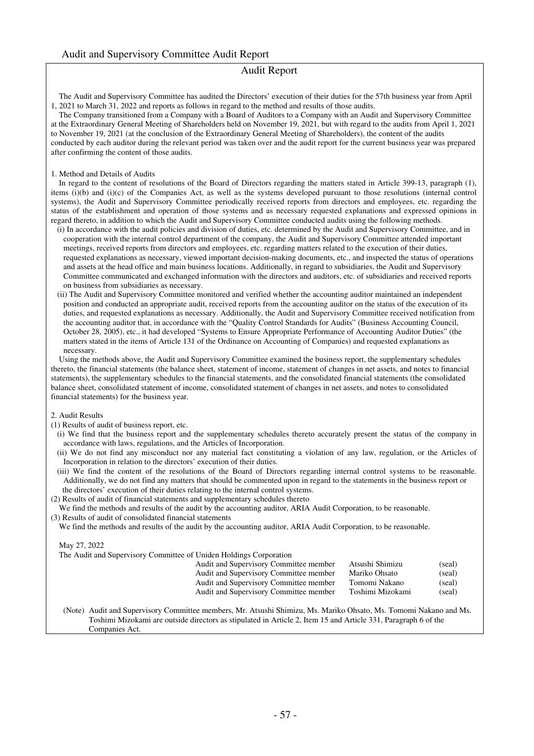### Audit Report

The Audit and Supervisory Committee has audited the Directors' execution of their duties for the 57th business year from April 1, 2021 to March 31, 2022 and reports as follows in regard to the method and results of those audits.

The Company transitioned from a Company with a Board of Auditors to a Company with an Audit and Supervisory Committee at the Extraordinary General Meeting of Shareholders held on November 19, 2021, but with regard to the audits from April 1, 2021 to November 19, 2021 (at the conclusion of the Extraordinary General Meeting of Shareholders), the content of the audits conducted by each auditor during the relevant period was taken over and the audit report for the current business year was prepared after confirming the content of those audits.

#### 1. Method and Details of Audits

In regard to the content of resolutions of the Board of Directors regarding the matters stated in Article 399-13, paragraph (1), items (i)(b) and (i)(c) of the Companies Act, as well as the systems developed pursuant to those resolutions (internal control systems), the Audit and Supervisory Committee periodically received reports from directors and employees, etc. regarding the status of the establishment and operation of those systems and as necessary requested explanations and expressed opinions in regard thereto, in addition to which the Audit and Supervisory Committee conducted audits using the following methods.

- (i) In accordance with the audit policies and division of duties, etc. determined by the Audit and Supervisory Committee, and in cooperation with the internal control department of the company, the Audit and Supervisory Committee attended important meetings, received reports from directors and employees, etc. regarding matters related to the execution of their duties, requested explanations as necessary, viewed important decision-making documents, etc., and inspected the status of operations and assets at the head office and main business locations. Additionally, in regard to subsidiaries, the Audit and Supervisory Committee communicated and exchanged information with the directors and auditors, etc. of subsidiaries and received reports on business from subsidiaries as necessary.
- (ii) The Audit and Supervisory Committee monitored and verified whether the accounting auditor maintained an independent position and conducted an appropriate audit, received reports from the accounting auditor on the status of the execution of its duties, and requested explanations as necessary. Additionally, the Audit and Supervisory Committee received notification from the accounting auditor that, in accordance with the "Quality Control Standards for Audits" (Business Accounting Council, October 28, 2005), etc., it had developed "Systems to Ensure Appropriate Performance of Accounting Auditor Duties" (the matters stated in the items of Article 131 of the Ordinance on Accounting of Companies) and requested explanations as necessary.

Using the methods above, the Audit and Supervisory Committee examined the business report, the supplementary schedules thereto, the financial statements (the balance sheet, statement of income, statement of changes in net assets, and notes to financial statements), the supplementary schedules to the financial statements, and the consolidated financial statements (the consolidated balance sheet, consolidated statement of income, consolidated statement of changes in net assets, and notes to consolidated financial statements) for the business year.

#### 2. Audit Results

- (1) Results of audit of business report, etc.
	- (i) We find that the business report and the supplementary schedules thereto accurately present the status of the company in accordance with laws, regulations, and the Articles of Incorporation.
	- (ii) We do not find any misconduct nor any material fact constituting a violation of any law, regulation, or the Articles of Incorporation in relation to the directors' execution of their duties.
	- (iii) We find the content of the resolutions of the Board of Directors regarding internal control systems to be reasonable. Additionally, we do not find any matters that should be commented upon in regard to the statements in the business report or the directors' execution of their duties relating to the internal control systems.
- (2) Results of audit of financial statements and supplementary schedules thereto
- We find the methods and results of the audit by the accounting auditor, ARIA Audit Corporation, to be reasonable. (3) Results of audit of consolidated financial statements
- We find the methods and results of the audit by the accounting auditor, ARIA Audit Corporation, to be reasonable.

#### May 27, 2022

The Audit and Supervisory Committee of Uniden Holdings Corporation

| Audit and Supervisory Committee member | Atsushi Shimizu  | (seal) |
|----------------------------------------|------------------|--------|
| Audit and Supervisory Committee member | Mariko Ohsato    | (seal) |
| Audit and Supervisory Committee member | Tomomi Nakano    | (seal) |
| Audit and Supervisory Committee member | Toshimi Mizokami | (seal) |

(Note) Audit and Supervisory Committee members, Mr. Atsushi Shimizu, Ms. Mariko Ohsato, Ms. Tomomi Nakano and Ms. Toshimi Mizokami are outside directors as stipulated in Article 2, Item 15 and Article 331, Paragraph 6 of the Companies Act.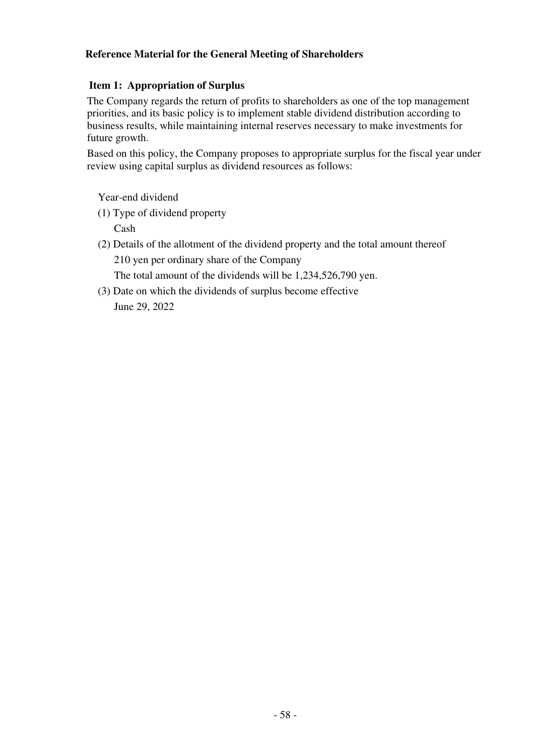# **Reference Material for the General Meeting of Shareholders**

# **Item 1: Appropriation of Surplus**

The Company regards the return of profits to shareholders as one of the top management priorities, and its basic policy is to implement stable dividend distribution according to business results, while maintaining internal reserves necessary to make investments for future growth.

Based on this policy, the Company proposes to appropriate surplus for the fiscal year under review using capital surplus as dividend resources as follows:

Year-end dividend

- (1) Type of dividend property Cash
- (2) Details of the allotment of the dividend property and the total amount thereof 210 yen per ordinary share of the Company The total amount of the dividends will be 1,234,526,790 yen.
- (3) Date on which the dividends of surplus become effective June 29, 2022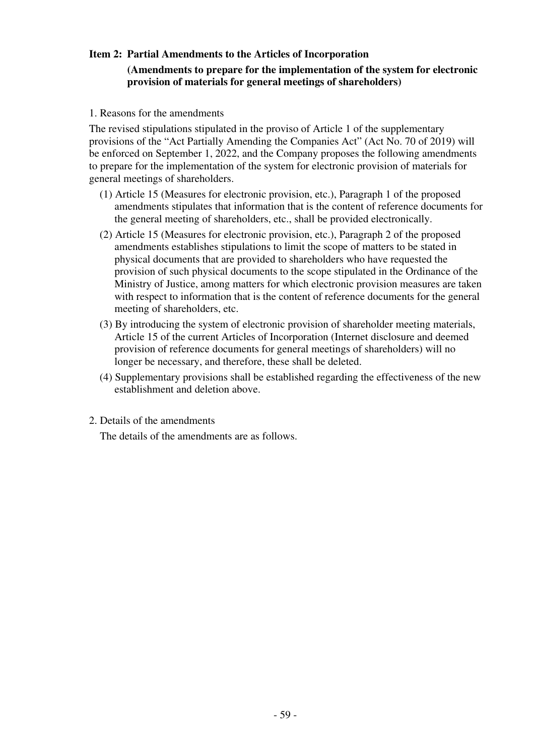# **Item 2: Partial Amendments to the Articles of Incorporation**

# **(Amendments to prepare for the implementation of the system for electronic provision of materials for general meetings of shareholders)**

1. Reasons for the amendments

The revised stipulations stipulated in the proviso of Article 1 of the supplementary provisions of the "Act Partially Amending the Companies Act" (Act No. 70 of 2019) will be enforced on September 1, 2022, and the Company proposes the following amendments to prepare for the implementation of the system for electronic provision of materials for general meetings of shareholders.

- (1) Article 15 (Measures for electronic provision, etc.), Paragraph 1 of the proposed amendments stipulates that information that is the content of reference documents for the general meeting of shareholders, etc., shall be provided electronically.
- (2) Article 15 (Measures for electronic provision, etc.), Paragraph 2 of the proposed amendments establishes stipulations to limit the scope of matters to be stated in physical documents that are provided to shareholders who have requested the provision of such physical documents to the scope stipulated in the Ordinance of the Ministry of Justice, among matters for which electronic provision measures are taken with respect to information that is the content of reference documents for the general meeting of shareholders, etc.
- (3) By introducing the system of electronic provision of shareholder meeting materials, Article 15 of the current Articles of Incorporation (Internet disclosure and deemed provision of reference documents for general meetings of shareholders) will no longer be necessary, and therefore, these shall be deleted.
- (4) Supplementary provisions shall be established regarding the effectiveness of the new establishment and deletion above.
- 2. Details of the amendments

The details of the amendments are as follows.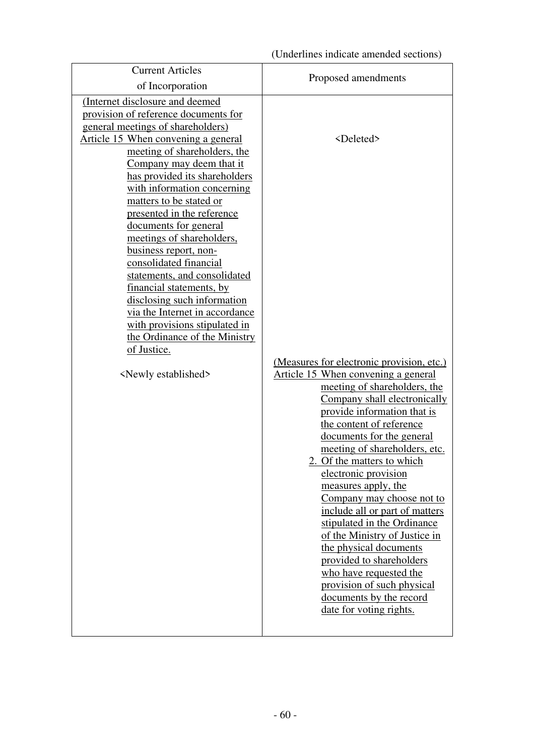| <b>Current Articles</b>                                                                                                                                                                                                                                                                                                                                                                                                                                                                                                                                                                                                                                                                           | Proposed amendments                                                                                                                                                                                                                                                                                                                                                                                                                                                                                                                                                                                                                                                       |
|---------------------------------------------------------------------------------------------------------------------------------------------------------------------------------------------------------------------------------------------------------------------------------------------------------------------------------------------------------------------------------------------------------------------------------------------------------------------------------------------------------------------------------------------------------------------------------------------------------------------------------------------------------------------------------------------------|---------------------------------------------------------------------------------------------------------------------------------------------------------------------------------------------------------------------------------------------------------------------------------------------------------------------------------------------------------------------------------------------------------------------------------------------------------------------------------------------------------------------------------------------------------------------------------------------------------------------------------------------------------------------------|
| of Incorporation                                                                                                                                                                                                                                                                                                                                                                                                                                                                                                                                                                                                                                                                                  |                                                                                                                                                                                                                                                                                                                                                                                                                                                                                                                                                                                                                                                                           |
| (Internet disclosure and deemed<br>provision of reference documents for<br>general meetings of shareholders)<br>Article 15 When convening a general<br>meeting of shareholders, the<br>Company may deem that it<br>has provided its shareholders<br>with information concerning<br>matters to be stated or<br>presented in the reference<br>documents for general<br>meetings of shareholders,<br>business report, non-<br>consolidated financial<br>statements, and consolidated<br>financial statements, by<br>disclosing such information<br>via the Internet in accordance<br>with provisions stipulated in<br>the Ordinance of the Ministry<br>of Justice.<br><newly established=""></newly> | <deleted><br/>(Measures for electronic provision, etc.)<br/>Article 15 When convening a general<br/>meeting of shareholders, the<br/>Company shall electronically<br/>provide information that is<br/>the content of reference<br/>documents for the general<br/>meeting of shareholders, etc.<br/>2. Of the matters to which<br/>electronic provision<br/>measures apply, the<br/>Company may choose not to<br/>include all or part of matters<br/>stipulated in the Ordinance<br/>of the Ministry of Justice in<br/>the physical documents<br/>provided to shareholders<br/>who have requested the<br/>provision of such physical<br/>documents by the record</deleted> |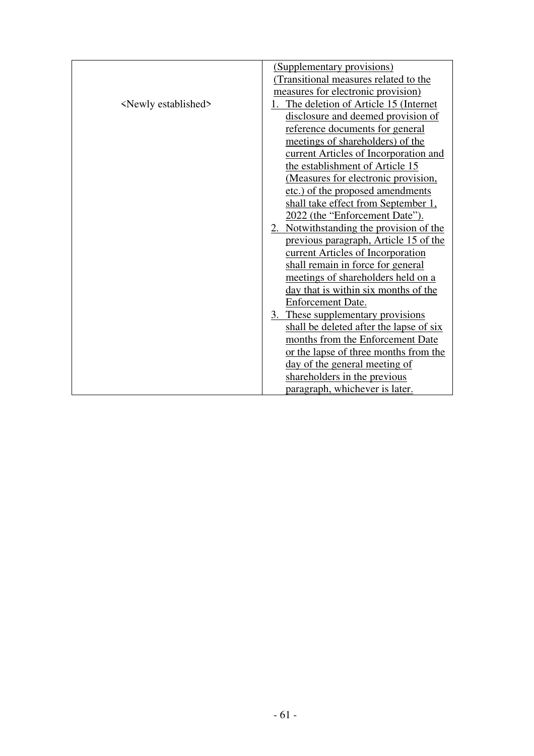|                                | (Supplementary provisions)               |
|--------------------------------|------------------------------------------|
|                                | (Transitional measures related to the    |
|                                | measures for electronic provision)       |
| <newly established=""></newly> | 1. The deletion of Article 15 (Internet) |
|                                | disclosure and deemed provision of       |
|                                | reference documents for general          |
|                                | meetings of shareholders) of the         |
|                                | current Articles of Incorporation and    |
|                                | the establishment of Article 15          |
|                                | (Measures for electronic provision,      |
|                                | etc.) of the proposed amendments         |
|                                | shall take effect from September 1,      |
|                                | 2022 (the "Enforcement Date").           |
|                                | 2. Notwithstanding the provision of the  |
|                                | previous paragraph, Article 15 of the    |
|                                | current Articles of Incorporation        |
|                                | shall remain in force for general        |
|                                | meetings of shareholders held on a       |
|                                | day that is within six months of the     |
|                                | Enforcement Date.                        |
|                                | 3. These supplementary provisions        |
|                                | shall be deleted after the lapse of six  |
|                                | months from the Enforcement Date         |
|                                | or the lapse of three months from the    |
|                                | day of the general meeting of            |
|                                | shareholders in the previous             |
|                                | paragraph, whichever is later.           |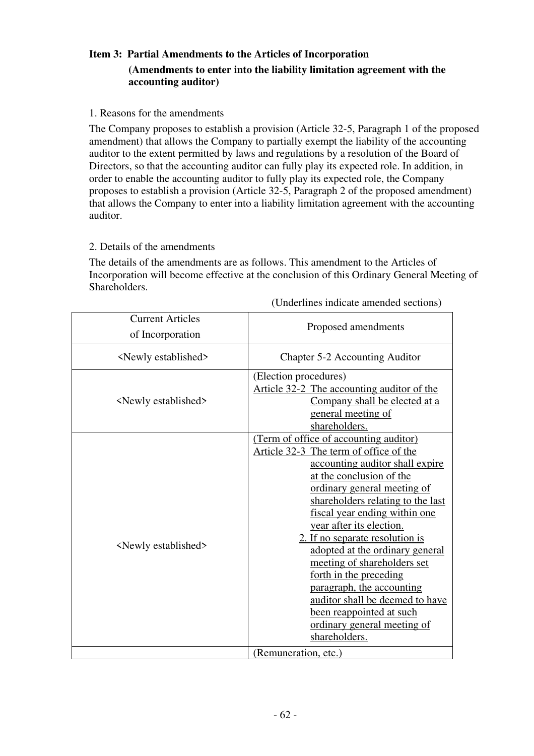# **Item 3: Partial Amendments to the Articles of Incorporation (Amendments to enter into the liability limitation agreement with the accounting auditor)**

1. Reasons for the amendments

The Company proposes to establish a provision (Article 32-5, Paragraph 1 of the proposed amendment) that allows the Company to partially exempt the liability of the accounting auditor to the extent permitted by laws and regulations by a resolution of the Board of Directors, so that the accounting auditor can fully play its expected role. In addition, in order to enable the accounting auditor to fully play its expected role, the Company proposes to establish a provision (Article 32-5, Paragraph 2 of the proposed amendment) that allows the Company to enter into a liability limitation agreement with the accounting auditor.

# 2. Details of the amendments

The details of the amendments are as follows. This amendment to the Articles of Incorporation will become effective at the conclusion of this Ordinary General Meeting of Shareholders.

| <b>Current Articles</b><br>of Incorporation | Proposed amendments                                                                                                                                                                                                                                                                                                                                                                                                                                                                                                                                         |  |  |
|---------------------------------------------|-------------------------------------------------------------------------------------------------------------------------------------------------------------------------------------------------------------------------------------------------------------------------------------------------------------------------------------------------------------------------------------------------------------------------------------------------------------------------------------------------------------------------------------------------------------|--|--|
| <newly established=""></newly>              | Chapter 5-2 Accounting Auditor                                                                                                                                                                                                                                                                                                                                                                                                                                                                                                                              |  |  |
| <newly established=""></newly>              | (Election procedures)<br>Article 32-2 The accounting auditor of the<br>Company shall be elected at a<br>general meeting of<br>shareholders.                                                                                                                                                                                                                                                                                                                                                                                                                 |  |  |
| <newly established=""></newly>              | (Term of office of accounting auditor)<br>Article 32-3 The term of office of the<br>accounting auditor shall expire<br>at the conclusion of the<br>ordinary general meeting of<br>shareholders relating to the last<br>fiscal year ending within one<br>year after its election.<br>2. If no separate resolution is<br>adopted at the ordinary general<br>meeting of shareholders set<br>forth in the preceding<br>paragraph, the accounting<br>auditor shall be deemed to have<br>been reappointed at such<br>ordinary general meeting of<br>shareholders. |  |  |
|                                             | (Remuneration, etc.)                                                                                                                                                                                                                                                                                                                                                                                                                                                                                                                                        |  |  |

(Underlines indicate amended sections)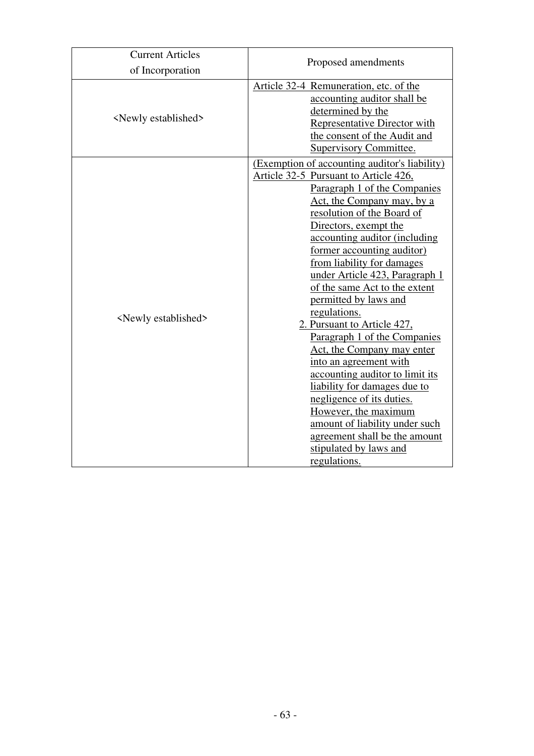| <b>Current Articles</b>        |                                                                                                                                                                                                                                                                                                                                                                                                                                                                                                                                                                                                                                                                                                                                                                                  |  |  |  |
|--------------------------------|----------------------------------------------------------------------------------------------------------------------------------------------------------------------------------------------------------------------------------------------------------------------------------------------------------------------------------------------------------------------------------------------------------------------------------------------------------------------------------------------------------------------------------------------------------------------------------------------------------------------------------------------------------------------------------------------------------------------------------------------------------------------------------|--|--|--|
| of Incorporation               | Proposed amendments                                                                                                                                                                                                                                                                                                                                                                                                                                                                                                                                                                                                                                                                                                                                                              |  |  |  |
| <newly established=""></newly> | Article 32-4 Remuneration, etc. of the<br>accounting auditor shall be<br>determined by the<br><b>Representative Director with</b><br>the consent of the Audit and<br>Supervisory Committee.                                                                                                                                                                                                                                                                                                                                                                                                                                                                                                                                                                                      |  |  |  |
| <newly established=""></newly> | (Exemption of accounting auditor's liability)<br>Article 32-5 Pursuant to Article 426,<br>Paragraph 1 of the Companies<br>Act, the Company may, by a<br>resolution of the Board of<br>Directors, exempt the<br>accounting auditor (including<br>former accounting auditor)<br>from liability for damages<br>under Article 423, Paragraph 1<br>of the same Act to the extent<br>permitted by laws and<br>regulations.<br>2. Pursuant to Article 427,<br>Paragraph 1 of the Companies<br>Act, the Company may enter<br>into an agreement with<br>accounting auditor to limit its<br>liability for damages due to<br>negligence of its duties.<br>However, the maximum<br>amount of liability under such<br>agreement shall be the amount<br>stipulated by laws and<br>regulations. |  |  |  |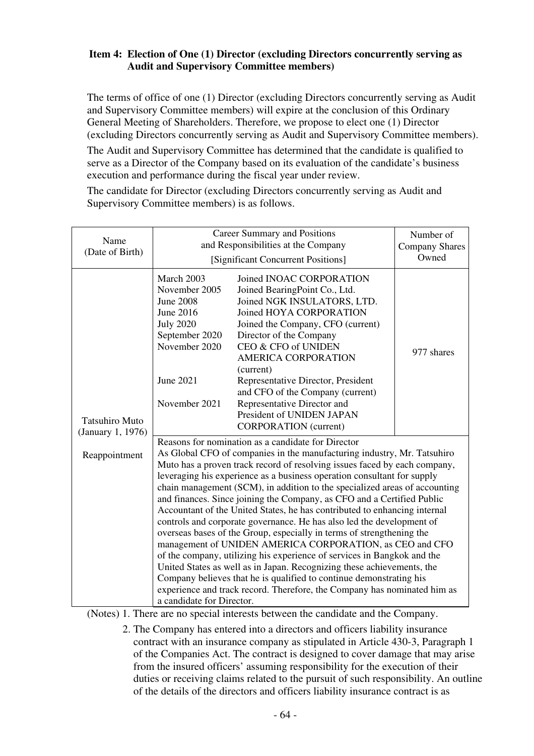# **Item 4: Election of One (1) Director (excluding Directors concurrently serving as Audit and Supervisory Committee members)**

The terms of office of one (1) Director (excluding Directors concurrently serving as Audit and Supervisory Committee members) will expire at the conclusion of this Ordinary General Meeting of Shareholders. Therefore, we propose to elect one (1) Director (excluding Directors concurrently serving as Audit and Supervisory Committee members).

The Audit and Supervisory Committee has determined that the candidate is qualified to serve as a Director of the Company based on its evaluation of the candidate's business execution and performance during the fiscal year under review.

The candidate for Director (excluding Directors concurrently serving as Audit and Supervisory Committee members) is as follows.

| Name<br>(Date of Birth)                    | Career Summary and Positions<br>and Responsibilities at the Company<br>[Significant Concurrent Positions]                                                                                                                                                                                                                                                                                                                                                                                                                                                                                                                                                                                                                                                                                                                                                                                                                                                                                                                                        | Number of<br><b>Company Shares</b><br>Owned                                                                                                                                                                                                                                                                                                                                                                                 |            |  |  |
|--------------------------------------------|--------------------------------------------------------------------------------------------------------------------------------------------------------------------------------------------------------------------------------------------------------------------------------------------------------------------------------------------------------------------------------------------------------------------------------------------------------------------------------------------------------------------------------------------------------------------------------------------------------------------------------------------------------------------------------------------------------------------------------------------------------------------------------------------------------------------------------------------------------------------------------------------------------------------------------------------------------------------------------------------------------------------------------------------------|-----------------------------------------------------------------------------------------------------------------------------------------------------------------------------------------------------------------------------------------------------------------------------------------------------------------------------------------------------------------------------------------------------------------------------|------------|--|--|
| <b>Tatsuhiro Muto</b><br>(January 1, 1976) | March 2003<br>November 2005<br><b>June 2008</b><br>June 2016<br><b>July 2020</b><br>September 2020<br>November 2020<br>June 2021<br>November 2021                                                                                                                                                                                                                                                                                                                                                                                                                                                                                                                                                                                                                                                                                                                                                                                                                                                                                                | Joined INOAC CORPORATION<br>Joined BearingPoint Co., Ltd.<br>Joined NGK INSULATORS, LTD.<br>Joined HOYA CORPORATION<br>Joined the Company, CFO (current)<br>Director of the Company<br>CEO & CFO of UNIDEN<br><b>AMERICA CORPORATION</b><br>(current)<br>Representative Director, President<br>and CFO of the Company (current)<br>Representative Director and<br>President of UNIDEN JAPAN<br><b>CORPORATION</b> (current) | 977 shares |  |  |
| Reappointment                              | Reasons for nomination as a candidate for Director<br>As Global CFO of companies in the manufacturing industry, Mr. Tatsuhiro<br>Muto has a proven track record of resolving issues faced by each company,<br>leveraging his experience as a business operation consultant for supply<br>chain management (SCM), in addition to the specialized areas of accounting<br>and finances. Since joining the Company, as CFO and a Certified Public<br>Accountant of the United States, he has contributed to enhancing internal<br>controls and corporate governance. He has also led the development of<br>overseas bases of the Group, especially in terms of strengthening the<br>management of UNIDEN AMERICA CORPORATION, as CEO and CFO<br>of the company, utilizing his experience of services in Bangkok and the<br>United States as well as in Japan. Recognizing these achievements, the<br>Company believes that he is qualified to continue demonstrating his<br>experience and track record. Therefore, the Company has nominated him as |                                                                                                                                                                                                                                                                                                                                                                                                                             |            |  |  |

(Notes) 1. There are no special interests between the candidate and the Company.

2. The Company has entered into a directors and officers liability insurance contract with an insurance company as stipulated in Article 430-3, Paragraph 1 of the Companies Act. The contract is designed to cover damage that may arise from the insured officers' assuming responsibility for the execution of their duties or receiving claims related to the pursuit of such responsibility. An outline of the details of the directors and officers liability insurance contract is as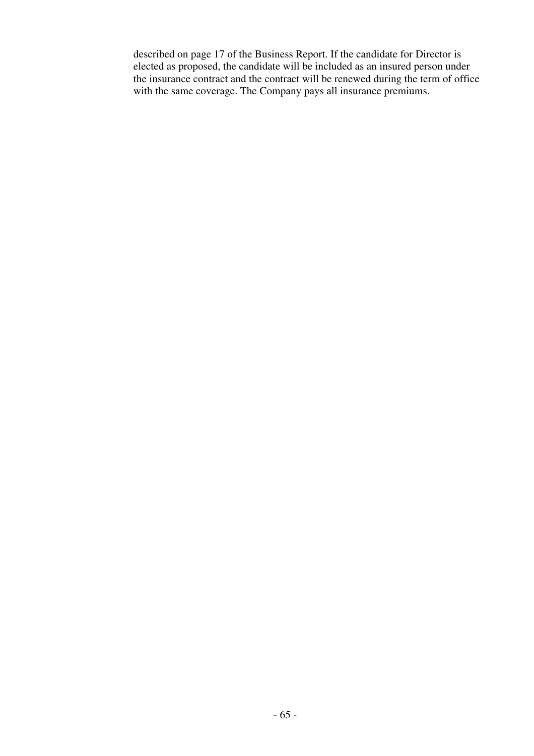described on page 17 of the Business Report. If the candidate for Director is elected as proposed, the candidate will be included as an insured person under the insurance contract and the contract will be renewed during the term of office with the same coverage. The Company pays all insurance premiums.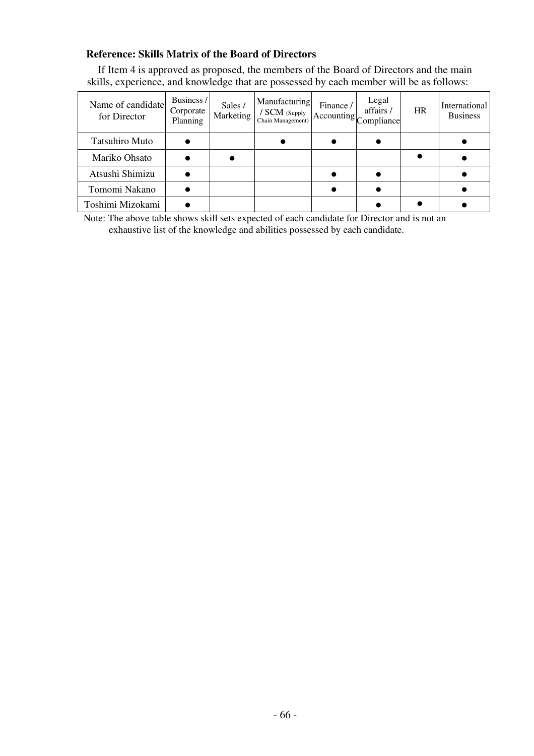# **Reference: Skills Matrix of the Board of Directors**

If Item 4 is approved as proposed, the members of the Board of Directors and the main skills, experience, and knowledge that are possessed by each member will be as follows:

| Name of candidate<br>for Director | Business /<br>Corporate<br>Planning | Sales /<br>Marketing | Manufacturing<br>/ SCM (Supply<br>Chain Management) | Finance /<br>Accounting Compliance | Legal<br>affairs/ | <b>HR</b> | International<br><b>Business</b> |
|-----------------------------------|-------------------------------------|----------------------|-----------------------------------------------------|------------------------------------|-------------------|-----------|----------------------------------|
| <b>Tatsuhiro Muto</b>             |                                     |                      |                                                     |                                    |                   |           |                                  |
| Mariko Ohsato                     |                                     |                      |                                                     |                                    |                   |           |                                  |
| Atsushi Shimizu                   |                                     |                      |                                                     |                                    |                   |           |                                  |
| Tomomi Nakano                     |                                     |                      |                                                     |                                    |                   |           |                                  |
| Toshimi Mizokami                  |                                     |                      |                                                     |                                    |                   |           |                                  |

Note: The above table shows skill sets expected of each candidate for Director and is not an exhaustive list of the knowledge and abilities possessed by each candidate.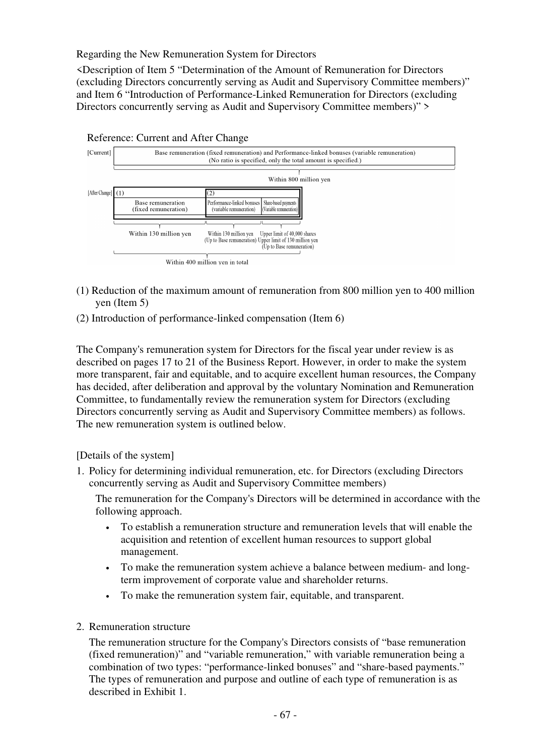Regarding the New Remuneration System for Directors

<Description of Item 5 "Determination of the Amount of Remuneration for Directors (excluding Directors concurrently serving as Audit and Supervisory Committee members)" and Item 6 "Introduction of Performance-Linked Remuneration for Directors (excluding Directors concurrently serving as Audit and Supervisory Committee members)" >



- (1) Reduction of the maximum amount of remuneration from 800 million yen to 400 million yen (Item 5)
- (2) Introduction of performance-linked compensation (Item 6)

The Company's remuneration system for Directors for the fiscal year under review is as described on pages 17 to 21 of the Business Report. However, in order to make the system more transparent, fair and equitable, and to acquire excellent human resources, the Company has decided, after deliberation and approval by the voluntary Nomination and Remuneration Committee, to fundamentally review the remuneration system for Directors (excluding Directors concurrently serving as Audit and Supervisory Committee members) as follows. The new remuneration system is outlined below.

# [Details of the system]

1. Policy for determining individual remuneration, etc. for Directors (excluding Directors concurrently serving as Audit and Supervisory Committee members)

The remuneration for the Company's Directors will be determined in accordance with the following approach.

- To establish a remuneration structure and remuneration levels that will enable the acquisition and retention of excellent human resources to support global management.
- To make the remuneration system achieve a balance between medium- and longterm improvement of corporate value and shareholder returns.
- To make the remuneration system fair, equitable, and transparent.
- 2. Remuneration structure

The remuneration structure for the Company's Directors consists of "base remuneration (fixed remuneration)" and "variable remuneration," with variable remuneration being a combination of two types: "performance-linked bonuses" and "share-based payments." The types of remuneration and purpose and outline of each type of remuneration is as described in Exhibit 1.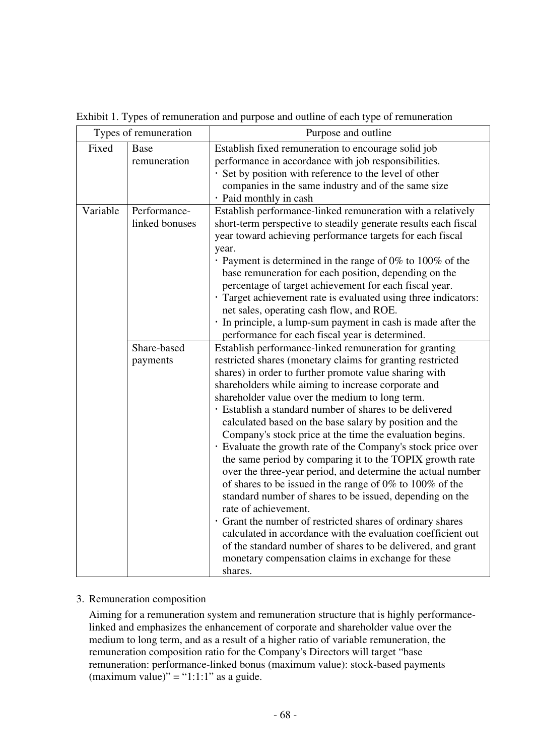|          | Types of remuneration          | Purpose and outline                                                                                                                                                                                                                                                                                                                                                                                                                                                                                                                                                                                                                                                                                                                                                                                                                                                                                                                                                                                                                                                                       |
|----------|--------------------------------|-------------------------------------------------------------------------------------------------------------------------------------------------------------------------------------------------------------------------------------------------------------------------------------------------------------------------------------------------------------------------------------------------------------------------------------------------------------------------------------------------------------------------------------------------------------------------------------------------------------------------------------------------------------------------------------------------------------------------------------------------------------------------------------------------------------------------------------------------------------------------------------------------------------------------------------------------------------------------------------------------------------------------------------------------------------------------------------------|
| Fixed    | <b>Base</b><br>remuneration    | Establish fixed remuneration to encourage solid job<br>performance in accordance with job responsibilities.<br>· Set by position with reference to the level of other<br>companies in the same industry and of the same size<br>· Paid monthly in cash                                                                                                                                                                                                                                                                                                                                                                                                                                                                                                                                                                                                                                                                                                                                                                                                                                    |
| Variable | Performance-<br>linked bonuses | Establish performance-linked remuneration with a relatively<br>short-term perspective to steadily generate results each fiscal<br>year toward achieving performance targets for each fiscal<br>year.<br>• Payment is determined in the range of $0\%$ to $100\%$ of the<br>base remuneration for each position, depending on the<br>percentage of target achievement for each fiscal year.<br>Target achievement rate is evaluated using three indicators:<br>net sales, operating cash flow, and ROE.<br>· In principle, a lump-sum payment in cash is made after the<br>performance for each fiscal year is determined.                                                                                                                                                                                                                                                                                                                                                                                                                                                                 |
|          | Share-based<br>payments        | Establish performance-linked remuneration for granting<br>restricted shares (monetary claims for granting restricted<br>shares) in order to further promote value sharing with<br>shareholders while aiming to increase corporate and<br>shareholder value over the medium to long term.<br>· Establish a standard number of shares to be delivered<br>calculated based on the base salary by position and the<br>Company's stock price at the time the evaluation begins.<br>· Evaluate the growth rate of the Company's stock price over<br>the same period by comparing it to the TOPIX growth rate<br>over the three-year period, and determine the actual number<br>of shares to be issued in the range of $0\%$ to $100\%$ of the<br>standard number of shares to be issued, depending on the<br>rate of achievement.<br>· Grant the number of restricted shares of ordinary shares<br>calculated in accordance with the evaluation coefficient out<br>of the standard number of shares to be delivered, and grant<br>monetary compensation claims in exchange for these<br>shares. |

Exhibit 1. Types of remuneration and purpose and outline of each type of remuneration

# 3. Remuneration composition

Aiming for a remuneration system and remuneration structure that is highly performancelinked and emphasizes the enhancement of corporate and shareholder value over the medium to long term, and as a result of a higher ratio of variable remuneration, the remuneration composition ratio for the Company's Directors will target "base remuneration: performance-linked bonus (maximum value): stock-based payments (maximum value)" = "1:1:1" as a guide.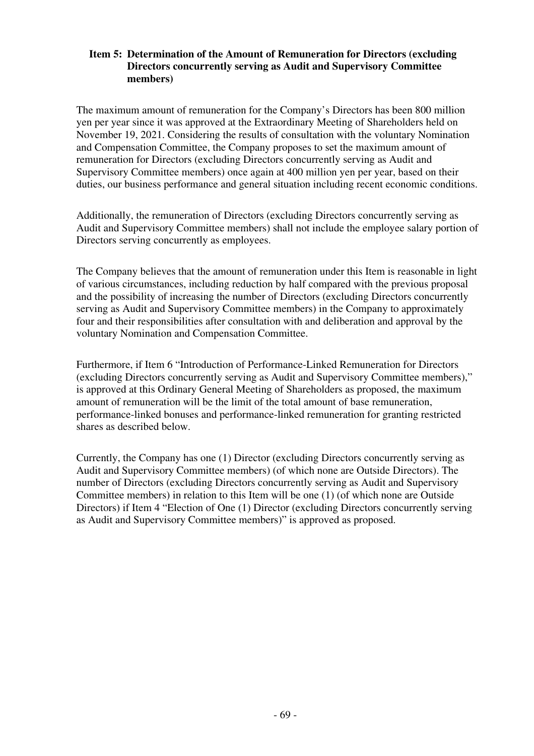# **Item 5: Determination of the Amount of Remuneration for Directors (excluding Directors concurrently serving as Audit and Supervisory Committee members)**

The maximum amount of remuneration for the Company's Directors has been 800 million yen per year since it was approved at the Extraordinary Meeting of Shareholders held on November 19, 2021. Considering the results of consultation with the voluntary Nomination and Compensation Committee, the Company proposes to set the maximum amount of remuneration for Directors (excluding Directors concurrently serving as Audit and Supervisory Committee members) once again at 400 million yen per year, based on their duties, our business performance and general situation including recent economic conditions.

Additionally, the remuneration of Directors (excluding Directors concurrently serving as Audit and Supervisory Committee members) shall not include the employee salary portion of Directors serving concurrently as employees.

The Company believes that the amount of remuneration under this Item is reasonable in light of various circumstances, including reduction by half compared with the previous proposal and the possibility of increasing the number of Directors (excluding Directors concurrently serving as Audit and Supervisory Committee members) in the Company to approximately four and their responsibilities after consultation with and deliberation and approval by the voluntary Nomination and Compensation Committee.

Furthermore, if Item 6 "Introduction of Performance-Linked Remuneration for Directors (excluding Directors concurrently serving as Audit and Supervisory Committee members)," is approved at this Ordinary General Meeting of Shareholders as proposed, the maximum amount of remuneration will be the limit of the total amount of base remuneration, performance-linked bonuses and performance-linked remuneration for granting restricted shares as described below.

Currently, the Company has one (1) Director (excluding Directors concurrently serving as Audit and Supervisory Committee members) (of which none are Outside Directors). The number of Directors (excluding Directors concurrently serving as Audit and Supervisory Committee members) in relation to this Item will be one (1) (of which none are Outside Directors) if Item 4 "Election of One (1) Director (excluding Directors concurrently serving as Audit and Supervisory Committee members)" is approved as proposed.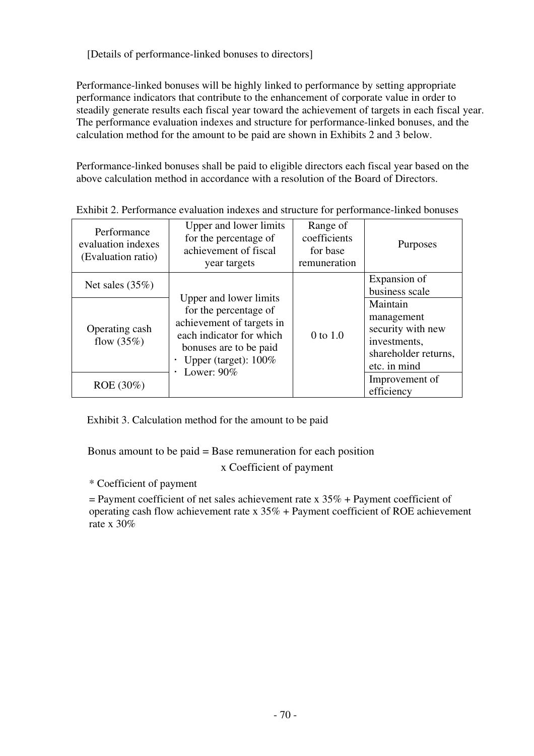[Details of performance-linked bonuses to directors]

Performance-linked bonuses will be highly linked to performance by setting appropriate performance indicators that contribute to the enhancement of corporate value in order to steadily generate results each fiscal year toward the achievement of targets in each fiscal year. The performance evaluation indexes and structure for performance-linked bonuses, and the calculation method for the amount to be paid are shown in Exhibits 2 and 3 below.

Performance-linked bonuses shall be paid to eligible directors each fiscal year based on the above calculation method in accordance with a resolution of the Board of Directors.

| Performance<br>evaluation indexes<br>(Evaluation ratio) | Upper and lower limits<br>for the percentage of<br>achievement of fiscal<br>year targets                                                                                       | Range of<br>coefficients<br>for base<br>remuneration | Purposes                                                                                            |
|---------------------------------------------------------|--------------------------------------------------------------------------------------------------------------------------------------------------------------------------------|------------------------------------------------------|-----------------------------------------------------------------------------------------------------|
| Net sales $(35%)$                                       |                                                                                                                                                                                |                                                      | Expansion of<br>business scale                                                                      |
| Operating cash<br>flow $(35%)$                          | Upper and lower limits<br>for the percentage of<br>achievement of targets in<br>each indicator for which<br>bonuses are to be paid<br>Upper (target): $100\%$<br>Lower: $90\%$ | 0 to 1.0                                             | Maintain<br>management<br>security with new<br>investments,<br>shareholder returns,<br>etc. in mind |
| ROE (30%)                                               |                                                                                                                                                                                |                                                      | Improvement of<br>efficiency                                                                        |

Exhibit 2. Performance evaluation indexes and structure for performance-linked bonuses

Exhibit 3. Calculation method for the amount to be paid

Bonus amount to be paid = Base remuneration for each position

x Coefficient of payment

\* Coefficient of payment

 $=$  Payment coefficient of net sales achievement rate x 35% + Payment coefficient of operating cash flow achievement rate x  $35\%$  + Payment coefficient of ROE achievement rate x 30%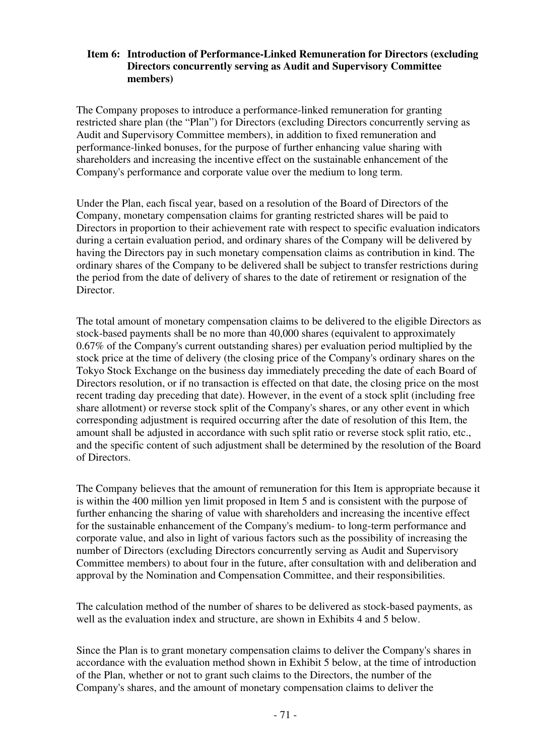# **Item 6: Introduction of Performance-Linked Remuneration for Directors (excluding Directors concurrently serving as Audit and Supervisory Committee members)**

The Company proposes to introduce a performance-linked remuneration for granting restricted share plan (the "Plan") for Directors (excluding Directors concurrently serving as Audit and Supervisory Committee members), in addition to fixed remuneration and performance-linked bonuses, for the purpose of further enhancing value sharing with shareholders and increasing the incentive effect on the sustainable enhancement of the Company's performance and corporate value over the medium to long term.

Under the Plan, each fiscal year, based on a resolution of the Board of Directors of the Company, monetary compensation claims for granting restricted shares will be paid to Directors in proportion to their achievement rate with respect to specific evaluation indicators during a certain evaluation period, and ordinary shares of the Company will be delivered by having the Directors pay in such monetary compensation claims as contribution in kind. The ordinary shares of the Company to be delivered shall be subject to transfer restrictions during the period from the date of delivery of shares to the date of retirement or resignation of the Director.

The total amount of monetary compensation claims to be delivered to the eligible Directors as stock-based payments shall be no more than 40,000 shares (equivalent to approximately 0.67% of the Company's current outstanding shares) per evaluation period multiplied by the stock price at the time of delivery (the closing price of the Company's ordinary shares on the Tokyo Stock Exchange on the business day immediately preceding the date of each Board of Directors resolution, or if no transaction is effected on that date, the closing price on the most recent trading day preceding that date). However, in the event of a stock split (including free share allotment) or reverse stock split of the Company's shares, or any other event in which corresponding adjustment is required occurring after the date of resolution of this Item, the amount shall be adjusted in accordance with such split ratio or reverse stock split ratio, etc., and the specific content of such adjustment shall be determined by the resolution of the Board of Directors.

The Company believes that the amount of remuneration for this Item is appropriate because it is within the 400 million yen limit proposed in Item 5 and is consistent with the purpose of further enhancing the sharing of value with shareholders and increasing the incentive effect for the sustainable enhancement of the Company's medium- to long-term performance and corporate value, and also in light of various factors such as the possibility of increasing the number of Directors (excluding Directors concurrently serving as Audit and Supervisory Committee members) to about four in the future, after consultation with and deliberation and approval by the Nomination and Compensation Committee, and their responsibilities.

The calculation method of the number of shares to be delivered as stock-based payments, as well as the evaluation index and structure, are shown in Exhibits 4 and 5 below.

Since the Plan is to grant monetary compensation claims to deliver the Company's shares in accordance with the evaluation method shown in Exhibit 5 below, at the time of introduction of the Plan, whether or not to grant such claims to the Directors, the number of the Company's shares, and the amount of monetary compensation claims to deliver the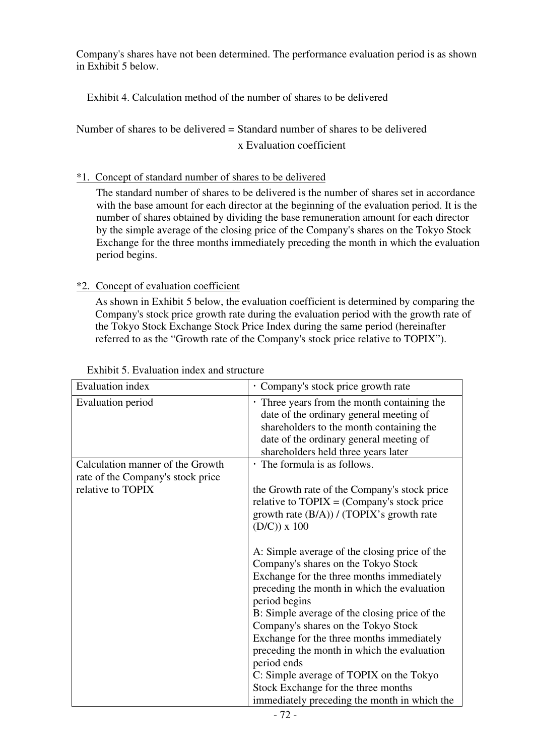Company's shares have not been determined. The performance evaluation period is as shown in Exhibit 5 below.

Exhibit 4. Calculation method of the number of shares to be delivered

Number of shares to be delivered = Standard number of shares to be delivered x Evaluation coefficient

# \*1. Concept of standard number of shares to be delivered

The standard number of shares to be delivered is the number of shares set in accordance with the base amount for each director at the beginning of the evaluation period. It is the number of shares obtained by dividing the base remuneration amount for each director by the simple average of the closing price of the Company's shares on the Tokyo Stock Exchange for the three months immediately preceding the month in which the evaluation period begins.

# \*2. Concept of evaluation coefficient

As shown in Exhibit 5 below, the evaluation coefficient is determined by comparing the Company's stock price growth rate during the evaluation period with the growth rate of the Tokyo Stock Exchange Stock Price Index during the same period (hereinafter referred to as the "Growth rate of the Company's stock price relative to TOPIX").

| Evaluation index                                                                           | · Company's stock price growth rate                                                                                                                                                                                                                                                                                                                                                                                                                                                                                                    |
|--------------------------------------------------------------------------------------------|----------------------------------------------------------------------------------------------------------------------------------------------------------------------------------------------------------------------------------------------------------------------------------------------------------------------------------------------------------------------------------------------------------------------------------------------------------------------------------------------------------------------------------------|
| Evaluation period                                                                          | • Three years from the month containing the<br>date of the ordinary general meeting of<br>shareholders to the month containing the<br>date of the ordinary general meeting of<br>shareholders held three years later                                                                                                                                                                                                                                                                                                                   |
| Calculation manner of the Growth<br>rate of the Company's stock price<br>relative to TOPIX | • The formula is as follows.<br>the Growth rate of the Company's stock price<br>relative to $TOPIX = (Company's stock price)$<br>growth rate (B/A)) / (TOPIX's growth rate<br>$(D/C))$ x 100                                                                                                                                                                                                                                                                                                                                           |
|                                                                                            | A: Simple average of the closing price of the<br>Company's shares on the Tokyo Stock<br>Exchange for the three months immediately<br>preceding the month in which the evaluation<br>period begins<br>B: Simple average of the closing price of the<br>Company's shares on the Tokyo Stock<br>Exchange for the three months immediately<br>preceding the month in which the evaluation<br>period ends<br>C: Simple average of TOPIX on the Tokyo<br>Stock Exchange for the three months<br>immediately preceding the month in which the |

# Exhibit 5. Evaluation index and structure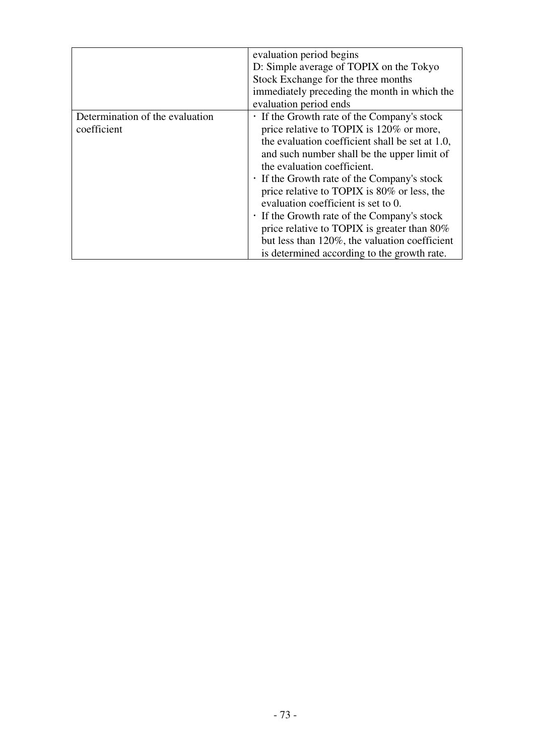|                                                | evaluation period begins<br>D: Simple average of TOPIX on the Tokyo<br>Stock Exchange for the three months<br>immediately preceding the month in which the<br>evaluation period ends                                                                                                                                                                                                                                                                                                                                                                           |
|------------------------------------------------|----------------------------------------------------------------------------------------------------------------------------------------------------------------------------------------------------------------------------------------------------------------------------------------------------------------------------------------------------------------------------------------------------------------------------------------------------------------------------------------------------------------------------------------------------------------|
| Determination of the evaluation<br>coefficient | . If the Growth rate of the Company's stock<br>price relative to TOPIX is 120% or more,<br>the evaluation coefficient shall be set at 1.0,<br>and such number shall be the upper limit of<br>the evaluation coefficient.<br>. If the Growth rate of the Company's stock<br>price relative to TOPIX is 80% or less, the<br>evaluation coefficient is set to 0.<br>. If the Growth rate of the Company's stock<br>price relative to TOPIX is greater than $80\%$<br>but less than 120%, the valuation coefficient<br>is determined according to the growth rate. |